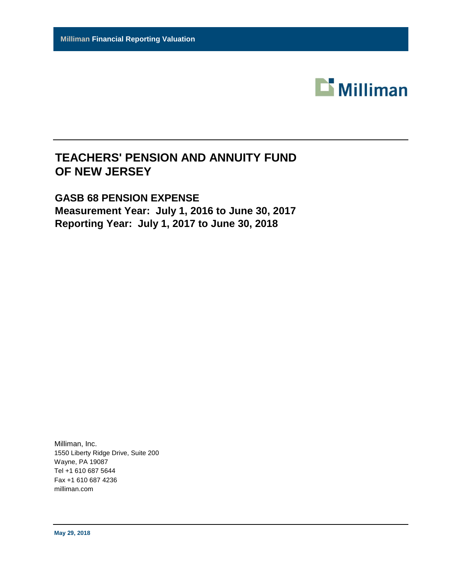

# **TEACHERS' PENSION AND ANNUITY FUND OF NEW JERSEY**

# **GASB 68 PENSION EXPENSE Measurement Year: July 1, 2016 to June 30, 2017 Reporting Year: July 1, 2017 to June 30, 2018**

Milliman, Inc. 1550 Liberty Ridge Drive, Suite 200 Wayne, PA 19087 Tel +1 610 687 5644 Fax +1 610 687 4236 milliman.com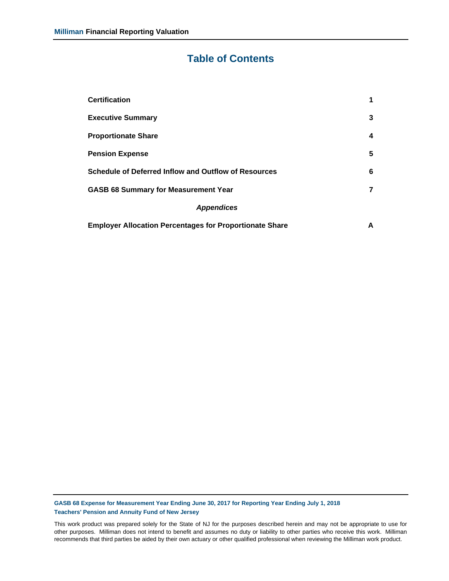# **Table of Contents**

| <b>Certification</b>                                           | 1 |
|----------------------------------------------------------------|---|
| <b>Executive Summary</b>                                       | 3 |
| <b>Proportionate Share</b>                                     | 4 |
| <b>Pension Expense</b>                                         | 5 |
| <b>Schedule of Deferred Inflow and Outflow of Resources</b>    | 6 |
| <b>GASB 68 Summary for Measurement Year</b>                    | 7 |
| <b>Appendices</b>                                              |   |
| <b>Employer Allocation Percentages for Proportionate Share</b> | А |

**GASB 68 Expense for Measurement Year Ending June 30, 2017 for Reporting Year Ending July 1, 2018 Teachers' Pension and Annuity Fund of New Jersey**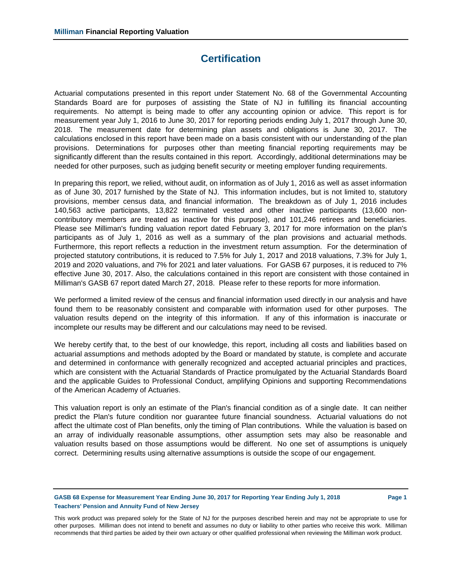## **Certification**

Actuarial computations presented in this report under Statement No. 68 of the Governmental Accounting Standards Board are for purposes of assisting the State of NJ in fulfilling its financial accounting requirements. No attempt is being made to offer any accounting opinion or advice. This report is for measurement year July 1, 2016 to June 30, 2017 for reporting periods ending July 1, 2017 through June 30, 2018. The measurement date for determining plan assets and obligations is June 30, 2017. The calculations enclosed in this report have been made on a basis consistent with our understanding of the plan provisions. Determinations for purposes other than meeting financial reporting requirements may be significantly different than the results contained in this report. Accordingly, additional determinations may be needed for other purposes, such as judging benefit security or meeting employer funding requirements.

In preparing this report, we relied, without audit, on information as of July 1, 2016 as well as asset information as of June 30, 2017 furnished by the State of NJ. This information includes, but is not limited to, statutory provisions, member census data, and financial information. The breakdown as of July 1, 2016 includes 140,563 active participants, 13,822 terminated vested and other inactive participants (13,600 noncontributory members are treated as inactive for this purpose), and 101,246 retirees and beneficiaries. Please see Milliman's funding valuation report dated February 3, 2017 for more information on the plan's participants as of July 1, 2016 as well as a summary of the plan provisions and actuarial methods. Furthermore, this report reflects a reduction in the investment return assumption. For the determination of projected statutory contributions, it is reduced to 7.5% for July 1, 2017 and 2018 valuations, 7.3% for July 1, 2019 and 2020 valuations, and 7% for 2021 and later valuations. For GASB 67 purposes, it is reduced to 7% effective June 30, 2017. Also, the calculations contained in this report are consistent with those contained in Milliman's GASB 67 report dated March 27, 2018. Please refer to these reports for more information.

We performed a limited review of the census and financial information used directly in our analysis and have found them to be reasonably consistent and comparable with information used for other purposes. The valuation results depend on the integrity of this information. If any of this information is inaccurate or incomplete our results may be different and our calculations may need to be revised.

We hereby certify that, to the best of our knowledge, this report, including all costs and liabilities based on actuarial assumptions and methods adopted by the Board or mandated by statute, is complete and accurate and determined in conformance with generally recognized and accepted actuarial principles and practices, which are consistent with the Actuarial Standards of Practice promulgated by the Actuarial Standards Board and the applicable Guides to Professional Conduct, amplifying Opinions and supporting Recommendations of the American Academy of Actuaries.

This valuation report is only an estimate of the Plan's financial condition as of a single date. It can neither predict the Plan's future condition nor guarantee future financial soundness. Actuarial valuations do not affect the ultimate cost of Plan benefits, only the timing of Plan contributions. While the valuation is based on an array of individually reasonable assumptions, other assumption sets may also be reasonable and valuation results based on those assumptions would be different. No one set of assumptions is uniquely correct. Determining results using alternative assumptions is outside the scope of our engagement.

**GASB 68 Expense for Measurement Year Ending June 30, 2017 for Reporting Year Ending July 1, 2018 Page 1 Teachers' Pension and Annuity Fund of New Jersey**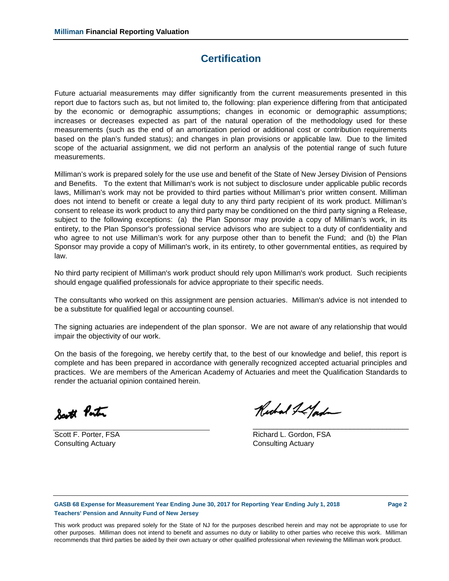## **Certification**

Future actuarial measurements may differ significantly from the current measurements presented in this report due to factors such as, but not limited to, the following: plan experience differing from that anticipated by the economic or demographic assumptions; changes in economic or demographic assumptions; increases or decreases expected as part of the natural operation of the methodology used for these measurements (such as the end of an amortization period or additional cost or contribution requirements based on the plan's funded status); and changes in plan provisions or applicable law. Due to the limited scope of the actuarial assignment, we did not perform an analysis of the potential range of such future measurements.

Milliman's work is prepared solely for the use use and benefit of the State of New Jersey Division of Pensions and Benefits. To the extent that Milliman's work is not subject to disclosure under applicable public records laws, Milliman's work may not be provided to third parties without Milliman's prior written consent. Milliman does not intend to benefit or create a legal duty to any third party recipient of its work product. Milliman's consent to release its work product to any third party may be conditioned on the third party signing a Release, subject to the following exceptions: (a) the Plan Sponsor may provide a copy of Milliman's work, in its entirety, to the Plan Sponsor's professional service advisors who are subject to a duty of confidentiality and who agree to not use Milliman's work for any purpose other than to benefit the Fund; and (b) the Plan Sponsor may provide a copy of Milliman's work, in its entirety, to other governmental entities, as required by law.

No third party recipient of Milliman's work product should rely upon Milliman's work product. Such recipients should engage qualified professionals for advice appropriate to their specific needs.

The consultants who worked on this assignment are pension actuaries. Milliman's advice is not intended to be a substitute for qualified legal or accounting counsel.

The signing actuaries are independent of the plan sponsor. We are not aware of any relationship that would impair the objectivity of our work.

On the basis of the foregoing, we hereby certify that, to the best of our knowledge and belief, this report is complete and has been prepared in accordance with generally recognized accepted actuarial principles and practices. We are members of the American Academy of Actuaries and meet the Qualification Standards to render the actuarial opinion contained herein.

South Ponton

Consulting Actuary Consulting Actuary

Richard & Land

\_\_\_\_\_\_\_\_\_\_\_\_\_\_\_\_\_\_\_\_\_\_\_\_\_\_\_\_\_\_\_\_\_\_\_\_\_\_\_

Scott F. Porter, FSA **Richard L. Gordon, FSA** 

**GASB 68 Expense for Measurement Year Ending June 30, 2017 for Reporting Year Ending July 1, 2018 Page 2 Teachers' Pension and Annuity Fund of New Jersey**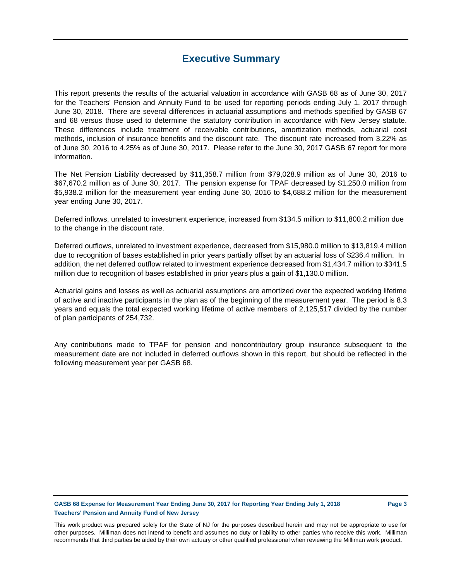## **Executive Summary**

This report presents the results of the actuarial valuation in accordance with GASB 68 as of June 30, 2017 for the Teachers' Pension and Annuity Fund to be used for reporting periods ending July 1, 2017 through June 30, 2018. There are several differences in actuarial assumptions and methods specified by GASB 67 and 68 versus those used to determine the statutory contribution in accordance with New Jersey statute. These differences include treatment of receivable contributions, amortization methods, actuarial cost methods, inclusion of insurance benefits and the discount rate. The discount rate increased from 3.22% as of June 30, 2016 to 4.25% as of June 30, 2017. Please refer to the June 30, 2017 GASB 67 report for more information.

The Net Pension Liability decreased by \$11,358.7 million from \$79,028.9 million as of June 30, 2016 to \$67,670.2 million as of June 30, 2017. The pension expense for TPAF decreased by \$1,250.0 million from \$5,938.2 million for the measurement year ending June 30, 2016 to \$4,688.2 million for the measurement year ending June 30, 2017.

Deferred inflows, unrelated to investment experience, increased from \$134.5 million to \$11,800.2 million due to the change in the discount rate.

Deferred outflows, unrelated to investment experience, decreased from \$15,980.0 million to \$13,819.4 million due to recognition of bases established in prior years partially offset by an actuarial loss of \$236.4 million. In addition, the net deferred outflow related to investment experience decreased from \$1,434.7 million to \$341.5 million due to recognition of bases established in prior years plus a gain of \$1,130.0 million.

Actuarial gains and losses as well as actuarial assumptions are amortized over the expected working lifetime of active and inactive participants in the plan as of the beginning of the measurement year. The period is 8.3 years and equals the total expected working lifetime of active members of 2,125,517 divided by the number of plan participants of 254,732.

Any contributions made to TPAF for pension and noncontributory group insurance subsequent to the measurement date are not included in deferred outflows shown in this report, but should be reflected in the following measurement year per GASB 68.

**GASB 68 Expense for Measurement Year Ending June 30, 2017 for Reporting Year Ending July 1, 2018 Page 3 Teachers' Pension and Annuity Fund of New Jersey**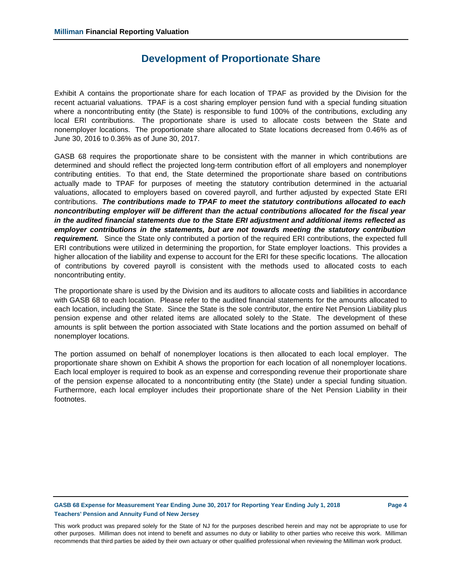## **Development of Proportionate Share**

Exhibit A contains the proportionate share for each location of TPAF as provided by the Division for the recent actuarial valuations. TPAF is a cost sharing employer pension fund with a special funding situation where a noncontributing entity (the State) is responsible to fund 100% of the contributions, excluding any local ERI contributions. The proportionate share is used to allocate costs between the State and nonemployer locations. The proportionate share allocated to State locations decreased from 0.46% as of June 30, 2016 to 0.36% as of June 30, 2017.

GASB 68 requires the proportionate share to be consistent with the manner in which contributions are determined and should reflect the projected long-term contribution effort of all employers and nonemployer contributing entities. To that end, the State determined the proportionate share based on contributions actually made to TPAF for purposes of meeting the statutory contribution determined in the actuarial valuations, allocated to employers based on covered payroll, and further adjusted by expected State ERI contributions. *The contributions made to TPAF to meet the statutory contributions allocated to each noncontributing employer will be different than the actual contributions allocated for the fiscal year in the audited financial statements due to the State ERI adjustment and additional items reflected as employer contributions in the statements, but are not towards meeting the statutory contribution requirement.* Since the State only contributed a portion of the required ERI contributions, the expected full ERI contributions were utilized in determining the proportion, for State employer loactions. This provides a higher allocation of the liability and expense to account for the ERI for these specific locations. The allocation of contributions by covered payroll is consistent with the methods used to allocated costs to each noncontributing entity.

The proportionate share is used by the Division and its auditors to allocate costs and liabilities in accordance with GASB 68 to each location. Please refer to the audited financial statements for the amounts allocated to each location, including the State. Since the State is the sole contributor, the entire Net Pension Liability plus pension expense and other related items are allocated solely to the State. The development of these amounts is split between the portion associated with State locations and the portion assumed on behalf of nonemployer locations.

The portion assumed on behalf of nonemployer locations is then allocated to each local employer. The proportionate share shown on Exhibit A shows the proportion for each location of all nonemployer locations. Each local employer is required to book as an expense and corresponding revenue their proportionate share of the pension expense allocated to a noncontributing entity (the State) under a special funding situation. Furthermore, each local employer includes their proportionate share of the Net Pension Liability in their footnotes.

**GASB 68 Expense for Measurement Year Ending June 30, 2017 for Reporting Year Ending July 1, 2018 Page 4 Teachers' Pension and Annuity Fund of New Jersey**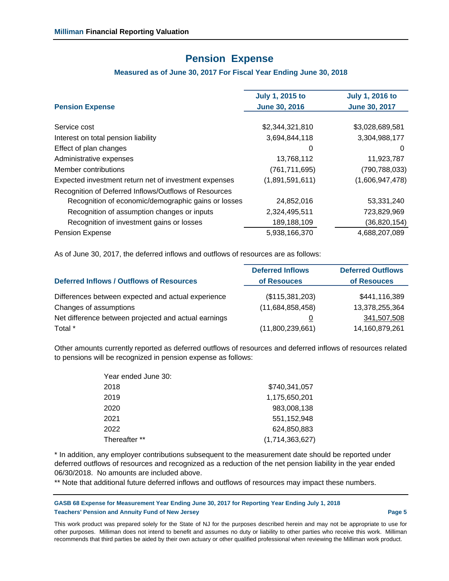## **Pension Expense**

### **Measured as of June 30, 2017 For Fiscal Year Ending June 30, 2018**

| <b>Pension Expense</b>                                | <b>July 1, 2015 to</b><br><b>June 30, 2016</b> | <b>July 1, 2016 to</b><br><b>June 30, 2017</b> |
|-------------------------------------------------------|------------------------------------------------|------------------------------------------------|
|                                                       |                                                |                                                |
| Service cost                                          | \$2,344,321,810                                | \$3,028,689,581                                |
| Interest on total pension liability                   | 3,694,844,118                                  | 3,304,988,177                                  |
| Effect of plan changes                                | 0                                              | 0                                              |
| Administrative expenses                               | 13,768,112                                     | 11,923,787                                     |
| Member contributions                                  | (761, 711, 695)                                | (790, 788, 033)                                |
| Expected investment return net of investment expenses | (1,891,591,611)                                | (1,606,947,478)                                |
| Recognition of Deferred Inflows/Outflows of Resources |                                                |                                                |
| Recognition of economic/demographic gains or losses   | 24,852,016                                     | 53,331,240                                     |
| Recognition of assumption changes or inputs           | 2,324,495,511                                  | 723,829,969                                    |
| Recognition of investment gains or losses             | 189,188,109                                    | (36, 820, 154)                                 |
| Pension Expense                                       | 5,938,166,370                                  | 4,688,207,089                                  |
|                                                       |                                                |                                                |

As of June 30, 2017, the deferred inflows and outflows of resources are as follows:

|                                                      | <b>Deferred Inflows</b> | <b>Deferred Outflows</b> |
|------------------------------------------------------|-------------------------|--------------------------|
| <b>Deferred Inflows / Outflows of Resources</b>      | of Resouces             | of Resouces              |
| Differences between expected and actual experience   | (\$115,381,203)         | \$441,116,389            |
| Changes of assumptions                               | (11,684,858,458)        | 13,378,255,364           |
| Net difference between projected and actual earnings | O                       | 341,507,508              |
| Total *                                              | (11,800,239,661)        | 14,160,879,261           |

Other amounts currently reported as deferred outflows of resources and deferred inflows of resources related to pensions will be recognized in pension expense as follows:

| \$740,341,057   |
|-----------------|
| 1,175,650,201   |
| 983,008,138     |
| 551.152.948     |
| 624,850,883     |
| (1,714,363,627) |
|                 |

\* In addition, any employer contributions subsequent to the measurement date should be reported under deferred outflows of resources and recognized as a reduction of the net pension liability in the year ended 06/30/2018. No amounts are included above.

\*\* Note that additional future deferred inflows and outflows of resources may impact these numbers.

**GASB 68 Expense for Measurement Year Ending June 30, 2017 for Reporting Year Ending July 1, 2018 Teachers' Pension and Annuity Fund of New Jersey Page 5**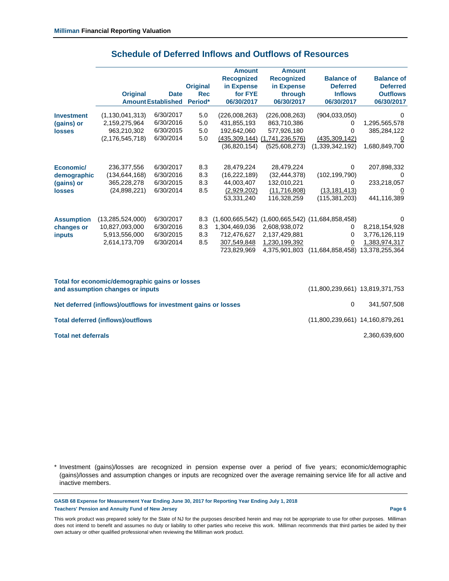|                   |                     |                           |                 | <b>Amount</b>     | Amount                        |                                                        |                   |
|-------------------|---------------------|---------------------------|-----------------|-------------------|-------------------------------|--------------------------------------------------------|-------------------|
|                   |                     |                           |                 | <b>Recognized</b> | <b>Recognized</b>             | <b>Balance of</b>                                      | <b>Balance of</b> |
|                   |                     |                           | <b>Original</b> | in Expense        | in Expense                    | <b>Deferred</b>                                        | <b>Deferred</b>   |
|                   | <b>Original</b>     | <b>Date</b>               | <b>Rec</b>      | for FYE           | through                       | <b>Inflows</b>                                         | <b>Outflows</b>   |
|                   |                     | <b>Amount Established</b> | Period*         | 06/30/2017        | 06/30/2017                    | 06/30/2017                                             | 06/30/2017        |
| <b>Investment</b> | (1, 130, 041, 313)  | 6/30/2017                 | 5.0             | (226,008,263)     | (226,008,263)                 | (904, 033, 050)                                        | $\Omega$          |
| (gains) or        | 2,159,275,964       | 6/30/2016                 | 5.0             | 431,855,193       | 863,710,386                   | $\Omega$                                               | 1,295,565,578     |
| <b>losses</b>     | 963,210,302         | 6/30/2015                 | 5.0             | 192,642,060       | 577,926,180                   | $\Omega$                                               | 385,284,122       |
|                   | (2, 176, 545, 718)  | 6/30/2014                 | 5.0             |                   | (435,309,144) (1,741,236,576) | (435, 309, 142)                                        | <u>0</u>          |
|                   |                     |                           |                 | (36,820,154)      | (525,608,273)                 | (1,339,342,192)                                        | 1,680,849,700     |
|                   |                     |                           |                 |                   |                               |                                                        |                   |
| Economic/         | 236,377,556         | 6/30/2017                 | 8.3             | 28,479,224        | 28,479,224                    | 0                                                      | 207,898,332       |
| demographic       | (134, 644, 168)     | 6/30/2016                 | 8.3             | (16,222,189)      | (32, 444, 378)                | (102, 199, 790)                                        | $\Omega$          |
| (gains) or        | 365,228,278         | 6/30/2015                 | 8.3             | 44,003,407        | 132,010,221                   | $\Omega$                                               | 233,218,057       |
| <b>losses</b>     | (24,898,221)        | 6/30/2014                 | 8.5             | (2,929,202)       | (11,716,808)                  | (13, 181, 413)                                         | $\overline{0}$    |
|                   |                     |                           |                 | 53,331,240        | 116,328,259                   | (115, 381, 203)                                        | 441,116,389       |
|                   |                     |                           |                 |                   |                               |                                                        |                   |
| <b>Assumption</b> | (13, 285, 524, 000) | 6/30/2017                 | 8.3             |                   |                               | $(1,600,665,542)$ $(1,600,665,542)$ $(11,684,858,458)$ | $\Omega$          |
| changes or        | 10,827,093,000      | 6/30/2016                 | 8.3             | 1,304,469,036     | 2,608,938,072                 | 0                                                      | 8,218,154,928     |
| <i>inputs</i>     | 5,913,556,000       | 6/30/2015                 | 8.3             | 712,476,627       | 2,137,429,881                 | $\Omega$                                               | 3,776,126,119     |
|                   | 2,614,173,709       | 6/30/2014                 | 8.5             | 307,549,848       | 1,230,199,392                 | 0                                                      | 1,383,974,317     |
|                   |                     |                           |                 | 723,829,969       | 4,375,901,803                 | (11,684,858,458)                                       | 13,378,255,364    |
|                   |                     |                           |                 |                   |                               |                                                        |                   |

## **Schedule of Deferred Inflows and Outflows of Resources**

| Total for economic/demographic gains or losses<br>and assumption changes or inputs | (11,800,239,661) 13,819,371,753 |               |
|------------------------------------------------------------------------------------|---------------------------------|---------------|
| Net deferred (inflows)/outflows for investment gains or losses                     | $\Omega$                        | 341.507.508   |
| <b>Total deferred (inflows)/outflows</b>                                           | (11,800,239,661) 14,160,879,261 |               |
| <b>Total net deferrals</b>                                                         |                                 | 2,360,639,600 |

\* Investment (gains)/losses are recognized in pension expense over a period of five years; economic/demographic (gains)/losses and assumption changes or inputs are recognized over the average remaining service life for all active and inactive members.

**GASB 68 Expense for Measurement Year Ending June 30, 2017 for Reporting Year Ending July 1, 2018 Teachers' Pension and Annuity Fund of New Jersey Page 6**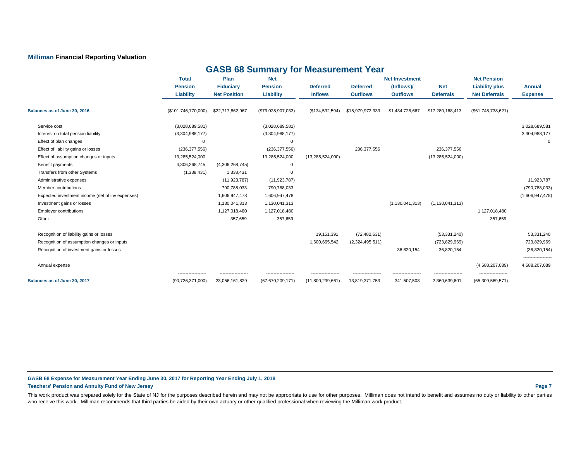### **Milliman Financial Reporting Valuation**

|                                                  |                                            |                                      | <b>GASB 68 Summary for Measurement Year</b> |                     |                  |                       |                                     |                       |                                      |
|--------------------------------------------------|--------------------------------------------|--------------------------------------|---------------------------------------------|---------------------|------------------|-----------------------|-------------------------------------|-----------------------|--------------------------------------|
|                                                  | <b>Total</b>                               | Plan                                 | <b>Net</b>                                  |                     |                  | <b>Net Investment</b> |                                     | <b>Net Pension</b>    |                                      |
|                                                  | <b>Pension</b>                             | <b>Fiduciary</b>                     | <b>Pension</b>                              | <b>Deferred</b>     | <b>Deferred</b>  | (Inflows)/            | <b>Net</b>                          | <b>Liability plus</b> | <b>Annual</b>                        |
|                                                  | Liability                                  | <b>Net Position</b>                  | <b>Liability</b>                            | <b>Inflows</b>      | <b>Outflows</b>  | <b>Outflows</b>       | <b>Deferrals</b>                    | <b>Net Deferrals</b>  | <b>Expense</b>                       |
| Balances as of June 30, 2016                     | (\$101,746,770,000)                        | \$22,717,862,967                     | (\$79,028,907,033)                          | (\$134,532,594)     | \$15,979,972,339 | \$1,434,728,667       | \$17,280,168,413                    | (\$61,748,738,621)    |                                      |
| Service cost                                     | (3,028,689,581)                            |                                      | (3,028,689,581)                             |                     |                  |                       |                                     |                       | 3,028,689,581                        |
| Interest on total pension liability              | (3,304,988,177)                            |                                      | (3,304,988,177)                             |                     |                  |                       |                                     |                       | 3,304,988,177                        |
| Effect of plan changes                           | $\mathbf 0$                                |                                      | $\Omega$                                    |                     |                  |                       |                                     |                       | 0                                    |
| Effect of liability gains or losses              | (236, 377, 556)                            |                                      | (236, 377, 556)                             |                     | 236,377,556      |                       | 236,377,556                         |                       |                                      |
| Effect of assumption changes or inputs           | 13,285,524,000                             |                                      | 13,285,524,000                              | (13, 285, 524, 000) |                  |                       | (13, 285, 524, 000)                 |                       |                                      |
| Benefit payments                                 | 4,306,268,745                              | (4,306,268,745)                      | $\Omega$                                    |                     |                  |                       |                                     |                       |                                      |
| Transfers from other Systems                     | (1,338,431)                                | 1,338,431                            | $\Omega$                                    |                     |                  |                       |                                     |                       |                                      |
| Administrative expenses                          |                                            | (11, 923, 787)                       | (11, 923, 787)                              |                     |                  |                       |                                     |                       | 11,923,787                           |
| Member contributions                             |                                            | 790,788,033                          | 790,788,033                                 |                     |                  |                       |                                     |                       | (790,788,033)                        |
| Expected investment income (net of inv expenses) |                                            | 1,606,947,478                        | 1,606,947,478                               |                     |                  |                       |                                     |                       | (1,606,947,478)                      |
| Investment gains or losses                       |                                            | 1,130,041,313                        | 1,130,041,313                               |                     |                  | (1, 130, 041, 313)    | (1, 130, 041, 313)                  |                       |                                      |
| <b>Employer contributions</b>                    |                                            | 1,127,018,480                        | 1,127,018,480                               |                     |                  |                       |                                     | 1,127,018,480         |                                      |
| Other                                            |                                            | 357,659                              | 357,659                                     |                     |                  |                       |                                     | 357,659               |                                      |
| Recognition of liability gains or losses         |                                            |                                      |                                             | 19,151,391          | (72, 482, 631)   |                       | (53, 331, 240)                      |                       | 53,331,240                           |
| Recognition of assumption changes or inputs      |                                            |                                      |                                             | 1,600,665,542       | (2,324,495,511)  |                       | (723, 829, 969)                     |                       | 723,829,969                          |
| Recognition of investment gains or losses        |                                            |                                      |                                             |                     |                  | 36.820.154            | 36,820,154                          |                       | (36, 820, 154)                       |
| Annual expense                                   |                                            |                                      |                                             |                     |                  |                       |                                     | (4,688,207,089)       | -------------------<br>4,688,207,089 |
| Balances as of June 30, 2017                     | -------------------<br>(90, 726, 371, 000) | ------------------<br>23,056,161,829 | -----------------<br>(67, 670, 209, 171)    | (11,800,239,661)    | 13,819,371,753   | 341,507,508           | ------------------<br>2,360,639,601 | <br>(65,309,569,571)  |                                      |

### **GASB 68 Expense for Measurement Year Ending June 30, 2017 for Reporting Year Ending July 1, 2018**

### **Teachers' Pension and Annuity Fund of New Jersey Page 7**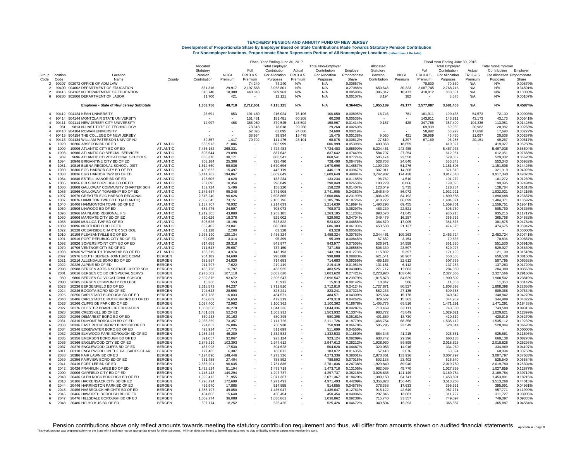|                                 |                |                                                                           |                                    | Fiscal Year Ending June 30, 2017 |                   |                          |                        |                   |                           | Fiscal Year Ending June 30, 2016 |                        |                   |                     |                        |                   |                              |                      |
|---------------------------------|----------------|---------------------------------------------------------------------------|------------------------------------|----------------------------------|-------------------|--------------------------|------------------------|-------------------|---------------------------|----------------------------------|------------------------|-------------------|---------------------|------------------------|-------------------|------------------------------|----------------------|
|                                 |                |                                                                           |                                    | Allocated                        |                   |                          | Total Employer         |                   | <b>Total Non-Employer</b> |                                  | Allocated              |                   |                     | Total Employer         |                   | <b>Total Non-Employer</b>    |                      |
|                                 |                |                                                                           |                                    | Statutory                        |                   | Full                     | Contribution           | Actual            | Contribution              | Emplover                         | Statutory              |                   | Full                | Contribution           | Actual            | Contribution                 | Employer             |
|                                 | Group Location | Location                                                                  |                                    | Pension                          | <b>NCGI</b>       | ERI3&5                   | For Allocation         | <b>ERI3&amp;5</b> | For Allocation            | Proportionate                    | Pension                | <b>NCGI</b>       | ERI 3 & 5           | For Allocation         | <b>ERI3&amp;5</b> | For Allocation Proportionate |                      |
| Code                            | Code           | Name<br>90207 902072 OFFICE OF ADM LAW                                    | County                             | <b>Contribution</b>              | Premium           | Premium                  | Purposes               | Premium           | Purposes                  | Share                            | Contribution           | Premium           | Premium             | Purposes               | Premium           | Purposes                     | Share                |
| $\mathcal{P}$<br>$\overline{2}$ |                | 90400 904002 DEPARTMENT OF EDUCATION                                      |                                    | 831,316                          | 29,917            | 74.240<br>2,197,568      | 74.240<br>3,058,801    | N/A<br>N/A        | N/A<br>N/A                | 0.00657%<br>0.27088%             | 650,648                | 30,323            | 70,530<br>2,087,745 | 70.530<br>2,768,716    | N/A<br>N/A        | N/A<br>N/A                   | 0.00879%<br>0.34501% |
| $\mathcal{P}$                   |                | 90416 904162 NJ DEPARTMENT OF EDUCATION                                   |                                    | 510,740                          | 18,380            | 440,843                  | 969,963                | N/A               | N/A                       | 0.08590%                         | 396,347                | 18,472            | 418,812             | 833,631                | N/A               | N/A                          | 0.10388%             |
| -6                              |                | 90280 902806 DEPARTMENT OF LABOR                                          |                                    | 11,700                           | 421               |                          | 12,121                 | N/A               | N/A                       | 0.00107%                         | 8,194                  | 382               |                     | 8.576                  | N/A               | N/A                          | 0.00107%             |
|                                 |                | Employer - State of New Jersey Subtotals                                  |                                    | 1,353,756                        | 48,718            | 2,712,651                | 4,115,125              | N/A               | N/A                       | 0.36442%                         | 1,055,189              | 49,177            | 2,577,087           | 3,681,453              | N/A               | N/A                          | 0.45874%             |
|                                 |                | 90412 904124 KEAN UNIVERSITY                                              |                                    | 23,691                           | 853               | 191.480                  | 216,024                | 76.106            | 100.650                   | 0.00895%                         | 16,746                 | 781               | 181.911             | 199.438                | 54,573            | 72.100                       | 0.00903%             |
|                                 |                | 90414 904144 MONTCLAIR STATE UNIVERSITY                                   |                                    |                                  |                   | 151,481                  | 151,481                | 60,208            | 60,208                    | 0.00535%                         |                        |                   | 143.911             | 143.911                | 43.173            | 43.173                       | 0.00541%             |
| $\Delta$                        |                | 90411 904114 NEW JERSEY CITY UNIVERSITY                                   |                                    | 12,997                           | 468               | 366,080                  | 379,545                | 145,502           | 158.967                   | 0.01414%                         | 9,187                  | 428               | 347,785             | 357,400                | 104,336           | 113,951                      | 0.01428%             |
|                                 | 981            | 9813 NJ INSTITUTE OF TECHNOLOGY                                           |                                    |                                  |                   | 73.618                   | 73.618                 | 29,260            | 29,260                    | 0.00260%                         |                        |                   | 69.939              | 69.939                 | 20.982            | 20.982                       | 0.002639             |
| 4                               | 90410          | 904104 ROWAN UNIVERSITY                                                   |                                    |                                  |                   | 62.095                   | 62.095                 | 24,680            | 24,680                    | 0.00219%                         |                        |                   | 58.992              | 58.992                 | 17,698            | 17,698                       | 0.002229             |
| $\Delta$                        |                | 90415 904154 THE COLLEGE OF NEW JERSEY                                    |                                    |                                  |                   | 38.934                   | 38,934                 | 15,475            | 15,475                    | 0.00138%                         | 9,020                  | 421               | 36,989              | 46,430                 | 11,097            | 20,538                       | 0.002579             |
|                                 | 90413<br>1020  | 904134 WILLIAM PATERSON UNIV OF N.                                        | <b>ATLANTIC</b>                    | 39,357                           | 1.417<br>21.086   | 70,702                   | 111.476                | 28,101            | 68,875                    | 0.00612%<br>0.05398%             | 27,819                 | 1.297             | 67,169              | 96.285                 | 20,151            | 49.267<br>419.027            | 0.006179<br>0.05250  |
|                                 | 1000           | 10206 ABSECON BD OF ED<br>10006 ATLANTIC CITY BD OF ED                    | <b>ATLANTIC</b>                    | 585,913<br>7,456,152             | 268,331           |                          | 606,999<br>7,724,483   |                   | 606,999<br>7,724,483      | 0.68690%                         | 400,368<br>5,224,451   | 18,659<br>243,485 |                     | 419,027<br>5,467,936   |                   | 5,467,936                    | 0.68504%             |
|                                 | 1098           | 10986 ATLANTIC CO SPECIAL SERVICES                                        | <b>ATLANTIC</b>                    | 808.544                          | 29,098            |                          | 837,642                |                   | 837,642                   | 0.07449%                         | 584,797                | 27,254            |                     | 612,051                |                   | 612,051                      | 0.076689             |
|                                 | 969            | 9696 ATLANTIC CO VOCATIONAL SCHOOLS                                       | <b>ATLANTIC</b>                    | 838,370                          | 30,171            |                          | 868,541                |                   | 868,541                   | 0.07724%                         | 505,474                | 23,558            |                     | 529.032                |                   | 529,032                      | 0.066289             |
|                                 | 1094           | 10946 BRIGANTINE CITY BD OF ED                                            | ATLANTIC                           | 703,184                          | 25,306            |                          | 728,490                |                   | 728,490                   | 0.06478%                         | 528.703                | 24,640            |                     | 553,343                |                   | 553,343                      | 0.069329             |
|                                 | 1081           | 10816 BUENA REGIONAL SCHOOL DIST                                          | <b>ATLANTIC</b>                    | 1,612,660                        | 58,036            |                          | 1,670,696              |                   | 1,670,696                 | 0.14857%                         | 1,100,230              | 51,276            |                     | 1,151,506              |                   | 1,151,506                    | 0.144269             |
| -6                              | 1030           | 10306 EGG HARBOR CITY BD OF ED                                            | ATLANTIC                           | 430.622                          | 15.497            | $\sim$                   | 446,119                |                   | 446.119                   | 0.03967%                         | 307,011                | 14.308            |                     | 321.319                |                   | 321,319                      | 0.04026%             |
| $\epsilon$                      | 1083           | 10836 EGG HARBOR TWP BD OF ED                                             | <b>ATLANTIC</b>                    | 5.414.782                        | 194.867           | $\overline{\phantom{a}}$ | 5.609.649              |                   | 5.609.649                 | 0.49884%                         | 3.742.902              | 174.438           |                     | 3.917.340              |                   | 3.917.340                    | 0.49078%             |
|                                 | 1084           | 10846 ESTELL MANOR BD OF ED                                               | <b>ATLANTIC</b>                    | 128,606                          | 4,628             |                          | 133,234                |                   | 133.234                   | 0.01185%                         | 96.762                 | 4,510             |                     | 101,272                |                   | 101,272                      | 0.012699             |
| -6<br>-8                        | 1085<br>1080   | 10856 FOLSOM BOROUGH BD OF ED<br>10808 GALLOWAY COMMUNITY CHARTER SCH     | <b>ATLANTIC</b><br><b>ATLANTIC</b> | 287,695<br>152,724               | 10,354<br>5,496   | ÷.                       | 298,049<br>158,220     |                   | 298,049<br>158,220        | 0.02650%<br>0.01407%             | 190.229<br>123,049     | 8,866<br>5,735    |                     | 199,095                |                   | 199,095<br>128,784           | 0.02494%<br>0.016139 |
| $\epsilon$                      | 1086           | 10866 GALLOWAY TOWNSHIP BD OF ED                                          | <b>ATLANTIC</b>                    | 2.646.657                        | 95.248            |                          | 2.741.905              |                   | 2.741.905                 | 0.24383%                         | 1.846.849              | 86.072            |                     | 128,784<br>1.932.921   |                   | 1.932.921                    | 0.242169             |
| 6                               | 1097           | 10976 GREATER EGG HARBOR REGIONAL                                         | <b>ATLANTIC</b>                    | 2,518,240                        | 90,626            |                          | 2,608,866              |                   | 2,608,866                 | 0.23199%                         | 1,806,496              | 84,192            |                     | 1.890.688              |                   | 1,890,688                    | 0.236879             |
| -6                              | 1087           | 10876 HAMILTON TWP BD ED (ATLANTIC)                                       | <b>ATLANTIC</b>                    | 2,032,645                        | 73,151            | ÷.                       | 2,105,796              |                   | 2,105,796                 | 0.18726%                         | 1,418,272              | 66,099            |                     | 1,484,371              |                   | 1,484,371                    | 0.185979             |
| -6                              | 1040           | 10406 HAMMONTON TOWN BD OF ED                                             | <b>ATLANTIC</b>                    | 2,137,707                        | 76.932            |                          | 2.214.639              |                   | 2.214.639                 | 0.19694%                         | 1,490,296              | 69.455            |                     | 1,559,751              |                   | 1,559,751                    | 0.195419             |
|                                 | 1050           | 10506 LINWOOD BD OF ED                                                    | <b>ATLANTIC</b>                    | 683,476                          | 24,597            |                          | 708,073                |                   | 708,073                   | 0.06297%                         | 483.239                | 22.521            |                     | 505,760                |                   | 505,760                      | 0.063369             |
| 6                               | 1096           | 10966 MAINLAND REGIONAL H S                                               | ATLANTIC                           | 1,219,305                        | 43,880            |                          | 1,263,185              |                   | 1,263,185                 | 0.11233%                         | 893,570                | 41,645            |                     | 935,215                |                   | 935,215                      | 0.117179             |
|                                 | 1060<br>1088   | 10606 MARGATE CITY BD OF ED<br>10886 MULLICA TWP BD OF ED                 | ATLANTIC                           | 510.626                          | 18,376            |                          | 529,002                |                   | 529,002                   | 0.04704%                         | 349,479                | 16,287            |                     | 365,766                |                   | 365,766                      | 0.04582%             |
|                                 | 1089           | 10896 NORTHFIELD BD OF ED                                                 | <b>ATLANTIC</b><br>ATLANTIC        | 505.626<br>662,462               | 18.196<br>23,841  |                          | 523.822<br>686,303     |                   | 523.822<br>686,303        | 0.04658%<br>0.06103%             | 364,870<br>453,538     | 17,005<br>21,137  |                     | 381,875<br>474,675     |                   | 381.875<br>474,675           | 0.047849<br>0.05947% |
| 8                               | 1022           | 10228 OCEANSIDE CHARTER SCHOOL                                            | <b>ATLANTIC</b>                    | 61,128                           | 2,200             |                          | 63.328                 |                   | 63.328                    | 0.00563%                         |                        |                   |                     |                        |                   |                              | 0.00000%             |
| $\epsilon$                      | 1010           | 10106 PLEASANTVILLE BD OF ED                                              | <b>ATLANTIC</b>                    | 3,338,190                        | 120,134           |                          | 3,458,324              |                   | 3,458,324                 | 0.30753%                         | 2,344,461              | 109,263           |                     | 2,453,724              |                   | 2,453,724                    | 0.30741%             |
| -6                              | 1091           | 10916 PORT REPUBLIC CITY BD OF ED                                         | <b>ATLANTIC</b>                    | 92.085                           | 3.314             |                          | 95.399                 |                   | 95.399                    | 0.00848%                         | 67.682                 | 3.154             |                     | 70.836                 |                   | 70.836                       | 0.00887%             |
|                                 | 1092           | 10926 SOMERS POINT CITY BD OF ED                                          | ATLANTIC                           | 814.659                          | 29,318            |                          | 843,977                |                   | 843,977                   | 0.07505%                         | 526,971                | 24,559            |                     | 551,530                |                   | 551,530                      | 0.06910%             |
|                                 | 1070           | 10706 VENTNOR CITY BD OF ED                                               | <b>ATLANTIC</b>                    | 711,543                          | 25,607            |                          | 737,150                |                   | 737,150                   | 0.06555%                         | 506,330                | 23,597            |                     | 529,927                |                   | 529,927                      | 0.066399             |
| -6                              | 1093           | 10936 WEYMOUTH TOWNSHIP BD OF ED                                          | ATLANTIC                           | 138.219                          | 4.974             |                          | 143.193                |                   | 143.193                   | 0.01273%                         | 115,802                | 5,397             |                     | 121,199                |                   | 121.199                      | 0.015189             |
| $\epsilon$<br>-6                | 2097<br>2021   | 20976 SOUTH BERGEN JOINTURE COMM                                          | <b>BERGEN</b>                      | 964.189                          | 34,699            |                          | 998.888                |                   | 998.888                   | 0.08883%<br>0.06355%             | 621.541<br>485.183     | 28.967            |                     | 650.508                |                   | 650,508                      | 0.08150%             |
| -6                              | 2022           | 20216 ALLENDALE BORO BD OF ED<br>20226 ALPINE BD OF ED                    | <b>BERGEN</b><br><b>BERGEN</b>     | 689,857<br>211,797               | 24,826<br>7,622   |                          | 714,683<br>219,419     |                   | 714,683<br>219,419        | 0.01951%                         | 131,151                | 22,612<br>6,112   |                     | 507,795<br>137,263     |                   | 507,795<br>137,263           | 0.063629<br>0.017209 |
| -8                              | 2098           | 20988 BERGEN ARTS & SCIENCE CHRTR SCH                                     | <b>BERGEN</b>                      | 466,728                          | 16.797            |                          | 483.525                |                   | 483,525                   | 0.04300%                         | 271,717                | 12,663            |                     | 284,380                |                   | 284,380                      | 0.035639             |
| -6                              | 2001           | 20016 BERGEN CO BD OF SPECIAL SERVS                                       | <b>BERGEN</b>                      | 2.976.502                        | 107.118           |                          | 3.083.620              |                   | 3.083.620                 | 0.27421%                         | 2.223.920              | 103.646           |                     | 2.327.566              |                   | 2.327.566                    | 0.29160%             |
|                                 | 980            | 9806 BERGEN CO VOCATIONAL SCHOOL                                          | <b>BERGEN</b>                      | 2,602,875                        | 93,672            |                          | 2.696.547              |                   | 2,696,547                 | 0.23979%                         | 1,815,873              | 84,629            |                     | 1.900.502              |                   | 1,900,502                    | 0.238109             |
|                                 | 2030           | 20305 BERGEN COMMUNITY COLLEGE                                            | <b>BERGEN</b>                      | 15,360                           | 553               |                          | 15,913                 |                   | 15,913                    | 0.00142%                         | 10,847                 | 506               |                     | 11,353                 |                   | 11,353                       | 0.001429             |
|                                 | 2023           | 20236 BERGENFIELD BD OF ED                                                | <b>BERGEN</b>                      | 2,618,573                        | 94,237            |                          | 2,712,810              |                   | 2,712,810                 | 0.24124%                         | 1,727,871              | 80.527            |                     | 1,808,398              |                   | 1.808.398                    | 0.226569             |
| 6                               | 2024           | 20246 BOGOTA BORO BD OF ED                                                | <b>BERGEN</b>                      | 794,643                          | 28,598            |                          | 823,241                |                   | 823,241                   | 0.07321%                         | 582,233                | 27,135            |                     | 609,368                |                   | 609,368                      | 0.07634%             |
|                                 | 2025<br>2040   | 20256 CARLSTADT BOROUGH BD OF ED<br>20406 CARLSTADT E.RUTHERFORD BD OF ED | <b>BERGEN</b><br><b>BERGEN</b>     | 467,738<br>462,669               | 16,833<br>16,650  |                          | 484,571<br>479,319     |                   | 484,571<br>479,319        | 0.04309%<br>0.04262%             | 325,664<br>329,627     | 15,178<br>15,362  |                     | 340.842<br>344,989     |                   | 340,842<br>344,989           | 0.04270%<br>0.043229 |
| -6                              | 2026           | 20266 CLIFFSIDE PARK BD OF ED                                             | <b>BERGEN</b>                      | 2.027.400                        | 72.962            | $\overline{\phantom{a}}$ | 2.100.362              |                   | 2.100.362                 | 0.18678%                         | 1.405.775              | 65.516            |                     | 1.471.291              |                   | 1.471.291                    | 0.18433%             |
| 6                               | 2027           | 20276 CLOSTER BOARD OF EDUCATION                                          | <b>BERGEN</b>                      | 1,008,058                        | 36,278            |                          | 1,044,336              |                   | 1,044,336                 | 0.09287%                         | 710,469                | 33,111            |                     | 743,580                |                   | 743.580                      | 0.09316%             |
|                                 | 2028           | 20286 CRESSKILL BD OF ED                                                  | <b>BERGEN</b>                      | 1,451,689                        | 52,243            |                          | 1,503,932              |                   | 1,503,932                 | 0.13374%                         | 983,772                | 45,849            |                     | 1,029,621              |                   | 1,029,621                    | 0.128999             |
| 6                               | 2029           | 20296 DEMAREST BORO BD OF ED                                              | <b>BERGEN</b>                      | 560.233                          | 20.162            |                          | 580.395                |                   | 580.395                   | 0.05161%                         | 401,889                | 18,730            |                     | 420.619                |                   | 420.619                      | 0.05270%             |
| $\epsilon$                      | 2031           | 20316 DUMONT BOROUGH BD OF ED                                             | <b>BERGEN</b>                      | 2.038.369                        | 73.357            |                          | 2.111.726              |                   | 2.111.726                 | 0.18779%                         | 1.466.754              | 68.358            |                     | 1.535.112              |                   | 1.535.112                    | 0.192329             |
| -6                              | 2033           | 20336 EAST RUTHERFORD BORO BD OF ED                                       | <b>BERGEN</b>                      | 724,852                          | 26,086            |                          | 750,938                |                   | 750,938                   | 0.06678%                         | 505,295                | 23,549            |                     | 528,844                |                   | 528,844                      | 0.066269             |
|                                 | 2034<br>2032   | 20346 EDGEWATER BORO BD OF ED<br>20326 ELMWOOD PARK BOROUGH BD OF ED      | <b>BERGEN</b><br><b>BERGEN</b>     | 493,924<br>1.286.244             | 17,775            |                          | 511.699                |                   | 511.699                   | 0.04550%<br>0.11850%             | 884,346                | 41.215            |                     |                        |                   | 925,561                      | 0.000009<br>0.115969 |
| -6<br>$\epsilon$                | 2035           | 20356 EMERSON BOROUGH BD OF ED                                            | <b>BERGEN</b>                      | 891.057                          | 46,289<br>32.067  |                          | 1,332,533<br>923.124   |                   | 1,332,533<br>923.124      | 0.08209%                         | 630.742                | 29.396            |                     | 925,561<br>660.138     |                   | 660.138                      | 0.08270%             |
|                                 | 2036           | 20366 ENGLEWOOD CITY BD OF ED                                             | <b>BERGEN</b>                      | 2,845,219                        | 102,393           |                          | 2,947,612              |                   | 2,947,612                 | 0.26212%                         | 1,928,930              | 89,898            |                     | 2,018,828              |                   | 2,018,828                    | 0.252939             |
|                                 | 2037           | 20376 ENGLEWOOD CLIFFS BD OF ED                                           | <b>BERGEN</b>                      | 487,098                          | 17,530            |                          | 504,628                |                   | 504,628                   | 0.04487%                         | 320,053                | 14,916            |                     | 334,969                |                   | 334,969                      | 0.04197%             |
|                                 | 6011           | 60118 ENGLEWOOD ON THE PALISADES CHAR                                     | <b>BERGEN</b>                      | 177,485                          | 6.387             |                          | 183,872                |                   | 183,872                   | 0.01635%                         | 57,418                 | 2,676             |                     | 60,094                 |                   | 60.094                       | 0.007539             |
| -6                              | 2038           | 20386 FAIR LAWN BD OF ED                                                  | <b>BERGEN</b>                      | 4.124.890                        | 148.446           |                          | 4.273.336              |                   | 4.273.336                 | 0.38001%                         | 2.873.861              | 133.936           |                     | 3.007.797              |                   | 3.007.797                    | 0.37683%             |
|                                 | 2039           | 20396 FAIRVIEW BORO BD OF ED                                              | <b>BERGEN</b>                      | 761.488                          | 27,404            |                          | 788.892                |                   | 788.892                   | 0.07015%                         | 502.138                | 23,402            |                     | 525.540                |                   | 525,540                      | 0.06584%             |
| 6                               | 2041           | 20416 FORT LEE BD OF ED                                                   | <b>BERGEN</b>                      | 2,685,201                        | 96,635            | $\sim$                   | 2,781,836              |                   | 2,781,836                 | 0.24738%                         | 1,929,840              | 89,940            |                     | 2,019,780              |                   | 2,019,780                    | 0.25304%             |
| -6                              | 2042<br>2000   | 20426 FRANKLIN LAKES BD OF ED                                             | <b>BERGEN</b>                      | 1,422,524                        | 51 194            | ÷.                       | 1,473,718              |                   | 1,473,718                 | 0.13105%                         | 982.089                | 45.770            |                     | 1,027,859              |                   | 1.027.859                    | 0.12877%<br>0.39712% |
|                                 | 2043           | 20006 GARFIELD CITY BD OF ED<br>20436 GLEN ROCK BOROUGH BD OF ED          | <b>BERGEN</b><br><b>BERGEN</b>     | 4,148,443<br>1,999,412           | 149,294<br>71,955 |                          | 4,297,737<br>2,071,367 |                   | 4,297,737<br>2,071,367    | 0.38218%<br>0.18420%             | 3,028,635<br>1,389,150 | 141,149<br>64,741 |                     | 3,169,784<br>1.453.891 |                   | 3,169,784<br>1,453,891       | 0.18215%             |
|                                 | 2010           | 20106 HACKENSACK CITY BD OF ED                                            | <b>BERGEN</b>                      | 4,798,794                        | 172,699           |                          | 4,971,493              |                   | 4,971,493                 | 0.44209%                         | 3,356,823              | 156,445           |                     | 3,513,268              |                   | 3,513,268                    | 0.440159             |
| ĥ                               | 2044           | 20446 HARRINGTON PARK BD OF ED                                            | <b>BERGEN</b>                      | 496.970                          | 17.885            |                          | 514.855                |                   | 514.855                   | 0.04578%                         | 378,358                | 17.633            |                     | 395.991                |                   | 395.991                      | 0.04961%             |
|                                 | 2045           | 20456 HASBROUCK HEIGHTS BD OF ED                                          | <b>BERGEN</b>                      | 1,385,197                        | 49,850            |                          | 1,435,047              |                   | 1,435,047                 | 0.12761%                         | 915,122                | 42,649            |                     | 957,771                |                   | 957.771                      | 0.119999             |
|                                 | 2046           | 20466 HAWORTH BOROUGH BD OF ED                                            | <b>BERGEN</b>                      | 434,806                          | 15,648            |                          | 450,454                |                   | 450,454                   | 0.04006%                         | 297,846                | 13,881            |                     | 311.727                |                   | 311,727                      | 0.039059             |
|                                 | 2047           | 20476 HILLSDALE BOROUGH BD OF ED                                          | <b>BERGEN</b>                      | 1.002.774                        | 36,088            |                          | 1.038.862              |                   | 1.038.862                 | 0.09238%                         | 715,740                | 33.357            |                     | 749.097                |                   | 749.097                      | 0.093859             |
| ĥ                               | 2048           | 20486 HO-HO-KUS BD OF ED                                                  | <b>BERGEN</b>                      | 507.174                          | 18.252            |                          | 525.426                |                   | 525.426                   | 0.04672%                         | 349.594                | 16.293            |                     | 365.887                |                   | 365.887                      | 0.04584%             |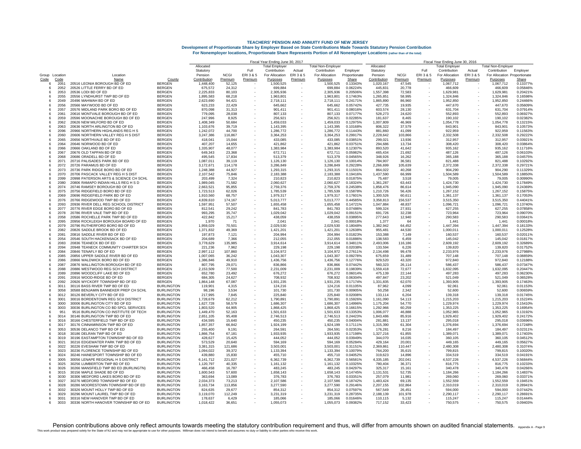|                |              |                                                                          |                                        |                                                                 |                   | Fiscal Year Ending June 30, 2017 |                        |         | Fiscal Year Ending June 30, 2016 |                      |                                                    |                   |           |                        |         |                              |                      |
|----------------|--------------|--------------------------------------------------------------------------|----------------------------------------|-----------------------------------------------------------------|-------------------|----------------------------------|------------------------|---------|----------------------------------|----------------------|----------------------------------------------------|-------------------|-----------|------------------------|---------|------------------------------|----------------------|
|                |              |                                                                          |                                        | Allocated<br><b>Total Employer</b><br><b>Total Non-Employer</b> |                   |                                  |                        |         |                                  | Allocated            | <b>Total Employer</b><br><b>Total Non-Employer</b> |                   |           |                        |         |                              |                      |
|                |              |                                                                          |                                        | Statutory                                                       |                   | Full                             | Contribution           | Actual  | Contribution                     | Employer             | Statutory                                          |                   | Full      | Contribution           | Actual  | Contribution                 | Employer             |
| Group Location |              | Location                                                                 |                                        | Pension                                                         | <b>NCGI</b>       | ERI3&5                           | For Allocation         | ERI3&5  | For Allocation                   | Proportionate        | Pension                                            | <b>NCGI</b>       | ERI 3 & 5 | For Allocation         | ERI3&5  | For Allocation Proportionate |                      |
| Code           | Code         | Name                                                                     | County                                 | Contribution                                                    | Premium           | Premium                          | Purposes               | Premium | Purposes                         | Share                | Contribution                                       | <b>Premium</b>    | Premium   | Purposes               | Premium | Purposes                     | Share                |
| -6             | 2051         | 20516 LEONIA BOROUGH BD OF ED                                            | <b>BERGEN</b>                          | 1,448,400                                                       | 52,125            |                                  | 1,500,525              |         | 1,500,525                        | 0.13343%             | 1,020,167                                          | 47,545            |           | 1,067,712              |         | 1,067,712                    | 0.13377%             |
|                | 2052         | 20526 LITTLE FERRY BD OF ED                                              | <b>BERGEN</b>                          | 675,572                                                         | 24,312            |                                  | 699,884                |         | 699.884                          | 0.06224%             | 445,831                                            | 20,778            |           | 466,609                |         | 466,609                      | 0.05846%             |
| -6             | 2053         | 20536 LODI BD OF ED                                                      | <b>BERGEN</b>                          | 2,225,833                                                       | 80.103            |                                  | 2,305,936              |         | 2.305.936                        | 0.20506%             | 1,557,398                                          | 72.583            |           | 1,629,981              |         | 1,629,981                    | 0.20421%             |
| -6             | 2055         | 20556 LYNDHURST TWP BD OF ED                                             | <b>BERGEN</b>                          | 1,895,583                                                       | 68,218            |                                  | 1,963,801              |         | 1,963,801                        | 0.17463%             | 1,265,851                                          | 58,995            |           | 1,324,846              |         | 1,324,846                    | 0.16598%             |
|                | 2049         | 20496 MAHWAH BD OF FD                                                    | BERGEN                                 | 2,623,690                                                       | 94,421            | $\overline{\phantom{a}}$         | 2,718,111              |         | 2.718.111                        | 0.24171%             | 1,865,890                                          | 86,960            |           | 1,952,850              |         | 1,952,850                    | 0.24466%             |
| 6              | 2056<br>2057 | 20566 MAYWOOD BD OF ED<br>20576 MIDLAND PARK BORO BD OF ED               | <b>BERGEN</b><br><b>BERGEN</b>         | 623,233<br>870,098                                              | 22,429<br>31,313  |                                  | 645,662<br>901.411     |         | 645,662<br>901.411               | 0.05742%<br>0.08016% | 427,735<br>603,574                                 | 19,935<br>28.130  |           | 447,670<br>631.704     |         | 447,670<br>631,704           | 0.05609%<br>0.07914% |
| -6             | 2061         | 20616 MONTVALE BOROUGH BD OF ED                                          | <b>BERGEN</b>                          | 779,095                                                         | 28,038            |                                  | 807,133                |         | 807,133                          | 0.07177%             | 528,273                                            | 24,620            |           | 552,893                |         | 552,893                      | 0.06927%             |
| 6              | 2059         | 20596 MOONACHIE BOROUGH BD OF ED                                         | <b>BERGEN</b>                          | 247,996                                                         | 8,925             |                                  | 256,921                |         | 256,921                          | 0.02285%             | 181,637                                            | 8,465             |           | 190,102                |         | 190,102                      | 0.02382%             |
| -6             | 2062         | 20626 NEW MILFORD BD OF ED                                               | <b>BERGEN</b>                          | 1.408.349                                                       | 50,684            |                                  | 1,459,033              |         | 1.459.033                        | 0.12975%             | 1,007,809                                          | 46.969            |           | 1.054.778              |         | 1.054.778                    | 0.13215%             |
| 6              | 2063         | 20636 NORTH ARLINGTON BD OF ED                                           | <b>BERGEN</b>                          | 1,103,676                                                       | 39,719            |                                  | 1,143,395              |         | 1.143.395                        | 0.10168%             | 806,322                                            | 37,579            |           | 843.901                |         | 843.901                      | 0.10573%             |
| 6              | 2096         | 20966 NORTHERN HIGHLANDS REG H S                                         | <b>BERGEN</b>                          | 1,242,072                                                       | 44.700            |                                  | 1,286,772              |         | 1,286,772                        | 0.11443%             | 881,860                                            | 41,099            |           | 922.959                |         | 922.959                      | 0.11563%             |
| 6              | 2060         | 20606 NORTHERN VALLEY REG H S DIST                                       | <b>BERGEN</b>                          | 3,247,386                                                       | 116,867           |                                  | 3,364,253              |         | 3,364,253                        | 0.29917%             | 2,228,642                                          | 103,866           |           | 2,332,508              |         | 2,332,508                    | 0.29222%             |
| -6             | 2065         | 20656 NORTHVALE BD OF ED                                                 | <b>BERGEN</b>                          | 418.041                                                         | 15.044            |                                  | 433,085                |         | 433.085                          | 0.03851%             | 299.021                                            | 13.936            |           | 312,957                |         | 312,957                      | 0.03921%             |
| -6             | 2064         | 20646 NORWOOD BD OF ED                                                   | <b>BERGEN</b>                          | 407,207                                                         | 14,655            |                                  | 421,862                |         | 421,862                          | 0.03751%             | 294,686                                            | 13,734            |           | 308,420                |         | 308,420                      | 0.03864%             |
|                | 2066         | 20666 OAKLAND BD OF ED                                                   | <b>BERGEN</b>                          | 1.335.907                                                       | 48,077            |                                  | 1.383.984              |         | 1,383,984                        | 0.12307%             | 893.520                                            | 41,642            |           | 935.162                |         | 935.162                      | 0.11716%             |
|                | 2067         | 20676 OLD TAPPAN BD OF ED                                                | <b>BERGEN</b>                          | 649,343                                                         | 23,368            |                                  | 672,711                |         | 672,711                          | 0.05982%             | 465,434                                            | 21,692            |           | 487,126                |         | 487,126                      | 0.06103%             |
| ĥ              | 2068         | 20686 ORADELL BD OF ED                                                   | <b>BERGEN</b>                          | 495,545                                                         | 17,834            |                                  | 513,379                |         | 513.379                          | 0.04565%             | 348,926                                            | 16.262            |           | 365.188                |         | 365.188                      | 0.04575%             |
| 6              | 2071         | 20716 PALISADES PARK BD OF ED                                            | <b>BERGEN</b>                          | 1,087,011                                                       | 39,119            |                                  | 1,126,130              |         | 1,126,130                        | 0.10014%             | 784,907                                            | 36,581            |           | 821,488                |         | 821,488                      | 0.10292%             |
|                | 2072         | 20726 PARAMUS BD OF ED                                                   | <b>BERGEN</b>                          | 3,172,671                                                       | 114.178           |                                  | 3.286.849              |         | 3,286,849                        | 0.29228%             | 2.266.699                                          | 105,639           |           | 2.372.338              |         | 2,372,338                    | 0.29721%             |
| -6             | 2073         | 20736 PARK RIDGE BORO BD OF ED                                           | <b>BERGEN</b>                          | 1,248,388                                                       | 44,927            | $\sim$                           | 1.293.315              |         | 1.293.315                        | 0.11501%             | 864,022                                            | 40,268            |           | 904.290                |         | 904,290                      | 0.11329%             |
| -6             | 2070         | 20706 PASCACK VALLEY REG H S DIST                                        | <b>BERGEN</b>                          | 2,107,542                                                       | 75,846            |                                  | 2,183,388              |         | 2,183,388                        | 0.19416%             | 1,437,590                                          | 66,999            |           | 1.504.589              |         | 1,504,589                    | 0.18850%             |
| 8              | 2099         | 20998 PATERSON ARTS & SCIENCE CH SCHL                                    | <b>BERGEN</b>                          | 203,499                                                         | 7,324             |                                  | 210,823                |         | 210,823                          | 0.01875%             | 75,487                                             | 3,518             |           | 79,005                 |         | 79,005                       | 0.00990%             |
| 6              | 2080         | 20806 RAMAPO INDIAN HILLS REG H S D                                      | <b>BERGEN</b>                          | 1,989,045                                                       | 71,582            |                                  | 2,060,627              |         | 2,060,627                        | 0.18324%             | 1,361,287                                          | 63,443            |           | 1,424,730              |         | 1,424,730                    | 0.17849%             |
| -6             | 2074<br>2075 | 20746 RAMSEY BOROUGH BD OF ED<br>20756 RIDGEFIELD BORO BD OF ED          | <b>BERGEN</b><br><b>BERGEN</b>         | 2,663,521<br>1.723.513                                          | 95,855<br>62.026  |                                  | 2,759,376<br>1.785.539 |         | 2,759,376<br>1.785.539           | 0.24538%<br>0.15878% | 1,858,476                                          | 86,614<br>56.426  |           | 1,945,090<br>1.267.152 |         | 1,945,090<br>1.267.152       | 0.24369%<br>0.15875% |
| 6              | 2069         | 20696 RIDGEFIELD PARK BD OF ED                                           | <b>BERGEN</b>                          | 1,910,560                                                       | 68,757            |                                  | 1,979,317              |         | 1,979,317                        | 0.17601%             | 1,210,726<br>1,300,526                             | 60.611            |           | 1,361,137              |         | 1,361,137                    | 0.17053%             |
| 6              | 2076         | 20766 RIDGEWOOD TWP BD OF ED                                             | <b>BERGEN</b>                          | 4,839,610                                                       | 174,167           |                                  | 5,013,777              |         | 5,013,777                        | 0.44585%             | 3,358,813                                          | 156,537           |           | 3,515,350              |         | 3,515,350                    | 0.44041%             |
| -6             | 2093         | 20936 RIVER DELL REG SCHOOL DISTRICT                                     | <b>BERGEN</b>                          | 1,597,951                                                       | 57,507            |                                  | 1.655.458              |         | 1,655,458                        | 0.14721%             | 1,047,884                                          | 48.837            |           | 1.096.721              |         | 1,096,721                    | 0.13740%             |
| -6             | 2077         | 20776 RIVER EDGE BORO BD OF ED                                           | <b>BERGEN</b>                          | 812.541                                                         | 29.242            |                                  | 841.783                |         | 841.783                          | 0.07486%             | 599.324                                            | 27.931            |           | 627.255                |         | 627.255                      | 0.07858%             |
|                | 2078         | 20786 RIVER VALE TWP BD OF ED                                            | <b>BERGEN</b>                          | 993,295                                                         | 35,747            |                                  | 1,029,042              |         | 1,029,042                        | 0.09151%             | 691,726                                            | 32,238            |           | 723.964                |         | 723,964                      | 0.09070%             |
| 6              | 2058         | 20586 ROCHELLE PARK TWP BD OF ED                                         | <b>BERGEN</b>                          | 422.842                                                         | 15,217            |                                  | 438.059                |         | 438.059                          | 0.03895%             | 277,643                                            | 12.940            |           | 290.583                |         | 290.583                      | 0.03641%             |
|                | 2095         | 20956 ROCKLEIGH BOROUGH BOARD OF ED                                      | <b>BERGEN</b>                          | 1,970                                                           | 71                |                                  | 2.041                  |         | 2.041                            | 0.00018%             | 1.377                                              | 64                |           | 1.441                  |         | 1.441                        | 0.00018%             |
| -6             | 2079         | 20796 RUTHERFORD BORO BD OF ED                                           | <b>BERGEN</b>                          | 1,959,029                                                       | 70,501            |                                  | 2,029,530              |         | 2,029,530                        | 0.18048%             | 1,382,942                                          | 64,452            |           | 1,447,394              |         | 1,447,394                    | 0.18133%             |
|                | 2082         | 20826 SADDLE BROOK BD OF ED                                              | <b>BERGEN</b>                          | 1,371,832                                                       | 49,369            |                                  | 1,421,201              |         | 1,421,201                        | 0.12638%             | 955,481                                            | 44,530            |           | 1,000,011              |         | 1,000,011                    | 0.12528%             |
| 6              | 2081         | 20816 SADDLE RIVER BD OF ED                                              | <b>BERGEN</b>                          | 197,873                                                         | 7,121             |                                  | 204.994                |         | 204,994                          | 0.01823%             | 153,388                                            | 7,149             |           | 160,537                |         | 160,537                      | 0.02011%             |
| -6             | 2054         | 20546 SOUTH HACKENSACK BD OF ED                                          | <b>BERGEN</b>                          | 204,689                                                         | 7.366             |                                  | 212,055                |         | 212,055                          | 0.01886%             | 138,583                                            | 6,459             |           | 145,042                |         | 145,042                      | 0.01817%             |
|                | 2083         | 20836 TEANECK BD OF ED                                                   | <b>BERGEN</b>                          | 3,778,629                                                       | 135,985           |                                  | 3,914,614              |         | 3,914,614                        | 0.34811%             | 2,493,006                                          | 116,186           |           | 2,609,192              |         | 2,609,192                    | 0.32689%             |
|                | 2094         | 20948 TEANECK COMMUNITY CHARTER SCH                                      | <b>BERGEN</b>                          | 221,236                                                         | 7,962             |                                  | 229,198                |         | 229,198                          | 0.02038%             | 133,594                                            | 6,226             |           | 139,820                |         | 139,820                      | 0.01752%             |
| 6              | 2084         | 20846 TENAFLY BD OF ED                                                   | <b>BERGEN</b>                          | 2,997,112                                                       | 107.860           |                                  | 3.104.972              |         | 3.104.972                        | 0.27611%             | 2,134,498                                          | 99.478            |           | 2.233.976              |         | 2.233.976                    | 0.27988%             |
| 6              | 2085         | 20856 UPPER SADDLE RIVER BD OF ED                                        | <b>BERGEN</b>                          | 1,007,065                                                       | 36,242            |                                  | 1,043,307              |         | 1,043,307                        | 0.09278%             | 675,659                                            | 31,489            |           | 707,148                |         | 707,148                      | 0.08859%             |
| -6             | 2086         | 20866 WALDWICK BORO BD OF ED                                             | <b>BERGEN</b>                          | 1,386,846                                                       | 49,910            |                                  | 1,436,756              |         | 1,436,756                        | 0.12776%             | 929,520                                            | 43,320            |           | 972,840                |         | 972,840                      | 0.12188%             |
| $\epsilon$     | 2087<br>2088 | 20876 WALLINGTON BOROUGH BD OF ED                                        | <b>BERGEN</b><br><b>BERGEN</b>         | 807,795                                                         | 29,071            |                                  | 836,866                |         | 836,866                          | 0.07442%<br>0.19839% | 560,323                                            | 26,114<br>72.677  |           | 586,437                |         | 586,437                      | 0.07347%<br>0.20447% |
|                | 2089         | 20886 WESTWOOD REG SCH DISTRICT<br>20896 WOODCLIFF LAKE BD OF ED         | <b>BERGEN</b>                          | 2,153,509<br>652,780                                            | 77,500<br>23,492  |                                  | 2.231.009<br>676,272   |         | 2,231,009<br>676,272             | 0.06014%             | 1,559,418<br>475,139                               | 22,144            |           | 1.632.095<br>497.283   |         | 1,632,095<br>497,283         | 0.06230%             |
| -6             | 2091         | 20916 WOOD-RIDGE BD OF ED                                                | <b>BERGEN</b>                          | 684,305                                                         | 24,627            |                                  | 708,932                |         | 708,932                          | 0.06304%             | 497,847                                            | 23,202            |           | 521,049                |         | 521,049                      | 0.06528%             |
|                | 2092         | 20926 WYCKOFF TOWNSHIP BD OF ED                                          | <b>BERGEN</b>                          | 1.864.148                                                       | 67.087            |                                  | 1.931.235              |         | 1.931.235                        | 0.17174%             | 1.331.835                                          | 62.070            |           | 1.393.905              |         | 1.393.905                    | 0.17463%             |
| 6              | 3011         | 30116 BASS RIVER TWP BD OF ED                                            | <b>BURLINGTON</b>                      | 119.901                                                         | 4.315             |                                  | 124.216                |         | 124.216                          | 0.01105%             | 87.962                                             | 4.099             |           | 92.061                 |         | 92.061                       | 0.01153%             |
|                | 3058         | 30588 BENJAMIN BANNEKER PREP CH SCHL                                     | <b>BURLINGTON</b>                      | 98.196                                                          | 3.534             |                                  | 101.730                |         | 101.730                          | 0.00905%             | 50.258                                             | 2.342             |           | 52,600                 |         | 52,600                       | 0.00659%             |
| 6              | 3012         | 30126 BEVERLY CITY BD OF ED                                              | <b>BURLINGTON</b>                      | 217,995                                                         | 7,845             |                                  | 225,840                |         | 225,840                          | 0.02008%             | 133,114                                            | 6,204             |           | 139,318                |         | 139,318                      | 0.01745%             |
| -6             | 3001         | 30016 BORDENTOWN REG SCH DISTRICT                                        | <b>BURLINGTON</b>                      | 1.728.679                                                       | 62,212            |                                  | 1,790,891              |         | 1,790,891                        | 0.15926%             | 1.161.090                                          | 54.113            |           | 1,215,203              |         | 1,215,203                    | 0.15224%             |
| -6             | 3000         | 30006 BURLINGTON CITY BD OF ED                                           | <b>BURLINGTON</b>                      | 1,627,728                                                       | 58,579            |                                  | 1,686,307              |         | 1,686,307                        | 0.14996%             | 1,175,204                                          | 54,770            | $\sim$    | 1,229,974              |         | 1,229,974                    | 0.15410%             |
| 6              | 3003         | 30036 BURLINGTON CO BD SPCL SERVICES                                     | <b>BURLINGTON</b>                      | 1.803.520                                                       | 64,905            |                                  | 1,868,425              |         | 1,868,425                        | 0.16615%             | 1,292,966                                          | 60,259            |           | 1.353.225              |         | 1,353,225                    | 0.16954%             |
|                | 951          | 9516 BURLINGTON CO INSTITUTE OF TECH                                     | <b>BURLINGTON</b>                      | 1,449,470                                                       | 52,163            |                                  | 1,501,633              |         | 1,501,633                        | 0.13353%             | 1,006,077                                          | 46,888            |           | 1,052,965              |         | 1,052,965                    | 0.13192%             |
| -6             | 3014         | 30146 BURLINGTON TWP BD OF ED                                            | <b>BURLINGTON</b>                      | 2,651,105                                                       | 95,408            |                                  | 2,746,513              |         | 2,746,513                        | 0.24423%             | 1,843,486                                          | 85.916            |           | 1,929,402              |         | 1,929,402                    | 0.24172%             |
| 6              | 3016         | 30166 CHESTERFIELD TWP BD OF ED                                          | <b>BURLINGTON</b>                      | 434,595                                                         | 15,640            |                                  | 450,235                |         | 450,235                          | 0.04004%             | 281,881                                            | 13,137            |           | 295,018                |         | 295,018                      | 0.03696%             |
| 6              | 3017         | 30176 CINNAMINSON TWP BD OF ED                                           | <b>BURLINGTON</b>                      | 1,857,357                                                       | 66,842            |                                  | 1,924,199              |         | 1,924,199                        | 0.17111%             | 1,315,390                                          | 61,304            |           | 1,376,694              |         | 1,376,694                    | 0.17248%             |
| 6              | 3053         | 30536 DELANCO TWP BD OF ED                                               | <b>BURLINGTON</b>                      | 255,400                                                         | 9,191             |                                  | 264,591                |         | 264,591                          | 0.02353%             | 176,281                                            | 8,216             |           | 184,497                |         | 184,497                      | 0.02311%             |
| -6             | 3018         | 30186 DELRAN TWP BD OF ED                                                | <b>BURLINGTON</b>                      | 1.866.754                                                       | 67.181            |                                  | 1.933.935              |         | 1,933,935                        | 0.17198%             | 1,327,216                                          | 61,855            |           | 1.389.071              |         | 1.389.071                    | 0.17403%             |
| -6             | 3019         | 30196 EASTAMPTON TOWNSHIP BD OF ED                                       | <b>BURLINGTON</b>                      | 428,627                                                         | 15,425            |                                  | 444,052                |         | 444,052                          | 0.03949%             | 344,070                                            | 16,035            |           | 360,105                |         | 360,105                      | 0.04512%             |
|                | 3021         | 30216 EDGEWATER PARK TWP BD OF ED                                        | <b>BURLINGTON</b>                      | 573,529                                                         | 20,640            |                                  | 594.169                |         | 594,169                          | 0.05284%             | 429,164                                            | 20,001            |           | 449.165                |         | 449.165                      | 0.05627%             |
|                | 3022<br>3023 | 30226 EVESHAM TWP BD OF ED<br>30236 FLORENCE TOWNSHIP BD OF ED           | <b>BURLINGTON</b><br><b>BURLINGTON</b> | 3,381,315<br>1.094.022                                          | 121,686           |                                  | 3,503,001<br>1.133.394 |         | 3,503,001<br>1.133.394           | 0.31151%<br>0.10079% | 2,369,861<br>764,200                               | 110,447           |           | 2,480,308              |         | 2,480,308                    | 0.31074%<br>0.10020% |
| -6             | 3024         |                                                                          |                                        |                                                                 | 39,372            |                                  |                        |         |                                  |                      |                                                    | 35,615            |           | 799,815                |         | 799,815                      | 0.04191%             |
| -6<br>6        | 3005         | 30246 HAINESPORT TOWNSHIP BD OF ED<br>30056 LENAPE REGIONAL H S DISTRICT | <b>BURLINGTON</b><br><b>BURLINGTON</b> | 439,880<br>6,141,712                                            | 15,830<br>221,027 |                                  | 455,710<br>6,362,739   |         | 455,710<br>6,362,739             | 0.04052%<br>0.56581% | 319,623<br>4,335,185                               | 14,896<br>202,041 |           | 334,519<br>4,537,226   |         | 334,519<br>4,537,226         | 0.56844%             |
| -6             | 3025         | 30256 LUMBERTON TWP BD OF ED                                             | <b>BURLINGTON</b>                      | 1,120,797                                                       | 40,335            | $\sim$                           | 1,161,132              |         | 1,161,132                        | 0.10325%             | 780,404                                            | 36,371            |           | 816,775                |         | 816,775                      | 0.10233%             |
| -6             | 3026         | 30266 MANSFIELD TWP BD ED (BURLINGTN)                                    | <b>BURLINGTON</b>                      | 466.458                                                         | 16,787            |                                  | 483.245                |         | 483.245                          | 0.04297%             | 325.317                                            | 15.161            |           | 340.478                |         | 340.478                      | 0.04266%             |
|                | 3015         | 30156 MAPLE SHADE BD OF ED                                               | <b>BURLINGTON</b>                      | 1,600,543                                                       | 57,600            |                                  | 1,658,143              |         | 1,658,143                        | 0.14745%             | 1,131,531                                          | 52,735            |           | 1,184,266              |         | 1,184,266                    | 0.14837%             |
| 6              | 3030         | 30306 MEDFORD LAKES BORO BD OF ED                                        | <b>BURLINGTON</b>                      | 363.694                                                         | 13,089            |                                  | 376,783                |         | 376,783                          | 0.03351%             | 257,079                                            | 11,981            |           | 269,060                |         | 269,060                      | 0.03371%             |
| -6             | 3027         | 30276 MEDFORD TOWNSHIP BD OF ED                                          | <b>BURLINGTON</b>                      | 2,034,373                                                       | 73,213            |                                  | 2.107.586              |         | 2,107,586                        | 0.18742%             | 1,483,424                                          | 69.135            |           | 1.552.559              |         | 1,552,559                    | 0.19451%             |
|                | 3028         | 30286 MOORESTOWN TOWNSHIP BD OF ED                                       | <b>BURLINGTON</b>                      | 3,163,734                                                       | 113,856           |                                  | 3,277,590              |         | 3,277,590                        | 0.29146%             | 2,207,155                                          | 102,864           |           | 2,310,019              |         | 2,310,019                    | 0.28941%             |
|                | 3032         | 30326 MOUNT HOLLY TWP BD OF ED                                           | <b>BURLINGTON</b>                      | 824,635                                                         | 29,677            |                                  | 854,312                |         | 854.312                          | 0.07597%             | 567,549                                            | 26,451            |           | 594,000                |         | 594,000                      | 0.07442%             |
|                | 3029         | 30296 MOUNT LAUREL TWP BD OF ED                                          | <b>BURLINGTON</b>                      | 3,119,070                                                       | 112,249           |                                  | 3,231,319              |         | 3,231,319                        | 0.28735%             | 2,188,139                                          | 101,978           |           | 2.290.117              |         | 2.290.117                    | 0.28691%             |
|                | 3031         | 30316 NEW HANOVER TWP BD OF ED                                           | <b>BURLINGTON</b>                      | 178,637                                                         | 6,429             |                                  | 185.066                |         | 185,066                          | 0.01646%             | 110.115                                            | 5.132             |           | 115,247                |         | 115.247                      | 0.01444%             |
|                | 3033         | 30336 NORTH HANOVER TOWNSHIP BD OF ED                                    | <b>BURLINGTON</b>                      | 1,018,422                                                       | 36,651            |                                  | 1,055,073              |         | 1,055,073                        | 0.09382%             | 717,152                                            | 33,423            |           | 750.575                |         | 750.575                      | 0.09403%             |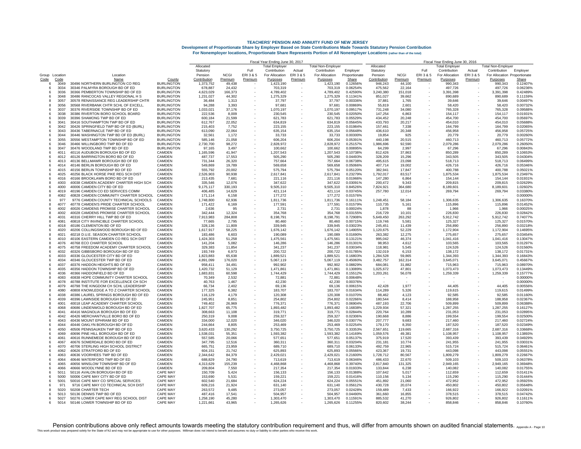|                    |                |                                                                   |                             | Fiscal Year Ending June 30, 2017 |                   |         |                       |         |                           |                      |                         | Fiscal Year Ending June 30, 2016 |           |                      |                   |                              |                      |  |  |
|--------------------|----------------|-------------------------------------------------------------------|-----------------------------|----------------------------------|-------------------|---------|-----------------------|---------|---------------------------|----------------------|-------------------------|----------------------------------|-----------|----------------------|-------------------|------------------------------|----------------------|--|--|
|                    |                |                                                                   |                             | Allocated                        |                   |         | <b>Total Emplover</b> |         | <b>Total Non-Employer</b> |                      | Allocated               |                                  |           | Total Employer       |                   | <b>Total Non-Employer</b>    |                      |  |  |
|                    |                |                                                                   |                             | Statutory                        |                   | Full    | Contribution          | Actual  | Contribution              | Employer             | Statutory               |                                  | Full      | Contribution         | Actual            | Contribution                 | Emplover             |  |  |
|                    | Group Location | Location                                                          |                             | Pension                          | <b>NCGI</b>       | ERI3&5  | For Allocation        | ERI3&5  | For Allocation            | Proportionate        | Pension                 | <b>NCGI</b>                      | ERI 3 & 5 | For Allocation       | <b>ERI3&amp;5</b> | For Allocation Proportionate |                      |  |  |
| Code<br>-6         | Code<br>3049   | Name<br>30496 NORTHERN BURLINGTON CO REG                          | County<br><b>BURLINGTON</b> | Contribution                     | Premium<br>49.438 | Premium | Purposes              | Premium | Purposes                  | Share<br>0.12656%    | Contribution<br>946.243 | Premium                          | Premium   | Purposes<br>990.343  | Premium           | Purposes<br>990.343          | Share<br>0.12407%    |  |  |
| -6                 | 3034           | 30346 PALMYRA BOROUGH BD OF ED                                    | <b>BURLINGTON</b>           | 1.373.752<br>678,887             | 24,432            |         | 1.423.190<br>703,319  |         | 1.423.190<br>703,319      | 0.06254%             | 475,562                 | 44.100<br>22,164                 |           | 497,726              |                   | 497,726                      | 0.06236%             |  |  |
|                    | 3036           | 30366 PEMBERTON TOWNSHIP BD OF ED                                 | <b>BURLINGTON</b>           | 4,623,029                        | 166,373           |         | 4,789,402             |         | 4,789,402                 | 0.42590%             | 3,240,380               | 151,018                          |           | 3,391,398            |                   | 3,391,398                    | 0.42489%             |  |  |
|                    | 3048           | 30486 RANCOCAS VALLEY REGIONAL H S                                | <b>BURLINGTON</b>           | 1.231.027                        | 44,302            |         | 1,275,329             |         | 1.275.329                 | 0.11341%             | 851.027                 | 39.662                           |           | 890,689              |                   | 890.689                      | 0.11159%             |  |  |
|                    | 3057           | 30578 RENAISSANCE REG LEADERSHIP CHTR                             | <b>BURLINGTON</b>           | 36.484                           | 1.313             |         | 37.797                |         | 37.797                    | 0.00336%             | 37,881                  | 1.765                            |           | 39.646               |                   | 39.646                       | 0.00497%             |  |  |
|                    | 3056           | 30568 RIVERBANK CHTR SCHL OF EXCELL                               | <b>BURLINGTON</b>           | 94,288                           | 3,393             |         | 97.681                |         | 97,681                    | 0.00869%             | 55,819                  | 2,601                            |           | 58,420               |                   | 58,420                       | 0.00732%             |  |  |
| 6                  | 3037           | 30376 RIVERSIDE TOWNSHIP BD OF ED                                 | <b>BURLINGTON</b>           | 1,033,021                        | 37,176            |         | 1,070,197             |         | 1,070,197                 | 0.09517%             | 731,248                 | 34,080                           |           | 765,328              |                   | 765,328                      | 0.09588%             |  |  |
| -6                 | 3038           | 30386 RIVERTON BORO SCHOOL BOARD                                  | <b>BURLINGTON</b>           | 222.536                          | 8.009             |         | 230.545               |         | 230.545                   | 0.02050%             | 147,254                 | 6.863                            |           | 154.117              |                   | 154.117                      | 0.01931%             |  |  |
| -6                 | 3039           | 30396 SHAMONG TWP BD OF ED                                        | <b>BURLINGTON</b>           | 600,184                          | 21,599            |         | 621,783               |         | 621,783                   | 0.05529%             | 434,452                 | 20,248                           |           | 454,700              |                   | 454,700                      | 0.05697%             |  |  |
|                    | 3041           | 30416 SOUTHAMPTON TWP BD OF FI                                    | <b>BURLINGTON</b>           | 612.767                          | 22,052            |         | 634.819               |         | 634.819                   | 0.05645%             | 433.793                 | 20,217                           |           | 454,010              |                   | 454.010                      | 0.05688%             |  |  |
|                    | 3042           | 30426 SPRINGFIELD TWP BD OF ED (BURL)                             | <b>BURLINGTON</b>           | 215,403                          | 7,752             |         | 223,155               |         | 223,155                   | 0.01984%             | 157,461                 | 7,338                            |           | 164,799              |                   | 164,799                      | 0.02065%             |  |  |
| -6                 | 3043           | 30436 TABERNACLE TWP BD OF ED                                     | <b>BURLINGTON</b>           | 613,090                          | 22,064            |         | 635,154               |         | 635.154                   | 0.05648%             | 436,610                 | 20,348                           |           | 456.958              |                   | 456,958                      | 0.05725%             |  |  |
| 6                  | 3044           | 30446 WASHINGTON TWP BD OF ED (BURL)                              | <b>BURLINGTON</b>           | 32,561                           | 1,172             |         | 33,733                |         | 33,733                    | 0.00300%             | 19,854                  | 925                              |           | 20,779               |                   | 20,779                       | 0.00260%             |  |  |
|                    | 3055           | 30556 WESTAMPTON TOWNSHIP BD OF ED                                | <b>BURLINGTON</b>           | 585.146                          | 21.058            |         | 606,204               |         | 606.204                   | 0.05391%             | 440,198                 | 20.515                           |           | 460.713              |                   | 460,713                      | 0.05772%             |  |  |
| ĥ                  | 3046<br>3047   | 30466 WILLINGBORO TWP BD OF ED                                    | <b>BURLINGTON</b>           | 2,730,700                        | 98,272            |         | 2.828.972             |         | 2,828,972                 | 0.25157%             | 1,986,696               | 92,590                           |           | 2.079.286            |                   | 2,079,286                    | 0.26050%             |  |  |
| -6                 | 4011           | 30476 WOODLAND TWP BD OF ED<br>40116 AUDUBON BOROUGH BD OF ED     | <b>BURLINGTON</b><br>CAMDEN | 97,165<br>1,165,596              | 3.497<br>41,947   |         | 100.662<br>1,207,543  |         | 100.662<br>1,207,543      | 0.00895%<br>0.10738% | 64.299<br>812,426       | 2.997<br>37,863                  |           | 67,296<br>850,289    |                   | 67.296<br>850,289            | 0.00843%<br>0.10653% |  |  |
|                    | 4012           | 40126 BARRINGTON BORO BD OF ED                                    | CAMDEN                      | 487,737                          | 17,553            |         | 505,290               |         | 505,290                   | 0.04493%             | 328,209                 | 15,296                           |           | 343,505              |                   | 343,505                      | 0.04304%             |  |  |
|                    | 4013           | 40136 BELLMAWR BOROUGH BD OF ED                                   | CAMDEN                      | 731.344                          | 26,320            |         | 757,664               |         | 757.664                   | 0.06738%             | 495,615                 | 23,098                           |           | 518,713              |                   | 518.713                      | 0.06499%             |  |  |
| -6                 | 4014           | 40146 BERLIN BOROUGH BD OF ED                                     | CAMDEN                      | 549.869                          | 19.789            |         | 569.658               |         | 569.658                   | 0.05066%             | 407.714                 | 19.002                           |           | 426.716              |                   | 426.716                      | 0.05346%             |  |  |
|                    | 4015           | 40156 BERLIN TOWNSHIP BD OF ED                                    | CAMDEN                      | 555.792                          | 20,002            |         | 575.794               |         | 575.794                   | 0.05120%             | 382,941                 | 17,847                           |           | 400.788              |                   | 400,788                      | 0.05021%             |  |  |
| -6                 | 4025           | 40256 BLACK HORSE PIKE REG SCH DIST                               | CAMDEN                      | 2,526,903                        | 90,938            |         | 2,617,841             |         | 2,617,841                 | 0.23279%             | 1,792,017               | 83,517                           |           | 1,875,534            |                   | 1,875,534                    | 0.23497%             |  |  |
| -6                 | 4016           | 40166 BROOKLAWN BORO BD OF ED                                     | CAMDEN                      | 213.435                          | 7,681             |         | 221.116               |         | 221.116                   | 0.01966%             | 147,280                 | 6.864                            |           | 154.144              |                   | 154,144                      | 0.01931%             |  |  |
|                    | 4003           | 40038 CAMDEN ACADEMY CHARTER HIGH SCH                             | CAMDEN                      | 335.546                          | 12,076            |         | 347.622               |         | 347.622                   | 0.03091%             | 200,472                 | 9.343                            |           | 209,815              |                   | 209.815                      | 0.02629%             |  |  |
| -6                 | 4000           | 40006 CAMDEN CITY BD OF ED                                        | CAMDEN                      | 9,175,117                        | 330,193           |         | 9,505,310             |         | 9,505,310                 | 0.84526%             | 7,824,921               | 364,680                          |           | 8,189,601            |                   | 8,189,601                    | 1.02602%             |  |  |
|                    | 4019           | 40196 CAMDEN CO ED SERVICES COMM                                  | CAMDEN                      | 406,485                          | 14,629            |         | 421.114               |         | 421.114                   | 0.03745%             | 257,780                 | 12,014                           |           | 269,794              |                   | 269,794                      | 0.03380%             |  |  |
|                    | 4082           | 40828 CAMDEN COMMUNITY CHARTER SCHOOL                             | CAMDEN                      | 171,114                          | 6,158             |         | 177,272               |         | 177,272                   | 0.01576%             |                         |                                  |           |                      |                   |                              | 0.00000%             |  |  |
|                    | 977            | 9776 CAMDEN COUNTY TECHNICAL SCHOOLS                              | CAMDEN                      | 1,748,800                        | 62,936            |         | 1,811,736             |         | 1,811,736                 | 0.16111%             | 1,248,451               | 58.184                           |           | 1,306,635            |                   | 1,306,635                    | 0.16370%             |  |  |
| R                  | 4077           | 40778 CAMDEN'S PRIDE CHARTER SCHOOL                               | CAMDEN                      | 171,422                          | 6,169             |         | 177,591               |         | 177,591                   | 0.01579%             | 110,735                 | 5,161                            |           | 115,896              |                   | 115,896                      | 0.01452%             |  |  |
| ĥ                  | 4002           | 40026 CAMDENS PROMISE CHARTER SCHOOL                              | CAMDEN                      | 2.636                            | 95                |         | 2.731                 |         | 2.731                     | 0.00024%             | 1.878                   | 88                               |           | 1.966                |                   | 1.966                        | 0.00025%             |  |  |
|                    | 4002           | 40028 CAMDENS PROMISE CHARTER SCHOOL                              | CAMDEN                      | 342,444                          | 12,324            |         | 354,768               |         | 354,768                   | 0.03155%             | 216,729                 | 10,101                           |           | 226,830              |                   | 226,830                      | 0.02842%             |  |  |
|                    | 4031           | 40316 CHERRY HILL TWP BD OF ED                                    | CAMDEN                      | 7.913.983                        | 284,808           |         | 8.198.791             |         | 8.198.791                 | 0.72908%             | 5,649,450               | 263,292                          |           | 5.912.742            |                   | 5.912.742                    | 0.74077%             |  |  |
|                    | 4081           | 40818 CITY INVINCIBLE CHARTER SCHOOL                              | CAMDEN                      | 77,665                           | 2,795             |         | 80,460                |         | 80,460                    | 0.00715%             | 119,746                 | 5,581                            |           | 125,327              |                   | 125,327                      | 0.01570%             |  |  |
| -6                 | 4018           | 40186 CLEMENTON BD OF ED                                          | CAMDEN                      | 328.136                          | 11.809            |         | 339.945               |         | 339.945                   | 0.03023%             | 245.451                 | 11.439                           |           | 256.890              |                   | 256,890                      | 0.03218%             |  |  |
|                    | 4020           | 40206 COLLINGSWOOD BOROUGH BD OF ED                               | CAMDEN                      | 1,617,917                        | 58,225            |         | 1,676,142             |         | 1,676,142                 | 0.14905%             | 1,120,675               | 52,229                           |           | 1,172,904            |                   | 1,172,904                    | 0.14695%             |  |  |
|                    | 4021<br>4010   | 40218 D.U.E. SEASON CHARTER SCHOOL                                | CAMDEN<br>CAMDEN            | 183.486                          | 6.603             |         | 190.089               |         | 190.089                   | 0.01690%<br>0.13121% | 263,382<br>995.042      | 12,275                           |           | 275.657              |                   | 275.657                      | 0.03454%<br>0.13047% |  |  |
| -6<br>$\mathbf{R}$ | 4076           | 40106 EASTERN CAMDEN CO REG SCH DIST<br>40768 ECO CHARTER SCHOOL  | CAMDEN                      | 1,424,303<br>141.204             | 51,258<br>5.082   |         | 1,475,561<br>146.286  |         | 1,475,561<br>146.286      | 0.01301%             | 98.953                  | 46.374<br>4.612                  |           | 1,041,416<br>103.565 |                   | 1,041,416<br>103.565         | 0.01297%             |  |  |
|                    | 4075           | 40758 FREEDOM ACADEMY CHARTER SCHOOL                              | CAMDEN                      | 329.383                          | 11,854            |         | 341.237               |         | 341.237                   | 0.03034%             | 118,981                 | 5,545                            |           | 124,526              |                   | 124,526                      | 0.01560%             |  |  |
|                    | 4032           | 40326 GIBBSBORO BOROUGH BD OF ED                                  | CAMDEN                      | 193.749                          | 6,973             |         | 200,722               |         | 200.722                   | 0.01785%             | 132,019                 | 6,153                            |           | 138.172              |                   | 138,172                      | 0.01731%             |  |  |
| -6                 | 4033           | 40336 GLOUCESTER CITY BD OF ED                                    | CAMDEN                      | 1,823,883                        | 65.638            |         | 1.889.521             |         | 1.889.521                 | 0.16803%             | 1,284,528               | 59,865                           |           | 1.344.393            |                   | 1.344.393                    | 0.16843%             |  |  |
| $\epsilon$         | 4034           | 40346 GLOUCESTER TWP BD OF ED                                     | CAMDEN                      | 4,891,099                        | 176,020           |         | 5,067,119             |         | 5,067,119                 | 0.45060%             | 3,482,757               | 162,314                          |           | 3,645,071            |                   | 3,645,071                    | 0.45667%             |  |  |
|                    | 4037           | 40376 HADDON HEIGHTS BD OF ED                                     | CAMDEN                      | 958,411                          | 34,491            |         | 992,902               |         | 992,902                   | 0.08829%             | 684,081                 | 31,882                           |           | 715,963              |                   | 715,963                      | 0.08970%             |  |  |
| -6                 | 4035           | 40356 HADDON TOWNSHIP BD OF ED                                    | CAMDEN                      | 1.420.732                        | 51.129            |         | 1,471,861             |         | 1.471.861                 | 0.13089%             | 1,025,672               | 47.801                           |           | 1,073,473            |                   | 1,073,473                    | 0.13449%             |  |  |
| $\epsilon$         | 4036           | 40366 HADDONFIFLD BD OF ED                                        | CAMDEN                      | 1.683.831                        | 60.598            |         | 1.744.429             |         | 1.744.429                 | 0.15512%             | 1,203,261               | 56,078                           |           | 1,259,339            |                   | 1,259,339                    | 0.15777%             |  |  |
|                    | 4083           | 40838 HOPE COMMUNITY CHARTER SCHOOL                               | CAMDEN                      | 70.349                           | 2,532             |         | 72,881                |         | 72.881                    | 0.00648%             |                         |                                  |           |                      |                   |                              | 0.00000%             |  |  |
|                    | 4078           | 40788 INSTITUTE FOR EXCELLENCE CH SCH                             | CAMDEN                      | 40,763                           | 1,467             |         | 42,230                |         | 42,230                    | 0.00376%             |                         |                                  |           |                      |                   |                              | 0.00000%             |  |  |
|                    | 4079           | 40798 THE KINGDOM CH SCHL LEADERSHIP                              | CAMDEN                      | 66.734                           | 2.402             |         | 69.136                |         | 69.136                    | 0.00615%             | 42,428                  | 1,977                            |           | 44.405               |                   | 44.405                       | 0.00556%             |  |  |
|                    | 4080           | 40808 KNOWLEDGE A TO Z CHARTER SCHOOL                             | CAMDEN                      | 177,325                          | 6,382             |         | 183,707               |         | 183,707                   | 0.01634%             | 114,289                 | 5,326                            |           | 119,615              |                   | 119,615                      | 0.01499%             |  |  |
|                    | 4038           | 40386 LAUREL SPRINGS BOROUGH BD OF ED                             | CAMDEN                      | 116.129                          | 4,179             |         | 120,308               |         | 120,308                   | 0.01070%             | 88,462                  | 4,123                            |           | 92.585               |                   | 92,585                       | 0.01160%             |  |  |
| ĥ                  | 4039           | 40396 LAWNSIDE BOROUGH BD OF ED                                   | CAMDEN                      | 245,951                          | 8,851             |         | 254,802               |         | 254,802                   | 0.02266%             | 180,544                 | 8,414                            |           | 188,958              |                   | 188,958                      | 0.02367%             |  |  |
| я.                 | 4001           | 40018 LEAP ACADEMY CHARTER SCHOOL                                 | CAMDEN                      | 749.402                          | 26.969            |         | 776.371               |         | 776.371                   | 0.06904%             | 487.193                 | 22.706                           |           | 509.899              |                   | 509.899                      | 0.06388%             |  |  |
|                    | 4068           | 40686 LINDENWOLD BOROUGH BD OF ED                                 | CAMDEN                      | 1,827,707                        | 65,775            |         | 1,893,482             |         | 1,893,482                 | 0.16838%             | 1,229,934               | 57,321                           |           | 1,287,255            |                   | 1,287,255                    | 0.16127%             |  |  |
|                    | 4041           | 40416 MAGNOLIA BOROUGH BD OF ED                                   | CAMDEN                      | 308,663                          | 11,108            |         | 319,771               |         | 319,771                   | 0.02844%             | 220,764                 | 10,289                           |           | 231.053              |                   | 231,053                      | 0.02895%             |  |  |
| 6<br>-6            | 4042<br>4043   | 40426 MERCHANTVILLE BORO BD OF ED<br>40436 MOUNT EPHRAIM BD OF ED | CAMDEN<br>CAMDEN            | 250,319<br>334.000               | 9,008<br>12.020   |         | 259,327<br>346.020    |         | 259,327<br>346.020        | 0.02306%<br>0.03077% | 190,668<br>207.777      | 8,886<br>9.683                   |           | 199,554<br>217.460   |                   | 199.554<br>217.460           | 0.02500%<br>0.02724% |  |  |
| 6                  | 4044           |                                                                   | CAMDEN                      |                                  |                   |         |                       |         |                           |                      |                         |                                  |           |                      |                   |                              | 0.02349%             |  |  |
|                    | 4050           | 40446 OAKLYN BOROUGH BD OF ED<br>40506 PENNSAUKEN TWP BD OF ED    | CAMDEN                      | 244,664<br>3,620,433             | 8,805<br>130,292  |         | 253,469<br>3,750,725  |         | 253,469<br>3,750,725      | 0.02254%<br>0.33353% | 179,170<br>2,567,651    | 8,350<br>119,665                 |           | 187,520<br>2,687,316 |                   | 187,520<br>2,687,316         | 0.33668%             |  |  |
|                    | 4069           | 40696 PINE HILL BOROUGH BD OF ED                                  | CAMDEN                      | 1,538,031                        | 55,351            |         | 1,593,382             |         | 1,593,382                 | 0.14169%             | 1,059,576               | 49.381                           |           | 1.108.957            |                   | 1,108,957                    | 0.13893%             |  |  |
|                    | 4061           | 40616 RUNNEMEDE BOROUGH BD OF ED                                  | CAMDEN                      | 557,585                          | 20,066            |         | 577.651               |         | 577,651                   | 0.05137%             | 375,919                 | 17,520                           |           | 393,439              |                   | 393,439                      | 0.04929%             |  |  |
|                    | 4067           | 40676 SOMERDALE BORO BD OF ED                                     | CAMDEN                      | 347.795                          | 12.516            |         | 360.311               |         | 360.311                   | 0.03204%             | 231.181                 | 10.774                           |           | 241.955              |                   | 241.955                      | 0.03031%             |  |  |
|                    | 4070           | 40706 STERLING HIGH SCHOOL DISTRICT                               | CAMDEN                      | 665.751                          | 23,959            |         | 689,710               |         | 689,710                   | 0.06133%             | 492.759                 | 22.965                           |           | 515.724              |                   | 515,724                      | 0.06461%             |  |  |
| ĥ                  | 4062           | 40626 STRATFORD BD OF ED                                          | CAMDEN                      | 604.151                          | 21,742            |         | 625.893               |         | 625,893                   | 0.05566%             | 423,367                 | 19,731                           |           | 443,098              |                   | 443,098                      | 0.05551%             |  |  |
|                    | 4063           | 40636 VOORHEES TWP BD OF ED                                       | CAMDEN                      | 2,344,642                        | 84,379            |         | 2,429,021             |         | 2,429,021                 | 0.21600%             | 1,728,712               | 80,567                           |           | 1,809,279            |                   | 1,809,279                    | 0.22667%             |  |  |
|                    | 4064           | 40646 WATERFORD TWP BD OF ED                                      | CAMDEN                      | 688,829                          | 24,790            |         | 713,619               |         | 713,619                   | 0.06346%             | 486,433                 | 22,670                           |           | 509,103              |                   | 509,103                      | 0.06378%             |  |  |
| -6                 | 4065           | 40656 WINSLOW TOWNSHIP BD OF ED                                   | CAMDEN                      | 4,313,629                        | 155,239           |         | 4.468.868             |         | 4,468,868                 | 0.39740%             | 2,817,840               | 131,325                          |           | 2,949,165            |                   | 2,949,165                    | 0.36948%             |  |  |
| -6                 | 4066           | 40666 WOODLYNNE BD OF ED                                          | CAMDEN                      | 209.804                          | 7.550             |         | 217.354               |         | 217.354                   | 0.01933%             | 133.844                 | 6,238                            |           | 140.082              |                   | 140.082                      | 0.01755%             |  |  |
|                    | 5011           | 50116 AVALON BOROUGH BD OF ED                                     | <b>CAPE MAY</b>             | 150.709                          | 5,424             |         | 156.133               |         | 156.133                   | 0.01388%             | 107,642                 | 5,017                            |           | 112.659              |                   | 112,659                      | 0.01411%             |  |  |
| 6                  | 5000           | 50006 CAPE MAY CITY BD OF ED                                      | CAPE MAY                    | 153,690                          | 5,531             |         | 159,221               |         | 159,221                   | 0.01416%             | 110,156                 | 5,134                            |           | 115,290              |                   | 115,290                      | 0.01444%             |  |  |
| ĥ                  | 5001           | 50016 CAPE MAY CO SPECIAL SERVICES                                | <b>CAPE MAY</b>             | 602.540                          | 21.684            |         | 624.224               |         | 624.224                   | 0.05551%             | 451,892                 | 21,060                           |           | 472,952              |                   | 472,952                      | 0.05925%             |  |  |
|                    | 971            | 9716 CAPE MAY CO TECHNICAL SCH DIST                               | CAPE MAY                    | 609,216                          | 21,924            |         | 631,140               |         | 631,140                   | 0.05612%             | 430,728                 | 20,074                           |           | 450,802              |                   | 450,802                      | 0.05648%             |  |  |
|                    | 5020           | 50208 CHARTER TECH                                                | <b>CAPE MAY</b>             | 263,572                          | 9,485             |         | 273.057               |         | 273,057                   | 0.02428%             | 159,489                 | 7,433                            |           | 166,922              |                   | 166,922                      | 0.02091%             |  |  |
| ĥ                  | 5013           | 50136 DENNIS TWP BD OF ED                                         | <b>CAPE MAY</b>             | 487.416                          | 17,541            |         | 504,957               |         | 504.957                   | 0.04490%             | 361,660                 | 16,855                           |           | 378,515              |                   | 378,515                      | 0.04742%             |  |  |
| ĥ                  | 5027<br>5014   | 50276 LOWER CAPE MAY REG SCHOOL DIST                              | <b>CAPE MAY</b><br>CAPE MAY | 1,258,190                        | 45,280<br>43.965  |         | 1.303.470             |         | 1,303,470                 | 0.11591%<br>0.11255% | 885,532<br>820.602      | 41,270                           |           | 926.802<br>858.846   |                   | 926.802<br>858.846           | 0.11611%             |  |  |
|                    |                | 50146 LOWER TOWNSHIP BD OF ED                                     |                             | 1,221,661                        |                   |         | 1,265,626             |         | 1,265,626                 |                      |                         | 38,244                           |           |                      |                   |                              | 0.10760%             |  |  |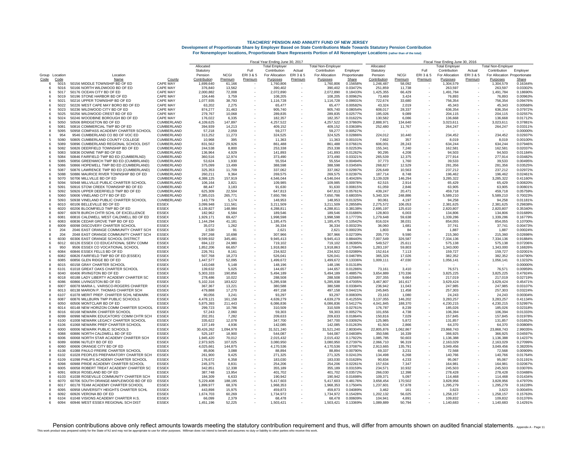| <b>TEACHERS' PENSION AND ANNUITY FUND OF NEW JERSEY</b>                                                                   |
|---------------------------------------------------------------------------------------------------------------------------|
| Development of Proportionate Share by Employer Based on State Contributions Made Towards Statutory Pension Contribution   |
| For Nonemployer locations, Proportionate Share Represents Portion of All Nonemployer Locations (rather than of the total) |

|                |              |                                                                            |                                 | Fiscal Year Ending June 30, 2017 |                        |                   |                            |                   |                            |                        |                         | Fiscal Year Ending June 30, 2016 |                      |                            |                   |                                          |                      |  |  |
|----------------|--------------|----------------------------------------------------------------------------|---------------------------------|----------------------------------|------------------------|-------------------|----------------------------|-------------------|----------------------------|------------------------|-------------------------|----------------------------------|----------------------|----------------------------|-------------------|------------------------------------------|----------------------|--|--|
|                |              |                                                                            |                                 | Allocated                        |                        |                   | <b>Total Employer</b>      |                   | <b>Total Non-Employer</b>  |                        | Allocated               |                                  |                      | <b>Total Employer</b>      |                   | Total Non-Employer                       |                      |  |  |
|                |              |                                                                            |                                 | Statutory                        |                        | Full              | Contribution               | Actual            | Contribution               | Employer               | Statutory               |                                  | Full                 | Contribution               | Actual            | Contribution                             | Employer             |  |  |
| Group Location | Code         | Location<br>Name                                                           | County                          | Pension<br>Contribution          | <b>NCGI</b><br>Premium | ERI3&5<br>Premium | For Allocation<br>Purposes | ERI3&5<br>Premium | For Allocation<br>Purposes | Proportionate<br>Share | Pension<br>Contribution | <b>NCGI</b><br>Premium           | ERI 3 & 5<br>Premium | For Allocation<br>Purposes | ERI3&5<br>Premium | For Allocation Proportionate<br>Purposes | Share                |  |  |
| Code<br>6      | 5015         | 50156 MIDDLE TOWNSHIP BD OF ED                                             | <b>CAPE MAY</b>                 | 1,699,640                        | 61,166                 |                   | 1,760,806                  |                   | 1,760,806                  | 0.15658%               | 1,246,487               | 58,092                           |                      | 1,304,579                  |                   | 1,304,579                                | 0.16344%             |  |  |
| 6              | 5016         | 50166 NORTH WILDWOOD BD OF ED                                              | CAPE MAY                        | 376,840                          | 13.562                 |                   | 390.402                    |                   | 390,402                    | 0.03472%               | 251,859                 | 11.738                           |                      | 263.597                    |                   | 263.597                                  | 0.03302%             |  |  |
| 6              | 5017         | 50176 OCEAN CITY BD OF ED                                                  | <b>CAPE MAY</b>                 | 2,000,882                        | 72,008                 |                   | 2,072,890                  |                   | 2,072,890                  | 0.18433%               | 1,425,355               | 66,429                           |                      | 1,491,784                  |                   | 1,491,784                                | 0.18690%             |  |  |
|                | 5019         | 50196 STONE HARBOR BD OF ED                                                | CAPE MAY                        | 104,446                          | 3.759                  |                   | 108,205                    |                   | 108,205                    | 0.00962%               | 73,469                  | 3.424                            |                      | 76,893                     |                   | 76,893                                   | 0.00963%             |  |  |
|                | 5021         | 50216 UPPER TOWNSHIP BD OF ED                                              | <b>CAPE MAY</b>                 | 1,077,935                        | 38,793                 | $\sim$            | 1,116,728                  |                   | 1,116,728                  | 0.09931%               | 722,674                 | 33,680                           |                      | 756,354                    |                   | 756,354                                  | 0.09476%             |  |  |
| 6              | 5022         | 50226 WEST CAPE MAY BORO BD OF ED                                          | <b>CAPE MAY</b>                 | 63,202                           | 2.275                  | $\sim$            | 65.477                     |                   | 65.477                     | 0.00582%               | 43,324                  | 2.019                            |                      | 45.343                     |                   | 45.343                                   | 0.00568%             |  |  |
| -6             | 5023         | 50236 WILDWOOD CITY BD OF ED                                               | <b>CAPE MAY</b>                 | 874,277                          | 31,463                 |                   | 905,740                    |                   | 905,740                    | 0.08054%               | 608,017                 | 28,337                           |                      | 636,354                    |                   | 636,354                                  | 0.07972%             |  |  |
|                | 5025         | 50256 WILDWOOD CREST BD OF ED                                              | CAPE MAY                        | 279.767                          | 10,068                 |                   | 289.835                    |                   | 289.835                    | 0.02577%               | 195.026                 | 9.089                            |                      | 204.115                    |                   | 204.115                                  | 0.02557%             |  |  |
| -6             | 5024         | 50246 WOODBINE BOROUGH BD OF ED                                            | <b>CAPE MAY</b>                 | 176.022                          | 6.335                  |                   | 182.357                    |                   | 182.357                    | 0.01622%               | 130.582                 | 6,086                            |                      | 136,668                    |                   | 136,668                                  | 0.01712%             |  |  |
| 6              | 5050         | 50506 BRIDGETON BD OF ED                                                   | CUMBERLAND                      | 4,109,625                        | 147,897                |                   | 4,257,522                  |                   | 4.257.522                  | 0.37860%               | 2,888,971               | 134.640                          |                      | 3,023,611                  |                   | 3,023,611                                | 0.37881%             |  |  |
| 6              | 508'         | 50816 COMMERCIAL TWP BD OF ED                                              | CUMBERLAND                      | 394,939                          | 14,213                 |                   | 409,152                    |                   | 409,152                    | 0.03638%               | 252,480                 | 11,767                           |                      | 264,247                    |                   | 264,247                                  | 0.03311%             |  |  |
| 8              | 5095<br>954  | 50958 COMPASS ACADEMY CHARTER SCHOOL                                       | CUMBERLAND                      | 57,218                           | 2,059                  |                   | 59,277                     |                   | 59,277                     | 0.00527%               |                         |                                  |                      |                            |                   |                                          | 0.00000%             |  |  |
| -6<br>5        | 5080         | 9546 CUMBERLAND CO BD OF VOC ED<br>50805 CUMBERLAND COUNTY COLLEGE         | CUMBERLAND<br><b>CUMBERLAND</b> | 313.252<br>10.968                | 11.273<br>395          |                   | 324.525<br>11.363          |                   | 324.525<br>11,363          | 0.02886%<br>0.00101%   | 224,012<br>7,662        | 10,440<br>357                    |                      | 234,452<br>8.019           |                   | 234,452<br>8,019                         | 0.02937%<br>0.00100% |  |  |
|                | 5089         | 50896 CUMBERLAND REGIONAL SCHOOL DIST                                      | <b>CUMBERLAND</b>               | 831.562                          | 29.926                 |                   | 861,488                    |                   | 861.488                    | 0.07661%               | 606,001                 | 28.243                           |                      | 634.244                    |                   | 634,244                                  | 0.079469             |  |  |
|                | 5082         | 50826 DEERFIELD TOWNSHIP BD OF ED                                          | CUMBERLAND                      | 244,538                          | 8,800                  |                   | 253,338                    |                   | 253,338                    | 0.02253%               | 155,341                 | 7,240                            |                      | 162,581                    |                   | 162,581                                  | 0.02037%             |  |  |
| -6             | 5083         | 50836 DOWNE TWP BD OF ED                                                   | CUMBERLAND                      | 136.964                          | 4.929                  |                   | 141.893                    |                   | 141.893                    | 0.01262%               | 90.295                  | 4.208                            |                      | 94.503                     |                   | 94.503                                   | 0.01184%             |  |  |
| -6             | 5084         | 50846 FAIRFIELD TWP BD ED (CUMBERLND)                                      | CUMBERLAND                      | 360,516                          | 12,974                 |                   | 373,490                    |                   | 373,490                    | 0.03321%               | 265,539                 | 12,375                           |                      | 277,914                    |                   | 277,914                                  | 0.03482%             |  |  |
|                | 5085         | 50856 GREENWICH TWP BD ED (CUMBRLAND)                                      | CUMBERLAND                      | 53.624                           | 1,930                  |                   | 55.554                     |                   | 55.554                     | 0.00494%               | 37,773                  | 1.760                            |                      | 39.533                     |                   | 39,533                                   | 0.00495%             |  |  |
| 6              | 5086         | 50866 HOPEWELL TWP BD ED (CUMBERLAND)                                      | CUMBERLAND                      | 375,099                          | 13,499                 |                   | 388,598                    |                   | 388,598                    | 0.03456%               | 268,827                 | 12,529                           |                      | 281,356                    |                   | 281,356                                  | 0.03525%             |  |  |
| 6              | 5087         | 50876 LAWRENCE TWP BD ED (CUMBERLAND)                                      | <b>CUMBERLAND</b>               | 325.353                          | 11.709                 |                   | 337.062                    |                   | 337.062                    | 0.02997%               | 226,649                 | 10.563                           |                      | 237,212                    |                   | 237.212                                  | 0.02972%             |  |  |
| 6              | 5088         | 50886 MAURICE RIVER TOWNSHIP BD OF ED                                      | CUMBERLAND                      | 260,211                          | 9,364                  |                   | 269,575                    |                   | 269,575                    | 0.02397%               | 187,714                 | 8,748                            |                      | 196,462                    |                   | 196,462                                  | 0.02461%             |  |  |
|                | 5070         | 50706 MILLVILLE BD OF ED                                                   | CUMBERLAND                      | 4.388.125                        | 157,919                |                   | 4,546,044                  |                   | 4,546,044                  | 0.40426%               | 3,139,028               | 146,294                          |                      | 3,285,322                  |                   | 3,285,322                                | 0.411609             |  |  |
|                | 5094         | 50948 MILLVILLE PUBLIC CHARTER SCHOOL                                      | CUMBERLAND                      | 106,164                          | 3.821                  |                   | 109.985                    |                   | 109.985                    | 0.00978%               | 62,515                  | 2.914                            |                      | 65.429                     |                   | 65.429                                   | 0.00820%             |  |  |
| 6              | 5091         | 50916 STOW CREEK TOWNSHIP BD OF ED                                         | <b>CUMBERLAND</b>               | 88.447                           | 3.183                  |                   | 91.630                     |                   | 91.630                     | 0.00815%               | 61,059                  | 2.846                            |                      | 63.905                     |                   | 63.905                                   | 0.00801%             |  |  |
| 6              | 5092         | 50926 UPPER DEERFIELD TWP BD OF ED                                         | CUMBERLAND                      | 625,309                          | 22,504                 |                   | 647,813                    |                   | 647,813                    | 0.05761%               | 439,247                 | 20,471                           |                      | 459,718                    |                   | 459,718                                  | 0.05759%             |  |  |
|                | 5060<br>5093 | 50606 VINELAND CITY BD OF ED                                               | CUMBERLAND<br><b>CUMBERLAND</b> | 7,385,015                        | 265,771                |                   | 7,650,786                  |                   | 7,650,786                  | 0.68035%<br>0.01325%   | 5,340,324               | 248,886                          |                      | 5,589,210                  |                   | 5,589,210                                | 0.70023%             |  |  |
| я<br>-6        | 6010         | 50938 VINELAND PUBLIC CHARTER SCHOOL<br>60106 BELLEVILLE BD OF ED          | <b>FSSEX</b>                    | 143.779<br>3.099.948             | 5.174<br>111.561       |                   | 148.953<br>3.211.509       |                   | 148.953<br>3.211.509       | 0.28558%               | 90,061<br>2,275,572     | 4.197<br>106.053                 |                      | 94.258<br>2.381.625        |                   | 94,258<br>2.381.625                      | 0.011819<br>0.29838% |  |  |
| -6             | 6020         | 60206 BLOOMFIELD TWP BD OF ED                                              | <b>ESSEX</b>                    | 4,139,827                        | 148,984                |                   | 4,288,811                  |                   | 4,288,811                  | 0.38138%               | 2,695,197               | 125,610                          |                      | 2,820,807                  |                   | 2,820,807                                | 0.35340%             |  |  |
|                | 6097         | 60978 BURCH CHTR SCHL OF EXCELLENCE                                        | <b>ESSEX</b>                    | 182,962                          | 6,584                  |                   | 189,546                    |                   | 189,546                    | 0.01686%               | 128,803                 | 6,003                            |                      | 134,806                    |                   | 134,806                                  | 0.01689%             |  |  |
| -6             | 6081         | 60816 CALDWELL WEST CALDWELL BD OF ED                                      | <b>FSSEX</b>                    | 1,929,171                        | 69,427                 |                   | 1.998.598                  |                   | 1.998.598                  | 0.17773%               | 1.279.648               | 59.638                           |                      | 1.339.286                  |                   | 1.339.286                                | 0.16779%             |  |  |
| ĥ              | 6083         | 60836 CEDAR GROVE TWP BD OF ED                                             | <b>ESSEX</b>                    | 1.144.294                        | 41.181                 |                   | 1.185.475                  |                   | 1,185,475                  | 0.10542%               | 816.024                 | 38.031                           |                      | 854.055                    |                   | 854.055                                  | 0.10700%             |  |  |
|                | 6009         | 60098 DISCOVERY CHARTER SCHOOL                                             | <b>ESSEX</b>                    | 35.072                           | 1,262                  |                   | 36.334                     |                   | 36.334                     | 0.00323%               | 36,060                  | 1,681                            |                      | 37.741                     |                   | 37.74'                                   | 0.00473%             |  |  |
| 6              | 204          | 2046 EAST ORANGE COMMUNITY CHART SCH                                       | <b>ESSEX</b>                    | 2,530                            | 91                     |                   | 2,621                      |                   | 2,621                      | 0.00023%               | 1,803                   | 84                               |                      | 1,887                      |                   | 1,887                                    | 0.00024%             |  |  |
| я              | 204          | 2048 EAST ORANGE COMMUNITY CHART SCH                                       | <b>ESSEX</b>                    | 297.268                          | 10,698                 |                   | 307.966                    |                   | 307.966                    | 0.02739%               | 205,770                 | 9.590                            |                      | 215,360                    |                   | 215,360                                  | 0.02698%             |  |  |
| 6              | 6030         | 60306 EAST ORANGE SCHOOL DISTRICT                                          | <b>ESSEX</b>                    | 9,599,932                        | 345,481                |                   | 9,945,413                  |                   | 9,945,413                  | 0.88440%               | 7,007,549               | 326,587                          |                      | 7,334,136                  |                   | 7,334,136                                | 0.91884%             |  |  |
| 6              | 6012         | 60126 ESSEX CO EDUCATIONAL SERV COMM                                       | <b>ESSEX</b>                    | 694,122                          | 24,980                 |                   | 719.102                    |                   | 719.102                    | 0.06395%               | 549,527                 | 25.611                           |                      | 575.138                    |                   | 575.138                                  | 0.072069             |  |  |
|                | 950          | 9506 ESSEX CO VOCATIONAL SCHOOL                                            | <b>ESSEX</b>                    | 1,852,206                        | 66,657                 |                   | 1,918,863                  |                   | 1,918,863                  | 0.17064%               | 1,283,197               | 59,803                           |                      | 1,343,000                  |                   | 1,343,000                                | 0.16826%             |  |  |
| 6              | 6084         | 60846 ESSEX FELLS BD OF ED                                                 | <b>ESSEX</b>                    | 226.761                          | 8.161                  |                   | 234.922                    |                   | 234.922                    | 0.02089%               | 152,614                 | 7.113                            |                      | 159,727                    |                   | 159,727                                  | 0.02001%             |  |  |
| 6              | 6082         | 60826 FAIRFIELD TWP BD OF ED (ESSEX)                                       | <b>ESSEX</b>                    | 507,768                          | 18,273                 |                   | 526,041                    |                   | 526,041                    | 0.04678%               | 365,326                 | 17,026                           |                      | 382,352                    |                   | 382,352                                  | 0.04790%             |  |  |
| я              | 6085<br>6015 | 60856 GLEN RIDGE BD OF ED                                                  | <b>ESSEX</b><br><b>ESSEX</b>    | 1,447,577                        | 52,095                 |                   | 1,499,672                  |                   | 1,499,672<br>148.196       | 0.13336%               | 1,009,111               | 47,030                           |                      | 1,056,141                  |                   | 1,056,141                                | 0.132329<br>0.000009 |  |  |
| я              | 6101         | 60158 GRAY CHARTER SCHOO<br>61018 GREAT OAKS CHARTER SCHOOL                | <b>ESSEX</b>                    | 143,048<br>139.632               | 5,148<br>5.025         |                   | 148.196<br>144.657         |                   | 144.657                    | 0.01318%<br>0.01286%   | 73.161                  | 3.410                            |                      | 76.571                     |                   | 76.571                                   | 0.00959%             |  |  |
| -6             | 6040         | 60406 IRVINGTON BD OF ED                                                   | <b>ESSEX</b>                    | 5,303,333                        | 190,856                |                   | 5,494,189                  |                   | 5,494,189                  | 0.48857%               | 3,654,889               | 170,336                          |                      | 3,825,225                  |                   | 3,825,225                                | 0.47924%             |  |  |
| 8              | 6018         | 60188 LADY LIBERTY ACADEMY CHARTER SC                                      | <b>ESSEX</b>                    | 278,486                          | 10,022                 |                   | 288,508                    |                   | 288,508                    | 0.02566%               | 207,355                 | 9,664                            |                      | 217,019                    |                   | 217,019                                  | 0.02719%             |  |  |
|                | 6086         | 60866 LIVINGSTON BD OF ED                                                  | <b>FSSEX</b>                    | 5,102,316                        | 183,622                |                   | 5.285.938                  |                   | 5,285,938                  | 0.47005%               | 3,467,807               | 161,617                          |                      | 3.629.424                  |                   | 3,629,424                                | 0.45471%             |  |  |
| я              | 6007         | 60078 MARIA L. VARISCO-ROGERS CHARTER                                      | <b>ESSEX</b>                    | 367.367                          | 13.221                 |                   | 380.588                    |                   | 380.588                    | 0.03384%               | 236.942                 | 11.043                           |                      | 247.985                    |                   | 247.985                                  | 0.03107%             |  |  |
|                | 6013         | 60138 MARION P. THOMAS CHARTER SCH                                         | <b>ESSEX</b>                    | 479.888                          | 17,270                 |                   | 497.158                    |                   | 497.158                    | 0.04421%               | 245,845                 | 11,458                           |                      | 257.303                    |                   | 257.303                                  | 0.03224%             |  |  |
| 8              | 6107         | 61078 MERIT PREP. CHARTER SCHL NEWARK                                      | <b>ESSEX</b>                    | 90,056                           | 3,241                  | $\sim$            | 93,297                     |                   | 93,297                     | 0.00830%               | 23,163                  | 1,080                            |                      | 24,243                     |                   | 24,243                                   | 0.00304%             |  |  |
| -6             | 6087         | 60876 MILLBURN TWP PUBLIC SCHOOLS                                          | <b>ESSEX</b>                    | 4.478.121                        | 161,158                |                   | 4,639,279                  |                   | 4,639,279                  | 0.41255%               | 3.137.055               | 146,202                          |                      | 3,283,257                  |                   | 3,283,257                                | 0.41134%             |  |  |
|                | 6050         | 60506 MONTCLAIR BD OF ED                                                   | <b>ESSEX</b>                    | 5,875,393                        | 211,443                |                   | 6,086,836                  |                   | 6,086,836                  | 0.54127%               | 4,041,845               | 188,370                          |                      | 4,230,215                  |                   | 4,230,215                                | 0.52997%             |  |  |
| 8              | 6014         | 60148 NEW HORIZON COMM CHARTER SCHOOL                                      | <b>ESSEX</b>                    | 299,723                          | 10,786                 |                   | 310,509                    |                   | 310,509                    | 0.02761%               | 176,787                 | 8,239                            |                      | 185.026                    |                   | 185,026                                  | 0.02318%             |  |  |
| 8              | 6016         | 60168 NEWARK CHARTER SCHOOL                                                | ESSEX                           | 57,243                           | 2,060                  |                   | 59,303                     |                   | 59,303                     | 0.00527%               | 101,656                 | 4,738                            |                      | 106,394                    |                   | 106,394                                  | 0.01333%             |  |  |
| -8             | 6099         | 60998 NEWARK EDUCATORS' COMM CHTR SCH                                      | <b>FSSEX</b>                    | 202.351                          | 7,282                  |                   | 209,633                    |                   | 209,633                    | 0.01864%               | 150,816                 | 7,029                            |                      | 157.845                    |                   | 157,845                                  | 0.01978%             |  |  |
| 8<br>8         | 6100<br>6106 | 61008 NEWARK LEGACY CHARTER SCHOOL<br>61068 NEWARK PREP CHARTER SCHOOL     | <b>ESSEX</b><br><b>ESSEX</b>    | 335,622<br>137,149               | 12,078<br>4,936        |                   | 347,700<br>142.085         |                   | 347,700<br>142,085         | 0.03092%<br>0.01263%   | 125,985<br>61,504       | 5,872<br>2,866                   |                      | 131,857<br>64.370          |                   | 131,857<br>64,370                        | 0.01652%<br>0.008069 |  |  |
| 6              | 6000         |                                                                            | <b>ESSEX</b>                    |                                  |                        |                   |                            |                   |                            | 2.80304%               |                         |                                  |                      |                            |                   |                                          | 2.99035%             |  |  |
| -6             | 6088         | 60006 NEWARK PUBLIC SCHOOLS<br>60886 NORTH CALDWELL BD OF ED               | <b>ESSEX</b>                    | 30,426,262<br>525.187            | 1,094,978<br>18.900    |                   | 31,521,240<br>544.087      |                   | 31,521,240<br>544.087      | 0.04838%               | 22,805,876<br>350.586   | 1,062,867<br>16.339              |                      | 23,868,743<br>366.925      |                   | 23,868,743<br>366.925                    | 0.04597%             |  |  |
| 8              | 6006         | 60068 NORTH STAR ACADEMY CHARTER SCH                                       | <b>ESSEX</b>                    | 1,945,420                        | 70,012                 |                   | 2,015,432                  |                   | 2,015,432                  | 0.17922%               | 1,085,785               | 50,603                           |                      | 1,136,388                  |                   | 1,136,388                                | 0.142379             |  |  |
|                | 6089         | 60896 NUTLEY BD OF ED                                                      | <b>ESSEX</b>                    | 2,973,925                        | 107,025                |                   | 3,080,950                  |                   | 3,080,950                  | 0.27397%               | 2,066,710               | 96,319                           |                      | 2,163,029                  |                   | 2,163,029                                | 0.27099%             |  |  |
| -6             | 6060         | 60606 ORANGE CITY BD OF ED                                                 | <b>ESSEX</b>                    | 4.025.661                        | 144,875                |                   | 4,170,536                  |                   | 4,170,536                  | 0.37087%               | 2,913,665               | 135,791                          |                      | 3,049,456                  |                   | 3,049,456                                | 0.38205%             |  |  |
| -8             | 6108         | 61088 PAULO FREIRE CHARTER SCHOOL                                          | <b>ESSEX</b>                    | 85.806                           | 3.088                  |                   | 88.894                     |                   | 88.894                     | 0.00790%               | 69.337                  | 3.231                            |                      | 72.568                     |                   | 72,568                                   | 0.00909%             |  |  |
| 8              | 6102         | 61028 PEOPLES PREPARATORY CHARTER SCH                                      | <b>ESSEX</b>                    | 261,900                          | 9,425                  |                   | 271,325                    |                   | 271.325                    | 0.02413%               | 134,498                 | 6,268                            |                      | 140,766                    |                   | 140,766                                  | 0.01764%             |  |  |
| 8              | 6109         | 61098 PHILIPS ACADEMY CHARTER SCHOOL                                       | <b>ESSEX</b>                    | 176,672                          | 6,358                  | $\sim$            | 183,030                    |                   | 183,030                    | 0.01628%               | 90,834                  | 4,233                            |                      | 95,067                     |                   | 95,067                                   | 0.01191%             |  |  |
| 8              | 6098         | 60988 PRIDE ACADEMY CHARTER SCHOOL                                         | <b>ESSEX</b>                    | 245.375                          | 8,831                  | $\sim$            | 254.206                    |                   | 254.206                    | 0.02261%               | 157,634                 | 7.347                            |                      | 164.981                    |                   | 164,981                                  | 0.02067%             |  |  |
| я              | 6005         | 60058 ROBERT TREAT ACADEMY CHARTER SC                                      | <b>ESSEX</b>                    | 342.851                          | 12.338                 |                   | 355.189                    |                   | 355.189                    | 0.03159%               | 234.571                 | 10.932                           |                      | 245.503                    |                   | 245.503                                  | 0.03076%             |  |  |
|                | 6091         | 60916 ROSELAND BD OF ED                                                    | <b>ESSEX</b>                    | 387,748                          | 13,954                 |                   | 401,702                    |                   | 401,702                    | 0.03572%               | 266,030                 | 12,398                           |                      | 278,428                    |                   | 278,428                                  | 0.03488%             |  |  |
| 8              | 6103         | 61038 ROSEVILLE COMMUNITY CHARTER SCH                                      | <b>ESSEX</b>                    | 184,309                          | 6,633                  |                   | 190,942                    |                   | 190.942                    | 0.01698%               | 109,371                 | 5,097                            |                      | 114,468                    |                   | 114,468                                  | 0.01434%             |  |  |
| -6             | 6070<br>6017 | 60706 SOUTH ORANGE-MAPLEWOOD BD OF ED                                      | <b>ESSEX</b><br><b>ESSEX</b>    | 5,229,408                        | 188.195                |                   | 5.417.603                  |                   | 5,417,603                  | 0.48176%               | 3,658,454               | 170,502                          |                      | 3,828,956                  |                   | 3,828,956                                | 0.47970%             |  |  |
|                | 6095         | 60178 TEAM ACADEMY CHARTER SCHOOL<br>60958 UNIVERSITY HEIGHTS CHARTER SCHI | <b>ESSEX</b>                    | 1,899,977<br>443,898             | 68,376<br>15,975       |                   | 1,968,353<br>459,873       |                   | 1,968,353<br>459,873       | 0.17504%<br>0.04089%   | 1,237,601<br>3,462      | 57,678<br>161                    |                      | 1,295,279<br>3.623         |                   | 1,295,279<br>3,623                       | 0.16228%<br>0.00045% |  |  |
| 6              | 6092         | 60926 VERONA BD OF ED                                                      | <b>ESSEX</b>                    | 1.674.703                        | 60,269                 |                   | 1,734,972                  |                   | 1,734,972                  | 0.15428%               | 1,202,132               | 56.025                           |                      | 1,258,157                  |                   | 1,258,157                                | 0.157639             |  |  |
|                | 6104         | 61048 VISIONS ACADEMY CHARTER H.S.                                         | <b>ESSEX</b>                    | 66,099                           | 2,379                  |                   | 68.478                     |                   | 68.478                     | 0.00609%               | 104.941                 | 4,891                            |                      | 109.832                    |                   | 109.832                                  | 0.01376%             |  |  |
|                | 6094         | 60946 WEST ESSEX REGIONAL SCH DIST                                         | <b>FSSEX</b>                    | 1,451,196                        | 52.225                 |                   | 1,503,421                  |                   | 1,503,421                  | 0.13369%               | 1.089.889               | 50.794                           |                      | 1.140.683                  |                   | 1,140,683                                | 0.14291%             |  |  |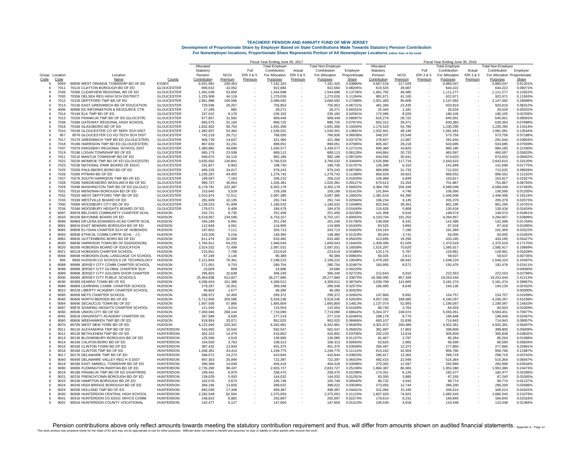|            |                         |                                                                               |                                        | Fiscal Year Ending June 30, 2017 |                    |                                                      |                       |         |                           |                      |                           | Fiscal Year Ending June 30, 2016 |                          |                       |         |                              |                      |  |  |
|------------|-------------------------|-------------------------------------------------------------------------------|----------------------------------------|----------------------------------|--------------------|------------------------------------------------------|-----------------------|---------|---------------------------|----------------------|---------------------------|----------------------------------|--------------------------|-----------------------|---------|------------------------------|----------------------|--|--|
|            |                         |                                                                               |                                        | Allocated                        |                    |                                                      | <b>Total Emplover</b> |         | <b>Total Non-Emplover</b> |                      | Allocated                 |                                  |                          | Total Employer        |         | <b>Total Non-Employer</b>    |                      |  |  |
|            |                         |                                                                               |                                        | Statutory                        |                    | Full                                                 | Contribution          | Actual  | Contribution              | Employer             | Statutory                 |                                  | Full                     | Contribution          | Actual  | Contribution                 | Emplover             |  |  |
|            | Group Location          | Location                                                                      |                                        | Pension                          | <b>NCGI</b>        | ERI3&5                                               | For Allocation        | ERI3&5  | For Allocation            | Proportionate        | Pension                   | <b>NCGI</b>                      | ERI 3 & 5                | For Allocation        | ERI3&5  | For Allocation Proportionate |                      |  |  |
| Code<br>-6 | Code<br>6093            | Name<br>60936 WEST ORANGE TOWNSHIP BD OF ED                                   | County<br><b>FSSEX</b>                 | Contribution<br>6.931.862        | Premium<br>249.463 | Premium                                              | Purposes<br>7.181.325 | Premium | Purposes<br>7.181.325     | Share<br>0.63860%    | Contribution<br>4.667.518 | Premium<br>217.529               | Premium                  | Purposes<br>4.885.047 | Premium | Purposes<br>4.885.047        | Share<br>0.61201%    |  |  |
|            | 7011<br>-6              | 70116 CLAYTON BOROUGH BD OF ED                                                | <b>GLOUCESTER</b>                      | 890,632                          | 32,052             |                                                      | 922,684               |         | 922,684                   | 0.08205%             | 615,535                   | 28,687                           |                          | 644,222               |         | 644,222                      | 0.08071%             |  |  |
|            | 7036                    | 70366 CLEARVIEW REGIONAL BD OF ED                                             | <b>GLOUCESTER</b>                      | 1,491,039                        | 53,659             |                                                      | 1,544,698             |         | 1,544,698                 | 0.13736%             | 1,061,792                 | 49,485                           |                          | 1,111,277             |         | 1,111,277                    | 0.13922%             |  |  |
|            | 7035<br>6               | 70356 DELSEA REG HIGH SCH DISTRICT                                            | <b>GLOUCESTER</b>                      | 1,225,908                        | 44,118             |                                                      | 1,270,026             |         | 1,270,026                 | 0.11294%             | 881,871                   | 41,100                           |                          | 922,971               |         | 922,971                      | 0.11563%             |  |  |
|            | 7012<br>-6              | 70126 DEPTFORD TWP BD OF ED                                                   | <b>GLOUCESTER</b>                      | 2.961.996                        | 106,596            |                                                      | 3.068.592             |         | 3.068.592                 | 0.27288%             | 2.051.483                 | 95.609                           |                          | 2.147.092             |         | 2,147,092                    | 0.26899%             |  |  |
|            | 7013<br>-6              | 70136 EAST GREENWICH BD OF EDUCATION                                          | <b>GLOUCESTER</b>                      | 729,596                          | 26,257             |                                                      | 755,853               |         | 755,853                   | 0.06721%             | 481,384                   | 22,435                           |                          | 503,819               |         | 503,819                      | 0.06312%             |  |  |
|            | 4006                    | 40066 ED INFORMATION & RESOURCE CTR                                           | <b>GLOUCESTER</b>                      | 27,289                           | 982                |                                                      | 28,271                |         | 28.271                    | 0.00251%             | 25,345                    | 1,181                            |                          | 26,526                |         | 26.526                       | 0.00332%             |  |  |
|            | 7014<br>6               | 70146 ELK TWP BD OF ED                                                        | <b>GLOUCESTER</b>                      | 227,022                          | 8,170              |                                                      | 235.192               |         | 235.192                   | 0.02091%             | 172,085                   | 8,020                            |                          | 180.105               |         | 180.105                      | 0.02256%             |  |  |
|            | 7015<br>-6<br>7038<br>6 | 70156 FRANKLIN TWP BD OF ED (GLOCSTR)                                         | <b>GLOUCESTER</b><br><b>GLOUCESTER</b> | 877,857<br>865.575               | 31,592             |                                                      | 909,449               |         | 909,449                   | 0.08087%<br>0.07974% | 616,279                   | 28,722                           |                          | 645,001               |         | 645,001<br>630.383           | 0.08081%<br>0.07898% |  |  |
|            | 7016                    | 70386 GATEWAY REGIONAL HIGH SCHOOL<br>70166 GLASSBORO BD OF ED                | <b>GLOUCESTER</b>                      | 1,632,602                        | 31,150<br>58,754   |                                                      | 896,725<br>1,691,356  |         | 896,725<br>1,691,356      | 0.15040%             | 602,312<br>1,175,510      | 28,071<br>54,785                 |                          | 630,383<br>1,230,295  |         | 1,230,295                    | 0.15414%             |  |  |
|            | 7010<br>-6              | 70106 GLOUCESTER CO SP SERV SCH DIST                                          | <b>GLOUCESTER</b>                      | 1,482,837                        | 53.364             |                                                      | 1,536,201             |         | 1.536.201                 | 0.13661%             | 1,032,941                 | 48,140                           |                          | 1.081.081             |         | 1,081,081                    | 0.13544%             |  |  |
|            | 957<br>-6               | 9576 GLOUCESTER CO VO-TECH SCH DIST                                           | <b>GLOUCESTER</b>                      | 742,219                          | 26,711             |                                                      | 768,930               |         | 768,930                   | 0.06838%             | 548,207                   | 25,549                           |                          | 573,756               |         | 573,756                      | 0.07188%             |  |  |
|            | 7017<br>6               | 70176 GREENWICH TWP BD ED (GLOUCSTER)                                         | <b>GLOUCESTER</b>                      | 406.729                          | 14,637             |                                                      | 421,366               |         | 421,366                   | 0.03747%             | 278.657                   | 12,987                           |                          | 291,644               |         | 291.644                      | 0.03654%             |  |  |
|            | 7018<br>-6              | 70186 HARRISON TWP BD ED (GLOUCESTER)                                         | <b>GLOUCESTER</b>                      | 867.820                          | 31.231             |                                                      | 899.051               |         | 899.051                   | 0.07995%             | 605,467                   | 28.218                           |                          | 633,685               |         | 633,685                      | 0.07939%             |  |  |
|            | 7037<br>-6              | 70376 KINGSWAY REGIONAL SCHOOL DIST                                           | <b>GLOUCESTER</b>                      | 1,380,882                        | 49,695             |                                                      | 1,430,577             |         | 1.430.577                 | 0.12721%             | 940,360                   | 43,825                           |                          | 984.185               |         | 984.185                      | 0.12330%             |  |  |
|            | 7019<br>6               | 70196 LOGAN TOWNSHIP BD OF ED                                                 | <b>GLOUCESTER</b>                      | 665,175                          | 23,938             |                                                      | 689,113               |         | 689,113                   | 0.06128%             | 444,864                   | 20,733                           |                          | 465,597               |         | 465,597                      | 0.05833%             |  |  |
|            | 7021<br>6               | 70216 MANTUA TOWNSHIP BD OF ED                                                | <b>GLOUCESTER</b>                      | 948,070                          | 34,119             |                                                      | 982,189               |         | 982,189                   | 0.08734%             | 644,592                   | 30,041                           |                          | 674,633               |         | 674,633                      | 0.08452%             |  |  |
|            | 7022<br>-6<br>7023      | 70226 MONROE TWP BD OF ED (GLOUCESTR)<br>70236 NATIONAL PARK BOARD OF EDUC    | <b>GLOUCESTER</b><br><b>GLOUCESTER</b> | 3,635,692<br>191.827             | 130,841<br>6.903   |                                                      | 3.766.533<br>198.730  |         | 3.766.533<br>198.730      | 0.33494%<br>0.01767% | 2,525,896<br>135.389      | 117,719<br>6.310                 |                          | 2,643,615<br>141.699  |         | 2,643,615                    | 0.33120%<br>0.01775% |  |  |
|            | -6<br>7025              | 70256 PAULSBORO BORO BD OF ED                                                 | <b>GLOUCESTER</b>                      | 945.226                          | 34,017             |                                                      | 979.243               |         | 979.243                   | 0.08708%             | 680,899                   | 31.733                           |                          | 712.632               |         | 141,699<br>712.632           | 0.08928%             |  |  |
|            | 7026<br>6               | 70266 PITMAN BD OF ED                                                         | <b>GLOUCESTER</b>                      | 1,235,287                        | 44,455             |                                                      | 1,279,742             |         | 1,279,742                 | 0.11380%             | 856,629                   | 39,923                           |                          | 896,552               |         | 896,552                      | 0.11232%             |  |  |
|            | 7027<br>-6              | 70276 SOUTH HARRISON TWP BD OF ED                                             | <b>GLOUCESTER</b>                      | 199,047                          | 7,163              |                                                      | 206,210               |         | 206.210                   | 0.01834%             | 146,968                   | 6,849                            |                          | 153,817               |         | 153,817                      | 0.01927%             |  |  |
|            | 7028<br>-6              | 70286 SWEDESBORO WOOLWICH BD OF ED                                            | <b>GLOUCESTER</b>                      | 990,727                          | 35,654             |                                                      | 1,026,381             |         | 1,026,381                 | 0.09127%             | 670,613                   | 31,254                           |                          | 701,867               |         | 701,867                      | 0.08793%             |  |  |
|            | 7029                    | 70296 WASHINGTON TWP BD OF ED (GLOUC)                                         | <b>GLOUCESTER</b>                      | 6,179,781                        | 222,397            |                                                      | 6,402,178             |         | 6,402,178                 | 0.56932%             | 4,384,700                 | 204,349                          |                          | 4,589,049             |         | 4,589,049                    | 0.57493%             |  |  |
|            | 7031<br>6               | 70316 WENONAH BOROUGH BD OF ED                                                | <b>GLOUCESTER</b>                      | 153,640                          | 5,529              |                                                      | 159,169               |         | 159,169                   | 0.01415%             | 101,844                   | 4,746                            |                          | 106,590               |         | 106,590                      | 0.01335%             |  |  |
|            | 7032<br>6               | 70326 WEST DEPTFORD TWP BD OF ED                                              | <b>GLOUCESTER</b>                      | 2.014.874                        | 72.511             |                                                      | 2.087.385             |         | 2.087.385                 | 0.18562%             | 1.381.616                 | 64.390                           |                          | 1.446.006             |         | 1.446.006                    | 0.18116%             |  |  |
|            | 7033<br>6               | 70336 WESTVILLE BOARD OF ED                                                   | <b>GLOUCESTER</b>                      | 281,609                          | 10,135             |                                                      | 291,744               |         | 291,744                   | 0.02594%             | 196,234                   | 9,145                            |                          | 205,379               |         | 205,379                      | 0.02573%             |  |  |
|            | 7000                    | 70006 WOODBURY CITY BD OF ED                                                  | <b>GLOUCESTER</b>                      | 1,139,523                        | 41,009             |                                                      | 1,180,532             |         | 1,180,532                 | 0.10498%             | 822,942                   | 38,353                           |                          | 861.295               |         | 861,295                      | 0.10791%             |  |  |
|            | 7034<br>6<br>8097<br>я. | 70346 WOODBURY HEIGHTS BOARD OF ED<br>80978 BELOVED COMMUNITY CHARTER SCHL    | <b>GLOUCESTER</b><br><b>HUDSON</b>     | 178,071<br>242,721               | 6,408<br>8,735     |                                                      | 184,479<br>251.456    |         | 184,479<br>251,456        | 0.01640%<br>0.02236% | 124,626<br>141.958        | 5.808<br>6,616                   |                          | 130,434<br>148.574    |         | 130,434<br>148,574           | 0.01634%<br>0.01861% |  |  |
|            | 8010                    | 80106 BAYONNE BOARD OF ED                                                     | HUDSON                                 | 6,518,567                        | 234,590            |                                                      | 6,753,157             |         | 6,753,157                 | 0.60053%             | 4,103,704                 | 191,253                          |                          | 4,294,957             |         | 4,294,957                    | 0.53809%             |  |  |
|            | 8096                    | 80968 DR LENA EDWARDS ACAD CHRTR SCHL                                         | <b>HUDSON</b>                          | 194,249                          | 6,991              |                                                      | 201,240               |         | 201,240                   | 0.01790%             | 136,058                   | 6,341                            |                          | 142.399               |         | 142,399                      | 0.01784%             |  |  |
|            | 8081<br>-6              | 80816 EAST NEWARK BOROUGH BD OF ED                                            | <b>HUDSON</b>                          | 112,848                          | 4.061              |                                                      | 116,909               |         | 116,909                   | 0.01040%             | 83.525                    | 3.893                            |                          | 87.418                |         | 87,418                       | 0.01095%             |  |  |
|            | 8085<br>-8              | 80858 ELYSIAN CHARTER SCH OF HOBOKEN                                          | <b>HUDSON</b>                          | 197,602                          | 7,111              |                                                      | 204,713               |         | 204,713                   | 0.01820%             | 154,183                   | 7.186                            |                          | 161.369               |         | 161,369                      | 0.02022%             |  |  |
|            | 8093                    | 80938 FTHICAL COMM CHRTR SCHL-J.C                                             | <b>HUDSON</b>                          | 143.206                          | 5,154              |                                                      | 148,360               |         | 148.360                   | 0.01319%             | 80.264                    | 3.741                            |                          | 84,005                |         | 84.005                       | 0.01052%             |  |  |
|            | 8082                    | 80826 GUTTENBERG BORO BD OF ED                                                | <b>HUDSON</b>                          | 611.476                          | 22,006             |                                                      | 633,482               |         | 633.482                   | 0.05633%             | 413,895                   | 19,290                           |                          | 433.185               |         | 433,185                      | 0.05427%             |  |  |
|            | 8083<br>6               | 80836 HARRISON TOWN BD OF ED(HUDSON)                                          | <b>HUDSON</b>                          | 1,784,811                        | 64,232             |                                                      | 1.849.043             |         | 1,849,043                 | 0.16443%             | 1,309,490                 | 61,029                           |                          | 1,370,519             |         | 1,370,519                    | 0.17170%             |  |  |
|            | 8020<br>-6              | 80206 HOBOKEN BOARD OF EDUCATION                                              | <b>HUDSON</b>                          | 2,014,532                        | 72,499             |                                                      | 2,087,031             |         | 2,087,031                 | 0.18559%             | 1,515,297                 | 70,620                           |                          | 1,585,917             |         | 1,585,917                    | 0.19869%             |  |  |
|            | 8021<br>8               | 80218 HOBOKEN CHARTER SCHOOL                                                  | <b>HUDSON</b>                          | 215,851                          | 7,768              |                                                      | 223,619               |         | 223,619                   | 0.01989%             | 124,174                   | 5,787                            |                          | 129,961               |         | 129,961                      | 0.01628%             |  |  |
|            | 8094<br>8               | 80948 HOBOKEN DUAL LANGUAGE CH SCHOOL<br>9566 HUDSON CO SCHOOLS OF TECHNOLOGY | <b>HUDSON</b><br><b>HUDSON</b>         | 87.249<br>2.121.854              | 3.140<br>76.361    |                                                      | 90.389                |         | 90.389<br>2.198.215       | 0.00804%<br>0.19548% | 56.026<br>1.479.282       | 2.611<br>68.942                  |                          | 58.637<br>1.548.224   |         | 58.637<br>1.548.224          | 0.00735%<br>0.19397% |  |  |
|            | 956<br>-6<br>8088<br>8  | 80888 JERSEY CITY COMM CHARTER SCHOOL                                         | <b>HUDSON</b>                          | 271,001                          | 9,753              |                                                      | 2.198.215<br>280.754  |         | 280.754                   | 0.02497%             | 183,905                   | 8,571                            |                          | 192,476               |         | 192,476                      | 0.02411%             |  |  |
|            | 8098<br>R.              | 80988 JERSEY CITY GLOBAL CHARTER SCH                                          | <b>HUDSON</b>                          | 23,828                           | 858                |                                                      | 24,686                |         | 24,686                    | 0.00220%             |                           |                                  |                          |                       |         |                              | 0.00000%             |  |  |
|            | 8089<br>я               | 80898 JERSEY CITY GOLDEN DOOR CHARTER                                         | <b>HUDSON</b>                          | 295,602                          | 10,638             |                                                      | 306,240               |         | 306,240                   | 0.02723%             | 212,643                   | 9.910                            |                          | 222,553               |         | 222.553                      | 0.02788%             |  |  |
|            | 8000<br>-6              | 80006 JERSEY CITY PUBLIC SCHOOLS                                              | <b>HUDSON</b>                          | 25,364,838                       | 912,827            |                                                      | 26,277,665            |         | 26,277,665                | 2.33675%             | 18,396,095                | 857,349                          |                          | 19,253,444            |         | 19,253,444                   | 2.41213%             |  |  |
|            | 8030                    | 80306 KEARNY TOWN BD OF ED                                                    | <b>HUDSON</b>                          | 4.206.624                        | 151.388            |                                                      | 4.358.012             |         | 4.358.012                 | 0.38754%             | 3,039,709                 | 141.665                          |                          | 3.181.374             |         | 3,181,374                    | 0.39857%             |  |  |
|            | 8086                    | 80868 LEARNING COMM. CHARTER SCHOOL                                           | <b>HUDSON</b>                          | 279.297                          | 10,051             |                                                      | 289.348               |         | 289.348                   | 0.02573%             | 185,485                   | 8,645                            |                          | 194,130               |         | 194,130                      | 0.02432%             |  |  |
|            | 8022<br>ж               | 80228 LIBERTY ACADEMY CHARTER SCHOOL                                          | <b>HUDSON</b>                          | 46.603                           | 1.677              |                                                      | 48.280                |         | 48.280                    | 0.00429%             |                           |                                  |                          |                       |         |                              | 0.00000%             |  |  |
|            | 8095<br>-8              | 80958 METS CHARTER SCHOOL                                                     | <b>HUDSON</b>                          | 288,972                          | 10,400             |                                                      | 299,372               |         | 299,372                   | 0.02662%             | 147,866                   | 6,891                            |                          | 154,757               |         | 154,757                      | 0.01939%             |  |  |
|            | 8040                    | 80406 NORTH BERGEN BD OF ED                                                   | <b>HUDSON</b>                          | 5,712,650                        | 205,586            |                                                      | 5,918,236             |         | 5,918,236                 | 0.52628%             | 4.057.182                 | 189.085                          |                          | 4.246.267             |         | 4,246,267                    | 0.53199%             |  |  |
|            | 8084<br>-6<br>8087<br>8 | 80846 SECAUCUS TOWN BD OF ED<br>80878 SOARING HEIGHTS CHARTER SCHOOL          | <b>HUDSON</b><br><b>HUDSON</b>         | 1,607,938<br>111.540             | 57,866<br>4.014    | $\overline{\phantom{a}}$<br>$\overline{\phantom{a}}$ | 1,665,804<br>115.554  |         | 1,665,804<br>115.554      | 0.14813%<br>0.01028% | 1,137,074<br>80.740       | 52.993<br>3.763                  |                          | 1,190,067<br>84.503   |         | 1,190,067<br>84.503          | 0.14910%<br>0.01059% |  |  |
|            | 8050<br>6               | 80506 UNION CITY BD OF ED                                                     | <b>HUDSON</b>                          | 7,450,946                        | 268,144            |                                                      | 7,719,090             |         | 7,719,090                 | 0.68642%             | 5,344,377                 | 249,074                          |                          | 5,593,451             |         | 5,593,451                    | 0.70077%             |  |  |
|            | 8091                    | 80918 UNIVERSITY ACADEMY CHARTER HS                                           | <b>HUDSON</b>                          | 267,589                          | 9,630              |                                                      | 277,219               |         | 277,219                   | 0.02465%             | 188,178                   | 8,770                            |                          | 196,948               |         | 196,948                      | 0.02467%             |  |  |
|            | 8060<br>-6              | 80606 WEEHAWKEN TWP BD OF ED                                                  | <b>HUDSON</b>                          | 918,954                          | 33.071             |                                                      | 952,025               |         | 952.025                   | 0.08466%             | 683,107                   | 31,836                           |                          | 714.943               |         | 714.943                      | 0.08957%             |  |  |
|            | 8070<br>6               | 80706 WEST NEW YORK BD OF ED                                                  | <b>HUDSON</b>                          | 6,122,640                        | 220,341            |                                                      | 6,342,981             |         | 6,342,981                 | 0.56405%             | 4,301,872                 | 200,489                          |                          | 4,502,361             |         | 4,502,361                    | 0.56407%             |  |  |
|            | 9011<br>6               | 90116 ALEXANDRIA TWP BD OF ED                                                 | <b>HUNTERDON</b>                       | 543,005                          | 19,542             |                                                      | 562.547               |         | 562.547                   | 0.05002%             | 381,997                   | 17,803                           |                          | 399,800               |         | 399,800                      | 0.05009%             |  |  |
|            | 9012<br>6               | 90126 BETHLEHEM TWP BD OF ED                                                  | <b>HUNTERDON</b>                       | 402.323                          | 14,479             |                                                      | 416,802               |         | 416,802                   | 0.03706%             | 292.220                   | 13.619                           |                          | 305,839               |         | 305,839                      | 0.03832%             |  |  |
|            | 9013<br>$\epsilon$      | 90136 BLOOMSBURY BOROUGH BD OF ED                                             | <b>HUNTERDON</b>                       | 125,566                          | 4,519              |                                                      | 130.085               |         | 130.085                   | 0.01157%             | 81,467                    | 3,797                            |                          | 85,264                |         | 85,264                       | 0.01068%             |  |  |
|            | 9014<br>-6              | 90146 CALIFON BORO BD OF ED                                                   | <b>HUNTERDON</b>                       | 104,550                          | 3,763              |                                                      | 108,313               |         | 108,313                   | 0.00963%             | 63,625                    | 2,965                            |                          | 66,590                |         | 66,590                       | 0.00834%             |  |  |
|            | 9015                    | 90156 CLINTON TOWN BD OF ED                                                   | HUNTERDON                              | 387,432                          | 13,943             |                                                      | 401,375               |         | 401,375                   | 0.03569%             | 265,487                   | 12,373                           |                          | 277,860               |         | 277,860                      | 0.03481%             |  |  |
|            | 9016<br>-6              | 90166 CLINTON TWP BD OF ED<br>90176 DELAWARE TWP BD OF ED                     | <b>HUNTERDON</b><br><b>HUNTERDON</b>   | 1.206.361<br>396.572             | 43,414             |                                                      | 1.249.775             |         | 1,249,775<br>410.844      | 0.11114%<br>0.03653% | 914.162<br>285.417        | 42.604                           |                          | 956.766<br>298.719    |         | 956,766<br>298.719           | 0.11987%<br>0.03742% |  |  |
|            | 9017<br>9040            | 90406 DELAWARE VALLEY REG H S DIST                                            | <b>HUNTERDON</b>                       | 697.303                          | 14,272<br>25,094   |                                                      | 410.844<br>722.397    |         | 722.397                   | 0.06424%             |                           | 13,302<br>22.949                 |                          | 515.364               |         | 515.364                      | 0.06457%             |  |  |
|            | 6<br>9018               | 90186 EAST AMWELL TOWNSHIP BD OF ED                                           | <b>HUNTERDON</b>                       | 390,369                          | 14,049             |                                                      | 404,418               |         | 404,418                   | 0.03596%             | 492,415<br>270,302        | 12,597                           |                          | 282,899               |         | 282,899                      | 0.03544%             |  |  |
|            | 9000<br>-6              | 90006 FLEMINGTON RARITAN BD OF ED                                             | <b>HUNTERDON</b>                       | 2,735,290                        | 98,437             | $\overline{\phantom{a}}$                             | 2.833.727             |         | 2,833,727                 | 0.25199%             | 1,866,397                 | 86.983                           | $\overline{\phantom{a}}$ | 1.953.380             |         | 1,953,380                    | 0.24473%             |  |  |
|            | 9019<br>6               | 90196 FRANKLIN TWP BD OF ED (HUNTRDN)                                         | <b>HUNTERDON</b>                       | 249,491                          | 8,979              |                                                      | 258,470               |         | 258,470                   | 0.02298%             | 174,351                   | 8,126                            |                          | 182,477               |         | 182,477                      | 0.02286%             |  |  |
|            | $902 -$                 | 90216 FRENCHTOWN BOROUGH BD OF ED                                             | <b>HUNTERDON</b>                       | 139,029                          | 5,003              |                                                      | 144.032               |         | 144.032                   | 0.01281%             | 83,355                    | 3,885                            |                          | 87.240                |         | 87,240                       | 0.01093%             |  |  |
|            | 9023<br>6               | 90236 HAMPTON BOROUGH BD OF ED                                                | <b>HUNTERDON</b>                       | 102,076                          | 3,673              |                                                      | 105,749               |         | 105,749                   | 0.00940%             | 86,732                    | 4,042                            |                          | 90,774                |         | 90,774                       | 0.01137%             |  |  |
|            | 9024<br>-6              | 90246 HIGH BRIDGE BOROUGH BD OF ED                                            | <b>HUNTERDON</b>                       | 384.196                          | 13.826             |                                                      | 398.022               |         | 398.022                   | 0.03539%             | 273.456                   | 12.744                           |                          | 286,200               |         | 286,200                      | 0.03586%             |  |  |
|            | 9025<br>6               | 90256 HOLLAND TWP BD OF ED                                                    | <b>HUNTERDON</b>                       | 482,039                          | 17,348             |                                                      | 499,387               |         | 499,387                   | 0.04441%             | 331,084                   | 15,430                           |                          | 346,514               |         | 346,514                      | 0.04341%             |  |  |
|            | 9030                    | 90306 HUNTERDON CENTRAL HIGH SCHOOL                                           | <b>HUNTERDON</b>                       | 2,292,549                        | 82,504             |                                                      | 2,375,053             |         | 2,375,053                 | 0.21120%             | 1,607,620                 | 74,923                           |                          | 1,682,543             |         | 1,682,543                    | 0.21079%             |  |  |
|            | 9041<br>9001            | 90416 HUNTERDON CO EDUC SRVCS COMM<br>90016 HUNTERDON COUNTY VOCATIONAL       | <b>HUNTERDON</b><br><b>HUNTERDON</b>   | 246,815<br>142.477               | 8.882<br>5.127     |                                                      | 255,697<br>147.604    |         | 255.697<br>147.604        | 0.02274%<br>0.01313% | 176,614<br>105.530        | 8.231<br>4.918                   |                          | 184.845<br>110.448    |         | 184,845<br>110.448           | 0.02316%<br>0.01384% |  |  |
|            |                         |                                                                               |                                        |                                  |                    |                                                      |                       |         |                           |                      |                           |                                  |                          |                       |         |                              |                      |  |  |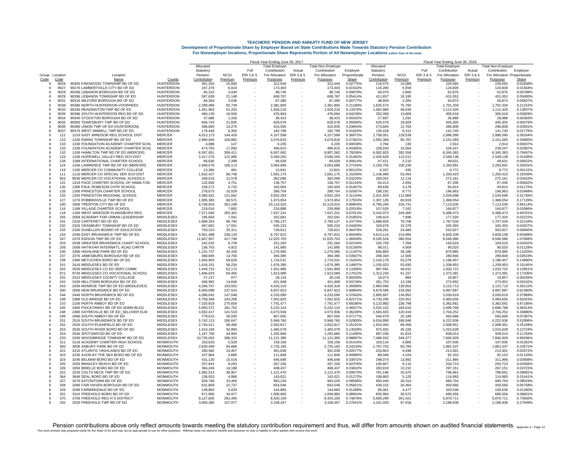|         |                |                                                                          |                                      | Fiscal Year Ending June 30, 2017 |                  |         |                        |         |                           |                      | Fiscal Year Ending June 30, 2016 |                  |                          |                        |         |                              |                      |  |
|---------|----------------|--------------------------------------------------------------------------|--------------------------------------|----------------------------------|------------------|---------|------------------------|---------|---------------------------|----------------------|----------------------------------|------------------|--------------------------|------------------------|---------|------------------------------|----------------------|--|
|         |                |                                                                          |                                      | Allocated                        |                  |         | Total Emplover         |         | <b>Total Non-Employer</b> |                      | Allocated                        |                  |                          | <b>Total Employer</b>  |         | <b>Total Non-Employer</b>    |                      |  |
|         |                |                                                                          |                                      | Statutory                        |                  | Full    | Contribution           | Actual  | Contribution              | Employer             | Statutory                        |                  | Full                     | Contribution           | Actual  | Contribution                 | Employer             |  |
|         | Group Location | Location                                                                 |                                      | Pension                          | <b>NCGI</b>      | ERI3&5  | For Allocation         | ERI3&5  | For Allocation            | Proportionate        | Pension                          | <b>NCGI</b>      | ERI 3 & 5                | For Allocation         | ERI3&5  | For Allocation Proportionate |                      |  |
| Code    | Code           | Name                                                                     | County                               | Contribution                     | Premium          | Premium | Purposes               | Premium | Purposes                  | Share                | Contribution                     | Premium          | Premium                  | Purposes               | Premium | Purposes                     | Share                |  |
| -6      | 9026           | 90266 KINGWOOD TOWNSHIP BD OF ED                                         | <b>HUNTERDON</b>                     | 301.204                          | 10.840           |         | 312.044                |         | 312.044                   | 0.02775%             | 216.476                          | 10.089           |                          | 226.565                |         | 226,565                      | 0.02838%             |  |
|         | 9027           | 90276 LAMBERTVILLE CITY BD OF ED                                         | <b>HUNTERDON</b>                     | 167,379                          | 6,024            |         | 173,403                |         | 173,403                   | 0.01542%             | 119,280                          | 5,559            |                          | 124,839                |         | 124,839                      | 0.01564%             |  |
| 6<br>-6 | 9028           | 90286 LEBANON BOROUGH BD OF ED<br>90296 LEBANON TOWNSHIP BD OF ED        | HUNTERDON<br><b>HUNTERDON</b>        | 95,310<br>587,639                | 3,430            |         | 98.740<br>608.787      |         | 98.740<br>608.787         | 0.00878%<br>0.05414% | 60,075                           | 2,800            |                          | 62,875<br>431.052      |         | 62,875                       | 0.00788%<br>0.05400% |  |
| -6      | 9029<br>9031   | 90316 MILFORD BOROUGH BD OF ED                                           | <b>HUNTERDON</b>                     | 84.354                           | 21,148<br>3.036  |         | 87.390                 |         | 87.390                    | 0.00777%             | 411,857<br>48.609                | 19,195<br>2.265  |                          | 50.874                 |         | 431,052<br>50.874            | 0.00637%             |  |
|         | 9038           | 90386 NORTH HUNTERDON-VOORHEES                                           | <b>HUNTERDON</b>                     | 2,299,066                        | 82,739           |         | 2,381,805              |         | 2,381,805                 | 0.21180%             | 1,625,574                        | 75,760           |                          | 1.701.334              |         | 1,701,334                    | 0.21315%             |  |
| 6       | 9033           | 90336 READINGTON TWP BD OF ED                                            | <b>HUNTERDON</b>                     | 1,451,963                        | 52,253           |         | 1,504,216              |         | 1,504,216                 | 0.13376%             | 1,062,884                        | 49,536           |                          | 1,112,420              |         | 1,112,420                    | 0.13937%             |  |
| 6       | 9039           | 90396 SOUTH HUNTERDON REG BD OF ED                                       | <b>HUNTERDON</b>                     | 460,135                          | 16,559           |         | 476.694                |         | 476.694                   | 0.04239%             | 292,009                          | 13,609           |                          | 305,618                |         | 305,618                      | 0.03829%             |  |
| 6       | 9034           | 90346 STOCKTON BOROUGH BD OF ED                                          | <b>HUNTERDON</b>                     | 37,088                           | 1,335            |         | 38,423                 |         | 38,423                    | 0.00342%             | 27,697                           | 1,291            |                          | 28,988                 |         | 28,988                       | 0.00363%             |  |
| 6       | 9035           | 90356 TEWKSBURY TWP BD OF ED                                             | HUNTERDON                            | 606,743                          | 21,835           |         | 628,578                |         | 628,578                   | 0.05590%             | 425,476                          | 19,829           |                          | 445,305                |         | 445,305                      | 0.05579%             |  |
| 6       | 9036           | 90366 UNION TWP OF ED (HUNTERDON)                                        | HUNTERDON                            | 396,660                          | 14,275           |         | 410,935                |         | 410,935                   | 0.03654%             | 273,845                          | 12,763           |                          | 286,608                |         | 286,608                      | 0.03591%             |  |
| 6       | 9037           | 90376 WEST AMWELL TWP BD OF ED                                           | <b>HUNTERDON</b>                     | 176,449                          | 6,350            |         | 182,799                |         | 182,799                   | 0.01626%             | 135,428                          | 6.312            |                          | 141,740                |         | 141,740                      | 0.01776%             |  |
| 6       | 121            | 1216 EAST WINDSOR REG SCHOOL DIST                                        | <b>MERCER</b>                        | 4,013,173                        | 144,426          |         | 4,157,599              |         | 4,157,599                 | 0.36972%             | 2,758,051                        | 128,539          |                          | 2,886,590              |         | 2,886,590                    | 0.36164%             |  |
| 6       | 122            | 1226 EWING TOWNSHIP BD OF ED                                             | <b>MERCER</b>                        | 2,969,934                        | 106,882          |         | 3,076,816              |         | 3,076,816                 | 0.27361%             | 2,055,306                        | 95,787           |                          | 2,151,093              |         | 2,151,093                    | 0.26950%             |  |
| 6       | 133            | 1336 FOUNDATION ACADEMY CHARTER SCHL                                     | <b>MERCER</b>                        | 4.088                            | 147              |         | 4.235                  |         | 4.235                     | 0.00038%             | 2,784                            | 130              |                          | 2.914                  |         | 2.914                        | 0.00037%             |  |
| 8       | 133            | 1338 FOUNDATION ACADEMY CHARTER SCHL                                     | <b>MERCER</b>                        | 473,765                          | 17,050           |         | 490,815                |         | 490,815                   | 0.04365%             | 228,593                          | 10,654           |                          | 239,247                |         | 239,247                      | 0.02997%             |  |
|         | 110            | 1106 HAMILTON TWP BD OF ED (MERCER)                                      | <b>MERCER</b>                        | 8.597.651                        | 309,411          |         | 8.907.062              |         | 8,907,062                 | 0.79206%             | 6.062.825                        | 282.558          |                          | 6.345.383              |         | 6.345.383                    | 0.79497%             |  |
| -6      | 123            | 1236 HOPEWELL VALLEY REG SCH DIST                                        | <b>MERCER</b>                        | 3.417.270                        | 122,980          |         | 3.540.250              |         | 3.540.250                 | 0.31482%             | 2,435,626                        | 113,512          |                          | 2.549.138              |         | 2.549.138                    | 0.31936%             |  |
| 8       | 128            | 1288 INTERNATIONAL CHARTER SCHOOL                                        | <b>MERCER</b>                        | 66,630                           | 2.398            |         | 69.028                 |         | 69.028                    | 0.00614%             | 47.421                           | 2.210            |                          | 49.631                 |         | 49.631                       | 0.00622%             |  |
| -6      | 124            | 1246 LAWRENCE TWP BD OF ED (MERCER)                                      | <b>MERCER</b>                        | 2,948,576                        | 106,113          |         | 3,054,689              |         | 3,054,689                 | 0.27164%             | 2,150,755                        | 100,236          |                          | 2,250,991              |         | 2,250,991                    | 0.28201%             |  |
| 5       | 119            | 1195 MERCER CO COMMUNITY COLLEGE                                         | <b>MERCER</b><br><b>MERCER</b>       | 13,360                           | 481              |         | 13,841                 |         | 13,841                    | 0.00123%             | 9,337                            | 435              |                          | 9.772                  |         | 9,772                        | 0.00122%             |  |
| -6      | 111<br>953     | 1116 MERCER CO SPECIAL SER SCH DIST<br>9536 MERCER CO VOCATIONAL SCHOOLS | <b>MERCER</b>                        | 1,632,427<br>349.518             | 58,748<br>12.578 |         | 1,691,175<br>362.096   |         | 1,691,175<br>362.096      | 0.15039%<br>0.03220% | 1,146,969<br>260.042             | 53,454<br>12.119 |                          | 1,200,423<br>272.161   |         | 1,200,423<br>272,161         | 0.15039%<br>0.03410% |  |
| -6      | 131            | 1318 PACE CHARTER SCHOOL OF HAMILTON                                     | <b>MERCER</b>                        | 132,006                          | 4,751            |         | 136,757                |         | 136.757                   | 0.01216%             | 64,213                           | 2.993            |                          | 67,206                 |         | 67.206                       | 0.00842%             |  |
| 8       | 135            | 1358 PAUL ROBESON CHTR SCHOOL                                            | <b>MERCER</b>                        | 159,272                          | 5,732            |         | 165,004                |         | 165,004                   | 0.01467%             | 89,636                           | 4,178            |                          | 93,814                 |         | 93,814                       | 0.01175%             |  |
| я       | 126            | 1268 PRINCETON CHARTER SCHOOL                                            | <b>MERCER</b>                        | 278,675                          | 10,029           |         | 288,704                |         | 288.704                   | 0.02567%             | 188,192                          | 8,771            |                          | 196,963                |         | 196,963                      | 0.02468%             |  |
| -6      | 125            | 1256 PRINCETON REGIONAL SCHOOL                                           | <b>MERCER</b>                        | 3,380,631                        | 121,662          |         | 3,502,293              |         | 3,502,293                 | 0.31144%             | 2,421,829                        | 112,869          |                          | 2,534,698              |         | 2,534,698                    | 0.31756%             |  |
|         | 127            | 1276 ROBBINSVILLE TWP BD OF ED                                           | <b>MERCER</b>                        | 1,905,383                        | 68,571           |         | 1,973,954              |         | 1,973,954                 | 0.17553%             | 1.307.135                        | 60.919           |                          | 1,368,054              |         | 1,368,054                    | 0.17139%             |  |
| 6       | 100            | 1006 TRENTON CITY BD OF ED                                               | <b>MERCER</b>                        | 9,758,816                        | 351,199          |         | 10,110,015             |         | 10,110,015                | 0.89904%             | 6,796,294                        | 316,741          |                          | 7,113,035              |         | 7,113,035                    | 0.89114%             |  |
| R       | 116            | 1168 VILLAGE CHARTER SCHOOL                                              | <b>MERCER</b>                        | 219,016                          | 7,882            |         | 226,898                |         | 226,898                   | 0.02018%             | 157,535                          | 7.342            |                          | 164.877                |         | 164,877                      | 0.02066%             |  |
| -6      | 118            | 1186 WEST WINDSOR PLAINSBORO REG                                         | <b>MERCER</b>                        | 7,371,940                        | 265,301          |         | 7,637,241              |         | 7,637,241                 | 0.67914%             | 5,244,073                        | 244,400          |                          | 5,488,473              |         | 5,488,473                    | 0.68761%             |  |
|         | 255            | 2558 ACADEMY FOR URBAN LEADERSHIP                                        | MIDDLESE>                            | 195,650                          | 7,041            |         | 202.691                |         | 202.691                   | 0.01802%             | 169.424                          | 7,896            |                          | 177.320                |         | 177,320                      | 0.02222%             |  |
| 6       | 231            | 2316 CARTERET BD OF ED                                                   | MIDDLESEX                            | 2,689,353                        | 96,784           |         | 2,786,137              |         | 2,786,137                 | 0.24776%             | 1,688,826                        | 78,708           |                          | 1,767,534              |         | 1,767,534                    | 0.22144%             |  |
| -6      | 232            | 2326 CRANBURY TOWNSHIP BD OF ED                                          | <b>MIDDLESEX</b>                     | 487.682                          | 17,551           |         | 505.233                |         | 505.233                   | 0.04493%             | 329,976                          | 15.379           |                          | 345.355                |         | 345.355                      | 0.04327%             |  |
| -6      | 233            | 2336 DUNELLEN BOARD OF EDUCATION                                         | MIDDLESE)                            | 703,310                          | 25,311           |         | 728,621                |         | 728,621                   | 0.06479%             | 529,261                          | 24,666           |                          | 553,927                |         | 553,927                      | 0.06940%             |  |
|         | 234            | 2346 EAST BRUNSWICK TWP BD OF ED                                         | <b>MIDDLESEX</b>                     | 6,561,488                        | 236,134          |         | 6,797,622              |         | 6,797,622                 | 0.60448%             | 4,613,114                        | 214,994          |                          | 4,828,108              |         | 4,828,108                    | 0.60488%             |  |
|         | 247            | 2476 EDISON TWP BD OF ED                                                 | <b>MIDDLESEX</b>                     | 11,607,957                       | 417,746          | $\sim$  | 12,025,703             |         | 12,025,703                | 1.06939%             | 8,165,526                        | 380,554          |                          | 8,546,080              |         | 8,546,080                    | 1.07068%             |  |
| я       | 203            | 2038 GREATER BRUNSWICK CHART.SCHOOL                                      | MIDDLESEX                            | 242.532                          | 8.728            |         | 251.260                |         | 251.260                   | 0.02234%             | 155.759                          | 7.259            |                          | 163.018                |         | 163.018                      | 0.02042%             |  |
| 8       | 256            | 2568 HATIKVAH INTERNAT'L ACAD CHRTR                                      | <b>MIDDLESEX</b>                     | 136,763                          | 4,922            |         | 141.685                |         | 141.685                   | 0.01260%             | 86,011                           | 4,009            |                          | 90,020                 |         | 90.020                       | 0.01128%             |  |
| 6       | 236            | 2366 HIGHLAND PARK BD OF ED                                              | MIDDLESEX                            | 1,231,737                        | 44,328           |         | 1,276,065              |         | 1,276,065                 | 0.11347%             | 840,800                          | 39,185           |                          | 879,985                |         | 879,985                      | 0.11025%             |  |
| -6      | 237            | 2376 JAMESBURG BOROUGH BD OF ED                                          | <b>MIDDLESEX</b>                     | 380.695                          | 13,700           |         | 394,395                |         | 394.395                   | 0.03507%             | 268,340                          | 12,506           |                          | 280,846                |         | 280.846                      | 0.03519%             |  |
| 6       | 239<br>241     | 2396 METUCHEN BORO BD OF ED                                              | <b>MIDDLESEX</b>                     | 1.656.903                        | 59.628           |         | 1.716.531              |         | 1.716.531                 | 0.15264%             | 1.143.179                        | 53.278           |                          | 1.196.457              |         | 1.196.457                    | 0.14990%             |  |
| 6<br>6  | 202            | 2416 MIDDLESEX BD OF ED<br>2026 MIDDLESEX CO ED SERV COMM                | <b>MIDDLESEX</b><br><b>MIDDLESEX</b> | 1,618,151<br>1,449,723           | 58,234<br>52,172 |         | 1,676,385<br>1,501,895 |         | 1,676,385<br>1,501,895    | 0.14907%<br>0.13356% | 1,155,023<br>987,691             | 53,830<br>46,031 |                          | 1,208,853<br>1,033,722 |         | 1,208,853<br>1,033,722       | 0.15145%<br>0.12951% |  |
| -6      | 972            | 9726 MIDDLESEX CO VOCATIONAL SCHOOL                                      | MIDDLESEX                            | 1,846,633                        | 66,456           |         | 1,913,089              |         | 1.913.089                 | 0.17012%             | 1,312,234                        | 61,157           |                          | 1,373,391              |         | 1,373,391                    | 0.17206%             |  |
|         | 201            | 2015 MIDDLESEX COUNTY COLLEGE                                            | MIDDLESEX                            | 27,157                           | 977              |         | 28,134                 |         | 28,134                    | 0.00250%             | 18,973                           | 884              |                          | 19,857                 |         | 19,857                       | 0.00249%             |  |
| 6       | 242            | 2426 MILLTOWN BOROUGH BD OF ED                                           | MIDDLESEX                            | 406,962                          | 14,646           |         | 421,608                |         | 421,608                   | 0.03749%             | 261,753                          | 12,199           |                          | 273,952                |         | 273,952                      | 0.03432%             |  |
| -6      | 243            | 2436 MONROE TWP BD OF ED (MIDDLESEX)                                     | <b>MIDDLESEX</b>                     | 4,266,767                        | 153,552          |         | 4,420,319              |         | 4,420,319                 | 0.39308%             | 2,983,660                        | 139,053          |                          | 3,122,713              |         | 3,122,713                    | 0.39122%             |  |
| -6      | 200            | 2006 NEW BRUNSWICK BD OF ED                                              | MIDDLESEX                            | 6,600,099                        | 237,524          |         | 6,837,623              |         | 6,837,623                 | 0.60804%             | 4,679,595                        | 218,092          |                          | 4,897,687              |         | 4,897,687                    | 0.61360%             |  |
|         | 244            | 2446 NORTH BRUNSWICK BD OF ED                                            | MIDDLESEX                            | 4,086,042                        | 147,048          |         | 4,233,090              |         | 4,233,090                 | 0.37643%             | 2,895,667                        | 134,952          |                          | 3,030,619              |         | 3,030,619                    | 0.37969%             |  |
| 6       | 238            | 2386 OLD BRIDGE BD OF ED                                                 | MIDDLESEX                            | 6,759,369                        | 243,256          |         | 7,002,625              |         | 7,002,625                 | 0.62271%             | 4,730,205                        | 220,451          |                          | 4,950,656              |         | 4,950,656                    | 0.62023%             |  |
| -6      | 210            | 2106 PERTH AMBOY BD OF ED                                                | <b>MIDDLESEX</b>                     | 7.520.818                        | 270,659          |         | 7.791.477              |         | 7.791.477                 | 0.69286%             | 5,123,883                        | 238,798          |                          | 5.362.681              |         | 5,362,681                    | 0.67185%             |  |
| 6       | 245            | 2456 PISCATAWAY BD OF ED ADMN BLDG                                       | MIDDLESEX                            | 5,050,372                        | 181,752          |         | 5,232,124              |         | 5,232,124                 | 0.46527%             | 3,532,152                        | 164,616          | $\overline{\phantom{a}}$ | 3,696,768              |         | 3,696,768                    | 0.46314%             |  |
| 6       | 248            | 2486 SAYREVILLE BD OF ED SELOVER ELM                                     | MIDDLESEX                            | 3,932,417                        | 141,519          |         | 4,073,936              |         | 4,073,936                 | 0.36228%             | 2.583.833                        | 120,419          |                          | 2,704,252              |         | 2.704.252                    | 0.33880%             |  |
| 6       | 249            | 2496 SOUTH AMBOY BD OF ED                                                | MIDDLESEX                            | 779,015                          | 28,035           |         | 807,050                |         | 807,050                   | 0.07177%             | 540,479                          | 25,189           |                          | 565,668                |         | 565,668                      | 0.07087%             |  |
| 6       | 251            | 2516 SOUTH BRUNSWICK BD OF ED                                            | <b>MIDDLESEX</b>                     | 5,742,113                        | 206,647          |         | 5.948.760              |         | 5.948.760                 | 0.52900%             | 4,034,890                        | 188.046          |                          | 4.222.936              |         | 4,222,936                    | 0.52906%             |  |
| 6       | 252            | 2526 SOUTH PLAINFIELD BD OF ED                                           | MIDDLESEX                            | 2,734,411                        | 98,406           |         | 2,832,817              |         | 2,832,817                 | 0.25191%             | 1,919,493                        | 89,458           |                          | 2,008,951              |         | 2,008,951                    | 0.25169%             |  |
| 6       | 253            | 2536 SOUTH RIVER BORO BD OF ED                                           | MIDDLESE)                            | 1,414,184                        | 50.894           |         | 1,465,078              |         | 1,465,078                 | 0.13028%             | 970.402                          | 45,226           |                          | 1,015,628              |         | 1,015,628                    | 0.12724%             |  |
| -6      | 254            | 2546 SPOTSWOOD BD OF ED                                                  | <b>MIDDLESEX</b>                     | 1.247.756                        | 44,904           |         | 1.292.660              |         | 1.292.660                 | 0.11495%             | 897.200                          | 41.814           |                          | 939.014                |         | 939.014                      | 0.11764%             |  |
| -6      | 220            | 2206 WOODBRIDGE TOWNSHIP BD OF ED                                        | <b>MIDDLESEX</b>                     | 10,735,053                       | 386.332          |         | 11.121.385             |         | 11,121,385                | 0.98897%             | 7,496,552                        | 349,377          |                          | 7,845,929              |         | 7,845,929                    | 0.98296%             |  |
|         | 311<br>300     | 3118 ACADEMY CHARTER HIGH SCHOOL                                         | <b>MONMOUTH</b>                      | 153,629                          | 5,529            |         | 159,158                |         | 159,158                   | 0.01415%             | 103,124                          | 4,806            |                          | 107,930                |         | 107,930                      | 0.01352%             |  |
| -6      | 321            | 3006 ASBURY PARK BD OF ED<br>3216 ATLANTIC HIGHLANDS BD OF ED            | <b>MONMOUTH</b><br><b>MONMOUTH</b>   | 2,630,499<br>290,582             | 94,666<br>10,457 |         | 2,725,165<br>301.039   |         | 2,725,165<br>301.039      | 0.24234%<br>0.02677% | 1,797,753<br>203,803             | 83,784<br>9.498  |                          | 1,881,537<br>213.301   |         | 1,881,537<br>213,301         | 0.23572%<br>0.02672% |  |
| ĥ       | 323            | 3236 AVON BY THE SEA BORO BD OF ED                                       | <b>MONMOUTH</b>                      | 107.964                          | 3.885            |         | 111.849                |         | 111.849                   | 0.00995%             | 88.049                           | 4.104            |                          | 92.153                 |         | 92.153                       | 0.01155%             |  |
|         | 324            | 3246 BELMAR BORO BD OF ED                                                | <b>MONMOUTH</b>                      | 431.130                          | 15,516           |         | 446.646                |         | 446.646                   | 0.03972%             | 298,074                          | 13.892           |                          | 311.966                |         | 311.966                      | 0.03908%             |  |
| 6       | 325            | 3256 BRADLEY BEACH BD OF ED                                              | <b>MONMOUTH</b>                      | 257,943                          | 9,283            |         | 267,226                |         | 267,226                   | 0.02376%             | 195,607                          | 9,116            |                          | 204,723                |         | 204,723                      | 0.02565%             |  |
| -6      | 326            | 3266 BRIELLE BORO BD OF ED                                               | <b>MONMOUTH</b>                      | 394.249                          | 14,188           |         | 408,437                |         | 408.437                   | 0.03632%             | 283,919                          | 13.232           |                          | 297.151                |         | 297,151                      | 0.03723%             |  |
| -6      | 322            | 3226 COLTS NECK TWP BD OF ED                                             | <b>MONMOUTH</b>                      | 1,082,513                        | 38,957           |         | 1,121,470              |         | 1,121,470                 | 0.09973%             | 761,186                          | 35,475           |                          | 796,661                |         | 796,661                      | 0.09981%             |  |
|         | 364            | 3646 DEAL BORO BD OF ED                                                  | <b>MONMOUTH</b>                      | 138,053                          | 4,968            |         | 143.021                |         | 143.021                   | 0.01272%             | 109,863                          | 5.120            |                          | 114.983                |         | 114,983                      | 0.01441%             |  |
| 6       | 327            | 3276 EATONTOWN BD OF ED                                                  | MONMOUTH                             | 929,766                          | 33,460           |         | 963,226                |         | 963.226                   | 0.08566%             | 650,440                          | 30,314           |                          | 680,754                |         | 680,754                      | 0.08529%             |  |
| -6      | 328            | 3286 FAIR HAVEN BOROUGH BD OF ED                                         | <b>MONMOUTH</b>                      | 631.809                          | 22,737           |         | 654.546                |         | 654.546                   | 0.05821%             | 439.102                          | 20.464           |                          | 459.566                |         | 459.566                      | 0.05758%             |  |
| -6      | 329            | 3296 FARMINGDALE BD OF ED                                                | <b>MONMOUTH</b>                      | 139,850                          | 5,033            |         | 144,883                |         | 144,883                   | 0.01288%             | 96,061                           | 4,477            |                          | 100,538                |         | 100,538                      | 0.01260%             |  |
|         | 331            | 3316 FREEHOLD BORO BD OF ED                                              | MONMOUTH                             | 971,906                          | 34,977           |         | 1,006,883              |         | 1,006,883                 | 0.08954%             | 655,984                          | 30,572           |                          | 686.556                |         | 686,556                      | 0.08601%             |  |
|         | 370            | 3706 FREEHOLD REG H S DISTRICT                                           | <b>MONMOUTH</b>                      | 8,127,605                        | 292.495          |         | 8,420,100              |         | 8.420.100                 | 0.74876%             | 5,609,290                        | 261,421          |                          | 5.870.711              |         | 5.870.711                    | 0.73550%             |  |
|         | 332            | 3326 FREEHOLD TWP BD OF ED                                               | <b>MONMOUTH</b>                      | 3.000.380                        | 107.977          |         | 3.108.357              |         | 3.108.357                 | 0.27641%             | 2.101.020                        | 97.918           |                          | 2.198.938              |         | 2.198.938                    | 0.27549%             |  |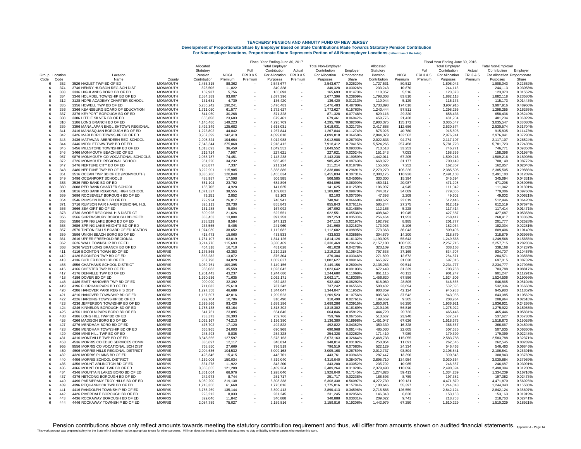|                        |                                                                           |                                    | Fiscal Year Ending June 30, 2017 |                   |                          |                        |         |                           |                      |                      | Fiscal Year Ending June 30, 2016 |                          |                       |         |                              |                      |  |  |
|------------------------|---------------------------------------------------------------------------|------------------------------------|----------------------------------|-------------------|--------------------------|------------------------|---------|---------------------------|----------------------|----------------------|----------------------------------|--------------------------|-----------------------|---------|------------------------------|----------------------|--|--|
|                        |                                                                           |                                    | Allocated                        |                   |                          | <b>Total Employer</b>  |         | <b>Total Non-Employer</b> |                      | Allocated            |                                  |                          | <b>Total Employer</b> |         | <b>Total Non-Employer</b>    |                      |  |  |
|                        |                                                                           |                                    | Statuton                         |                   | Full                     | Contribution           | Actual  | Contribution              | Employer             | Statutory            |                                  | Full                     | Contribution          | Actual  | Contribution                 | Employer             |  |  |
| Group Location         | Location                                                                  |                                    | Pension                          | <b>NCGI</b>       | ERI3&5                   | For Allocation         | ERI3&5  | For Allocation            | Proportionate        | Pension              | <b>NCGI</b>                      | ERI 3 & 5                | For Allocation        | ERI3&5  | For Allocation Proportionate |                      |  |  |
| Code<br>Code           | Name                                                                      | County                             | Contribution                     | Premium           | Premium                  | Purposes               | Premium | Purposes                  | Share                | Contribution         | Premium                          | Premium                  | Purposes              | Premium | Purposes                     | Share                |  |  |
| 352<br>-6<br>374<br>-6 | 3526 HAZLET TWP BD OF ED<br>3746 HENRY HUDSON REG SCH DIST                | <b>MONMOUTH</b><br><b>MONMOUTH</b> | 2,455,315<br>328,506             | 88,362<br>11,822  |                          | 2,543,677<br>340,328   |         | 2,543,677<br>340.328      | 0.22620%<br>0.03026% | 1,727,531<br>233,243 | 80,512<br>10,870                 |                          | 1,808,043<br>244.113  |         | 1,808,043<br>244,113         | 0.22652%<br>0.03058% |  |  |
| 333<br>6               | 3336 HIGHLANDS BORO BD OF ED                                              | <b>MONMOUTH</b>                    | 159.937                          | 5.756             |                          | 165.693                |         | 165.693                   | 0.01473%             | 118,357              | 5,516                            |                          | 123,873               |         | 123,873                      | 0.01552%             |  |  |
| 334<br>-6              | 3346 HOLMDEL TOWNSHIP BD OF ED                                            | <b>MONMOUTH</b>                    | 2,584,389                        | 93,007            |                          | 2,677,396              |         | 2,677,396                 | 0.23809%             | 1,798,308            | 83,810                           |                          | 1,882,118             |         | 1,882,118                    | 0.23580%             |  |  |
| 312                    | 3128 HOPE ACADEMY CHARTER SCHOOL                                          | <b>MONMOUTH</b>                    | 131,681                          | 4,739             |                          | 136,420                |         | 136,420                   | 0.01213%             | 110,044              | 5,129                            |                          | 115,173               |         | 115,173                      | 0.01443%             |  |  |
| 335                    | 3356 HOWELL TWP BD OF ED                                                  | <b>MONMOUTH</b>                    | 5,286,242                        | 190,241           | $\overline{\phantom{a}}$ | 5,476,483              |         | 5,476,483                 | 0.48700%             | 3,733,898            | 174,018                          |                          | 3,907,916             |         | 3,907,916                    | 0.48960%             |  |  |
| 336<br>6               | 3366 KEANSBURG BOARD OF EDUCATION                                         | <b>MONMOUTH</b>                    | 1,711,050                        | 61,577            |                          | 1.772.627              |         | 1,772,627                 | 0.15763%             | 1,240,444            | 57.811                           |                          | 1.298.255             |         | 1,298,255                    | 0.16265%             |  |  |
| 337<br>$\epsilon$      | 3376 KEYPORT BOROUGH BD OF ED                                             | <b>MONMOUTH</b>                    | 841.060                          | 30,268            |                          | 871,328                |         | 871,328                   | 0.07748%             | 629,116              | 29,320                           |                          | 658,436               |         | 658,436                      | 0.08249%             |  |  |
| 338<br>6               | 3386 LITTLE SILVER BD OF ED                                               | <b>MONMOUTH</b>                    | 655,858                          | 23,603            |                          | 679,461                |         | 679,461                   | 0.06042%             | 459,776              | 21,428                           |                          | 481,204               |         | 481,204                      | 0.06029%             |  |  |
| 310<br>-6              | 3106 LONG BRANCH BD OF ED                                                 | MONMOUTH                           | 4,146,486                        | 149,223           |                          | 4.295.709              |         | 4,295,709                 | 0.38200%             | 2.900.375            | 135,172                          |                          | 3,035,547             |         | 3,035,547                    | 0.38030%             |  |  |
| 339<br>6               | 3396 MANALAPAN ENGLISHTOWN REGIONAL                                       | <b>MONMOUTH</b>                    | 3.492.349                        | 125,682           |                          | 3,618,031              |         | 3,618,031                 | 0.32173%             | 2,417,888            | 112,686                          |                          | 2,530,574             |         | 2,530,574                    | 0.31704%             |  |  |
| 341<br>6<br>342<br>6   | 3416 MANASQUAN BOROUGH BD OF ED<br>3426 MARLBORO TOWNSHIP BD OF ED        | <b>MONMOUTH</b><br><b>MONMOUTH</b> | 1,223,802<br>3,957,399           | 44,042<br>142,419 |                          | 1,267,844<br>4,099,818 |         | 1,267,844<br>4,099,818    | 0.11274%<br>0.36458% | 875,025<br>2,844,379 | 40,780<br>132,562                |                          | 915,805<br>2,976,941  |         | 915,805<br>2,976,941         | 0.11473%<br>0.37296% |  |  |
| 343<br>-6              | 3436 MATAWAN-ABERDEEN REG SCHOOL                                          | <b>MONMOUTH</b>                    | 2,908,324                        | 104,664           |                          | 3,012,988              |         | 3,012,988                 | 0.26793%             | 2,022,833            | 94,274                           |                          | 2,117,107             |         | 2.117.107                    | 0.26524%             |  |  |
| 344                    | 3446 MIDDLETOWN TWP BD OF ED                                              | <b>MONMOUTH</b>                    | 7,643,344                        | 275,068           |                          | 7,918,412              |         | 7,918,412                 | 0.70415%             | 5,524,265            | 257,458                          |                          | 5,781,723             |         | 5,781,723                    | 0.72435%             |  |  |
| 345                    | 3456 MILLSTONE TOWNSHIP BD OF ED                                          | <b>MONMOUTH</b>                    | 1.013.093                        | 36,459            |                          | 1.049.552              |         | 1,049,552                 | 0.09333%             | 713.518              | 33.253                           |                          | 746,771               |         | 746,771                      | 0.09356%             |  |  |
| 346                    | 3466 MONMOUTH BEACH BD OF ED                                              | <b>MONMOUTH</b>                    | 219,714                          | 7,907             |                          | 227,621                |         | 227,621                   | 0.02024%             | 151,343              | 7,053                            |                          | 158,396               |         | 158,396                      | 0.01984%             |  |  |
| 987<br>-6              | 9876 MONMOUTH CO VOCATIONAL SCHOOLS                                       | <b>MONMOUTH</b>                    | 2,068,787                        | 74,451            |                          | 2,143,238              |         | 2,143,238                 | 0.19059%             | 1,442,011            | 67,205                           |                          | 1,509,216             |         | 1,509,216                    | 0.18908%             |  |  |
| 372<br>-6              | 3726 MONMOUTH REGIONAL SCHOOL                                             | <b>MONMOUTH</b>                    | 951,220                          | 34,232            |                          | 985,452                |         | 985,452                   | 0.08763%             | 668,972              | 31,177                           |                          | 700,149               |         | 700,149                      | 0.08772%             |  |  |
| 347                    | 3476 NEPTUNE CITY BD OF ED                                                | <b>MONMOUTH</b>                    | 203.877                          | 7,337             |                          | 211.214                |         | 211.214                   | 0.01878%             | 155,605              | 7,252                            |                          | 162.857               |         | 162.857                      | 0.02040%             |  |  |
| 348<br>-6              | 3486 NEPTUNE TWP BD OF ED                                                 | <b>MONMOUTH</b>                    | 3.222.901                        | 115,985           | $\overline{\phantom{a}}$ | 3.338.886              |         | 3.338.886                 | 0.29691%             | 2,279,279            | 106,226                          | $\overline{\phantom{a}}$ | 2.385.505             |         | 2,385,505                    | 0.29886%             |  |  |
| 351<br>-6              | 3516 OCEAN TWP BD OF ED (MONMOUTH)                                        | <b>MONMOUTH</b>                    | 3,335,786                        | 120,048           |                          | 3,455,834              |         | 3,455,834                 | 0.30731%             | 2,380,175            | 110,928                          |                          | 2,491,103             |         | 2,491,103                    | 0.31209%             |  |  |
| 349<br>6<br>353<br>6   | 3496 OCEANPORT SCHOOLS                                                    | <b>MONMOUTH</b>                    | 488,987                          | 17,598            |                          | 506,585<br>684.896     |         | 506,585                   | 0.04505%             | 330,300              | 15,394                           |                          | 345,694               |         | 345,694                      | 0.04331%<br>0.05905% |  |  |
| 360<br>я               | 3536 RED BANK BD OF ED<br>3608 RED BANK CHARTER SCHOOL                    | MONMOUTH<br><b>MONMOUTH</b>        | 661,104<br>136,705               | 23,792<br>4,920   |                          | 141,625                |         | 684,896<br>141.625        | 0.06090%<br>0.01259% | 450,311<br>106,097   | 20,987<br>4,945                  |                          | 471,298<br>111.042    |         | 471,298<br>111.042           | 0.01391%             |  |  |
| 301<br>-6              | 3016 RED BANK REGIONAL HIGH SCHOOL                                        | <b>MONMOUTH</b>                    | 1.071.327                        | 38.555            |                          | 1,109,882              |         | 1,109,882                 | 0.09870%             | 744.317              | 34.689                           |                          | 779.006               |         | 779.006                      | 0.09760%             |  |  |
| 369                    | 3696 ROOSEVELT BOROUGH BD OF ED                                           | <b>MONMOUTH</b>                    | 79,251                           | 2,852             |                          | 82.103                 |         | 82.103                    | 0.00730%             | 47,393               | 2,209                            |                          | 49.602                |         | 49,602                       | 0.00621%             |  |  |
| 354<br>6               | 3546 RUMSON BORO BD OF ED                                                 | <b>MONMOUTH</b>                    | 722,924                          | 26,017            |                          | 748,941                |         | 748,941                   | 0.06660%             | 489,627              | 22,819                           |                          | 512,446               |         | 512,446                      | 0.06420%             |  |  |
| 371<br>-6              | 3716 RUMSON FAIR HAVEN REGIONAL H.S.                                      | <b>MONMOUTH</b>                    | 826,113                          | 29,730            |                          | 855,843                |         | 855,843                   | 0.07611%             | 585,244              | 27,275                           |                          | 612.519               |         | 612,519                      | 0.07674%             |  |  |
| 366<br>-6              | 3666 SEA GIRT BD OF ED                                                    | <b>MONMOUTH</b>                    | 161.288                          | 5.804             |                          | 167.092                |         | 167.092                   | 0.01486%             | 112.186              | 5.228                            |                          | 117.414               |         | 117.414                      | 0.01471%             |  |  |
| 373                    | 3736 SHORE REGIONAL H S DISTRICT                                          | <b>MONMOUTH</b>                    | 600,925                          | 21,626            |                          | 622.551                |         | 622,551                   | 0.05536%             | 408,642              | 19,045                           |                          | 427,687               |         | 427,687                      | 0.05358%             |  |  |
| 356<br>6               | 3566 SHREWSBURY BOROUGH BD OF ED                                          | <b>MONMOUTH</b>                    | 383.453                          | 13,800            |                          | 397,253                |         | 397,253                   | 0.03533%             | 256,464              | 11,953                           |                          | 268,417               |         | 268,417                      | 0.03363%             |  |  |
| 358                    | 3586 SPRING LAKE BORO BD OF ED                                            | MONMOLITH                          | 238,529                          | 8,584             |                          | 247.113                |         | 247.113                   | 0.02197%             | 192,792              | 8.985                            |                          | 201.777               |         | 201,777                      | 0.02528%             |  |  |
| 368<br>357             | 3686 SPRING LAKE HEIGHTS BD OF ED<br>3576 TINTON FALLS BOARD OF EDUCATION | <b>MONMOUTH</b><br><b>MONMOUTH</b> | 233,555<br>1,074,030             | 8,405<br>38,652   |                          | 241,960<br>1,112,682   |         | 241,960<br>1,112,682      | 0.02152%<br>0.09895% | 173,928<br>773,363   | 8,106<br>36,043                  |                          | 182,034<br>809,406    |         | 182,034<br>809,406           | 0.02281%<br>0.10140% |  |  |
| 359<br>6               | 3596 UNION BEACH BORO BD OF ED                                            | <b>MONMOUTH</b>                    | 418,473                          | 15,060            |                          | 433,533                |         | 433,533                   | 0.03855%             | 304,679              | 14,200                           |                          | 318,879               |         | 318,879                      | 0.03995%             |  |  |
| 361<br>-6              | 3616 UPPER FREEHOLD REGIONAL                                              | <b>MONMOUTH</b>                    | 1,751,107                        | 63,019            |                          | 1,814,126              |         | 1,814,126                 | 0.16132%             | 1,193,925            | 55,643                           | $\overline{\phantom{a}}$ | 1.249.568             |         | 1,249,568                    | 0.15655%             |  |  |
| 362<br>6               | 3626 WALL TOWNSHIP BD OF ED                                               | <b>MONMOUTH</b>                    | 3,214,776                        | 115,693           |                          | 3,330,469              |         | 3,330,469                 | 0.29616%             | 2,157,180            | 100,535                          | $\overline{\phantom{a}}$ | 2,257,715             |         | 2,257,715                    | 0.28285%             |  |  |
| 363                    | 3636 WEST LONG BRANCH BD OF ED                                            | <b>MONMOUTH</b>                    | 464,318                          | 16,710            |                          | 481,028                |         | 481,028                   | 0.04278%             | 323,109              | 15,059                           |                          | 338,168               |         | 338,168                      | 0.04237%             |  |  |
| 411<br>-6              | 4116 BOONTON TOWN BD OF ED                                                | <b>MORRIS</b>                      | 1.176.865                        | 42,353            |                          | 1.219.218              |         | 1.219.218                 | 0.10842%             | 797.538              | 37.169                           |                          | 834.707               |         | 834.707                      | 0.10457%             |  |  |
| 412<br>6               | 4126 BOONTON TWP BD OF ED                                                 | <b>MORRIS</b>                      | 363,232                          | 13,072            |                          | 376,304                |         | 376,304                   | 0.03346%             | 271,899              | 12,672                           |                          | 284,571               |         | 284,571                      | 0.03565%             |  |  |
| 413<br>-6              | 4136 BUTLER BORO BD OF ED                                                 | <b>MORRIS</b>                      | 967.798                          | 34,829            |                          | 1,002,627              |         | 1,002,627                 | 0.08916%             | 665,977              | 31,038                           |                          | 697,015               |         | 697,015                      | 0.08732%             |  |  |
| 455                    | 4556 CHATHAMS SCHOOL DISTRICT                                             | <b>MORRIS</b>                      | 3,039,761                        | 109,395           |                          | 3,149,156              |         | 3,149,156                 | 0.28004%             | 2,135,263            | 99.514                           |                          | 2,234,777             |         | 2.234,777                    | 0.27998%             |  |  |
| 416<br>6               | 4166 CHESTER TWP BD OF ED                                                 | <b>MORRIS</b>                      | 988,083                          | 35,559            |                          | 1.023.642              |         | 1,023,642                 | 0.09103%             | 672,449              | 31,339                           |                          | 703.788               |         | 703,788                      | 0.08817%             |  |  |
| 417<br>-6<br>418       | 4176 DENVILLE TWP BD OF ED<br>4186 DOVER BD OF ED                         | <b>MORRIS</b><br><b>MORRIS</b>     | 1,201,443<br>1,990,536           | 43,237<br>71,635  |                          | 1,244,680<br>2,062,171 |         | 1,244,680<br>2,062,171    | 0.11068%<br>0.18338% | 861,115<br>1,456,620 | 40,132<br>67,886                 |                          | 901.247<br>1,524,506  |         | 901,247<br>1,524,506         | 0.11291%<br>0.19099% |  |  |
| 448<br>-6              | 4486 EAST HANOVER TWP BD OF ED                                            | <b>MORRIS</b>                      | 900.090                          | 32,392            |                          | 932.482                |         | 932.482                   | 0.08292%             | 618,060              | 28.805                           |                          | 646.865               |         | 646,865                      | 0.08104%             |  |  |
| 419<br>6               | 4196 FLORHAM PARK BD OF ED                                                | <b>MORRIS</b>                      | 711.632                          | 25,610            |                          | 737.242                |         | 737,242                   | 0.06556%             | 508.402              | 23.694                           |                          | 532.096               |         | 532.096                      | 0.06666%             |  |  |
| 420<br>6               | 4206 HANOVER PARK REG H S DIST                                            | <b>MORRIS</b>                      | 1,297,358                        | 46,689            |                          | 1,344,047              |         | 1,344,047                 | 0.11952%             | 903.859              | 42.124                           |                          | 945,983               |         | 945.983                      | 0.11852%             |  |  |
| 421<br>6               | 4216 HANOVER TOWNSHIP BD OF ED                                            | <b>MORRIS</b>                      | 1,167,507                        | 42,016            |                          | 1,209,523              |         | 1,209,523                 | 0.10756%             | 805,543              | 37,542                           |                          | 843,085               |         | 843,085                      | 0.10562%             |  |  |
| 422<br>-6              | 4226 HARDING TOWNSHIP BD OF ED                                            | <b>MORRIS</b>                      | 299.704                          | 10.786            |                          | 310,490                |         | 310,490                   | 0.02761%             | 199,659              | 9.305                            |                          | 208,964               |         | 208,964                      | 0.02618%             |  |  |
| 423<br>-6              | 4236 JEFFERSON TOWNSHIP BD OF ED                                          | <b>MORRIS</b>                      | 2,595,866                        | 93,420            |                          | 2,689,286              |         | 2,689,286                 | 0.23915%             | 1,850,671            | 86,250                           | $\overline{\phantom{a}}$ | 1,936,921             |         | 1,936,921                    | 0.24266%             |  |  |
| 424                    | 4246 KINNELON BOROUGH BD OF ED                                            | <b>MORRIS</b>                      | 1,755,138                        | 63,164            |                          | 1,818,302              |         | 1,818,302                 | 0.16169%             | 1.219.106            | 56.816                           |                          | 1,275,922             |         | 1.275.922                    | 0.15985%             |  |  |
| 425<br>6               | 4256 LINCOLN PARK BORO BD OF ED                                           | <b>MORRIS</b>                      | 641,751                          | 23,095            |                          | 664,846                |         | 664,846                   | 0.05912%             | 444,720              | 20,726                           |                          | 465,446               |         | 465,446                      | 0.05831%             |  |  |
| 438<br>-6              | 4386 LONG HILL TWP BD OF ED                                               | <b>MORRIS</b>                      | 733,373                          | 26,393            |                          | 759.766                |         | 759,766                   | 0.06756%             | 513,687              | 23.940                           |                          | 537,627               |         | 537,627                      | 0.06736%             |  |  |
| 426<br>-6              | 4266 MADISON BORO BD OF ED                                                | <b>MORRIS</b>                      | 2,062,167                        | 74,213            |                          | 2,136,380              |         | 2,136,380                 | 0.18998%             | 1,451,047            | 67,626                           |                          | 1,518,673             |         | 1,518,673                    | 0.19026%             |  |  |
| 427<br>6<br>428<br>6   | 4276 MENDHAM BORO BD OF ED                                                | <b>MORRIS</b>                      | 475.702                          | 17,120            |                          | 492.822                |         | 492.822                   | 0.04382%             | 350,339              | 16,328                           |                          | 366,667               |         | 366,667                      | 0.04594%             |  |  |
| 429<br>-6              | 4286 MENDHAM TOWNSHIP BD OF ED<br>4296 MINE HILL TWP BD OF ED             | <b>MORRIS</b><br><b>MORRIS</b>     | 666,965<br>245.493               | 24,003<br>8.835   |                          | 690,968<br>254.328     |         | 690,968<br>254.328        | 0.06144%<br>0.02262% | 485,030<br>171.410   | 22,605<br>7.989                  |                          | 507,635<br>179.399    |         | 507,635<br>179.399           | 0.06360%<br>0.02248% |  |  |
| 431<br>-6              | 4316 MONTVILLE TWP BD OF ED                                               | <b>MORRIS</b>                      | 3,545,566                        | 127,597           |                          | 3,673,163              |         | 3,673,163                 | 0.32664%             | 2,468,733            | 115,055                          |                          | 2,583,788             |         | 2,583,788                    | 0.32371%             |  |  |
| 453                    | 4536 MORRIS CO EDUC SERVICES COMM                                         | <b>MORRIS</b>                      | 336,697                          | 12,117            |                          | 348.814                |         | 348.814                   | 0.03102%             | 250,854              | 11.691                           |                          | 262.545               |         | 262,545                      | 0.03289%             |  |  |
| 955<br>-6              | 9556 MORRIS CO VOCATIONAL SCH DIST                                        | <b>MORRIS</b>                      | 768,850                          | 27,669            |                          | 796.519                |         | 796.519                   | 0.07083%             | 522,129              | 24,334                           |                          | 546.463               |         | 546.463                      | 0.06846%             |  |  |
| 450<br>-6              | 4506 MORRIS HILLS REGIONAL DISTRICT                                       | <b>MORRIS</b>                      | 2.904.636                        | 104,532           |                          | 3,009,168              |         | 3.009.168                 | 0.26759%             | 2.012.737            | 93.804                           |                          | 2,106,541             |         | 2.106.541                    | 0.26391%             |  |  |
| 432<br>-6              | 4326 MORRIS PLAINS BD OF ED                                               | <b>MORRIS</b>                      | 428,346                          | 15,415            |                          | 443,761                |         | 443,761                   | 0.03946%             | 287,447              | 13,396                           |                          | 300,843               |         | 300,843                      | 0.03769%             |  |  |
| 440<br>6               | 4406 MORRIS SCHOOL DISTRICT                                               | <b>MORRIS</b>                      | 4,169,006                        | 150,034           |                          | 4,319,040              |         | 4,319,040                 | 0.38407%             | 2,895,710            | 134,954                          |                          | 3,030,664             |         | 3,030,664                    | 0.37969%             |  |  |
| 435<br>-6              | 4356 MOUNT ARLINGTON BD OF ED                                             | <b>MORRIS</b>                      | 331,278                          | 11,922            | $\sim$                   | 343,200                |         | 343,200                   | 0.03052%             | 235,702              | 10,985                           |                          | 246,687               |         | 246,687                      | 0.03091%             |  |  |
| 436<br>-6              | 4366 MOUNT OLIVE TWP BD OF ED                                             | <b>MORRIS</b>                      | 3.368.055                        | 121.209           |                          | 3.489.264              |         | 3.489.264                 | 0.31028%             | 2.379.498            | 110.896                          |                          | 2.490.394             |         | 2.490.394                    | 0.31200%             |  |  |
| 434<br>437             | 4346 MOUNTAIN LAKES BORO BD OF ED                                         | <b>MORRIS</b><br><b>MORRIS</b>     | 1,861,064                        | 66,976            |                          | 1,928,040              |         | 1,928,040                 | 0.17145%<br>0.02238% | 1,274,826            | 59,413                           |                          | 1,334,239             |         | 1,334,239                    | 0.16716%<br>0.02473% |  |  |
| 6<br>449<br>-6         | 4376 NETCONG BOROUGH BD OF ED<br>4496 PARSIPPANY TROY HILLS BD OF ED      | <b>MORRIS</b>                      | 242,973<br>6,089,200             | 8,744<br>219.138  |                          | 251,717<br>6.308.338   |         | 251,717<br>6.308.338      | 0.56097%             | 188,593<br>4,272,739 | 8,789<br>199,131                 |                          | 197,382<br>4.471.870  |         | 197,382<br>4,471,870         | 0.56025%             |  |  |
| 439                    | 4396 PEQUANNOCK TWP BD OF ED                                              | <b>MORRIS</b>                      | 1,713,356                        | 61,660            |                          | 1,775,016              |         | 1,775,016                 | 0.15784%             | 1,188,646            | 55,397                           |                          | 1,244,043             |         | 1,244,043                    | 0.15586%             |  |  |
| 441                    | 4416 RANDOLPH TOWNSHIP BD OF ED                                           | <b>MORRIS</b>                      | 3,755,269                        | 135,144           |                          | 3,890,413              |         | 3,890,413                 | 0.34596%             | 2,715,565            | 126,559                          |                          | 2,842,124             |         | 2,842,124                    | 0.35607%             |  |  |
| 442<br>6               | 4426 RIVERDALE BOROUGH BD OF ED                                           | <b>MORRIS</b>                      | 223,212                          | 8,033             |                          | 231.245                |         | 231.245                   | 0.02056%             | 146.343              | 6.820                            |                          | 153,163               |         | 153.163                      | 0.01919%             |  |  |
| 443                    | 4436 ROCKAWAY BOROUGH BD OF ED                                            | <b>MORRIS</b>                      | 329.046                          | 11,842            |                          | 340.888                |         | 340,888                   | 0.03031%             | 209,022              | 9,741                            |                          | 218,763               |         | 218,763                      | 0.02741%             |  |  |
| 444                    | 4446 ROCKAWAY TOWNSHIP BD OF ED                                           | <b>MORRIS</b>                      | 2,084,789                        | 75,027            |                          | 2,159,816              |         | 2,159,816                 | 0.19206%             | 1,442,979            | 67,250                           |                          | 1,510,229             |         | 1,510,229                    | 0.18921%             |  |  |

Pension contributions above only reflect amounts towards meeting the statutory contribution requirement and thus, will differ from amounts shown a mounts shown on audited financial statements. <sub>Appendix A</sub> . Page 14<br>This w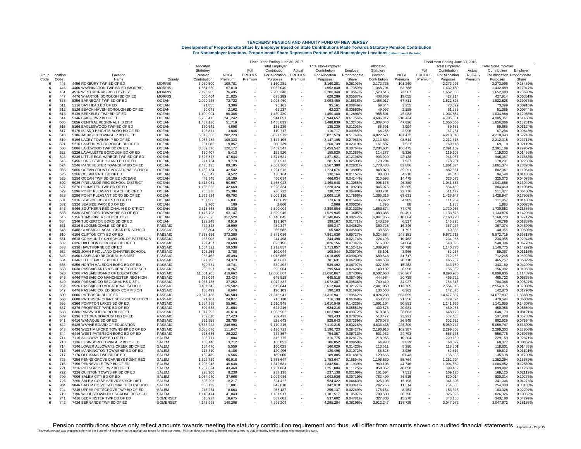|                        |                                                                          |                       | Fiscal Year Ending June 30, 2017 |                  |         |                       |         |                           |                      |                    | Fiscal Year Ending June 30, 2016 |                          |                       |         |                              |                      |  |  |
|------------------------|--------------------------------------------------------------------------|-----------------------|----------------------------------|------------------|---------|-----------------------|---------|---------------------------|----------------------|--------------------|----------------------------------|--------------------------|-----------------------|---------|------------------------------|----------------------|--|--|
|                        |                                                                          |                       | Allocated                        |                  |         | <b>Total Employer</b> |         | <b>Total Non-Employer</b> |                      | Allocated          |                                  |                          | <b>Total Employer</b> |         | <b>Total Non-Employer</b>    |                      |  |  |
|                        |                                                                          |                       | Statuton                         |                  | Full    | Contribution          | Actual  | Contribution              | Employer             | Statutory          |                                  | Full                     | Contribution          | Actual  | Contribution                 | Employer             |  |  |
| Group Location         | Location                                                                 |                       | Pension                          | <b>NCGI</b>      | ERI3&5  | For Allocation        | ERI3&5  | For Allocation            | Proportionate        | Pension            | <b>NCGI</b>                      | ERI 3 & 5                | For Allocation        | ERI3&5  | For Allocation Proportionate |                      |  |  |
| Code<br>Code           | Name                                                                     | County                | Contribution                     | Premium          | Premium | Purposes              | Premium | Purposes                  | Share                | Contribution       | Premium                          | Premium                  | Purposes              | Premium | Purposes                     | Share                |  |  |
| 445<br>-6              | 4456 ROXBURY TWP BD OF ED                                                | <b>MORRIS</b>         | 3,050,500                        | 109,781          |         | 3,160,281             |         | 3,160,281                 | 0.28103%             | 2,172,735          | 101,260                          |                          | 2,273,995             |         | 2,273,995                    | 0.28489%             |  |  |
| 446<br>-6              | 4466 WASHINGTON TWP BD ED (MORRIS)                                       | <b>MORRIS</b>         | 1,884,230                        | 67,810           |         | 1,952,040             |         | 1,952,040                 | 0.17359%             | 1,368,701          | 63,788                           |                          | 1,432,489             |         | 1,432,489                    | 0.17947%             |  |  |
| 451<br>-6              | 4516 WEST MORRIS REG H S DIST                                            | <b>MORRIS</b>         | 2,123,905                        | 76,435           |         | 2,200,340             |         | 2.200.340                 | 0.19567%             | 1,578,516          | 73.567                           |                          | 1.652.083             |         | 1.652.083                    | 0.20698%             |  |  |
| 447<br>-6              | 4476 WHARTON BOROUGH BD OF ED                                            | <b>MORRIS</b>         | 606,464                          | 21,825           |         | 628.289               |         | 628,289                   | 0.05587%             | 408,859            | 19.055                           |                          | 427,914               |         | 427,914                      | 0.05361%             |  |  |
| 535                    | 5356 BARNEGAT TWP BD OF ED                                               | <b>OCEAN</b>          | 2,020,728                        | 72,722           |         | 2,093,450             |         | 2,093,450                 | 0.18616%             | 1,455,017          | 67,811                           |                          | 1,522,828             |         | 1,522,828                    | 0.19078%             |  |  |
| 511<br>512             | 5116 BAY HEAD BD OF ED                                                   | <b>OCEAN</b><br>OCEAN | 91,855                           | 3,306            |         | 95.161<br>62.237      |         | 95.161<br>62.237          | 0.00846%             | 69,844<br>49.097   | 3,255                            |                          | 73,099                |         | 73,099                       | 0.00916%<br>0.00644% |  |  |
| 6<br>513<br>$\epsilon$ | 5126 BEACH HAVEN BOROUGH BD OF ED<br>5136 BERKELEY TWP BD OF ED          | <b>OCEAN</b>          | 60.075<br>1,400,094              | 2.162<br>50,386  |         | 1,450,480             |         | 1,450,480                 | 0.00553%<br>0.12898% | 988,801            | 2,288<br>46,083                  |                          | 51.385<br>1,034,884   |         | 51,385<br>1,034,884          | 0.12965%             |  |  |
| 514<br>6               | 5146 BRICK TWP BD OF ED                                                  | <b>OCEAN</b>          | 6,703,415                        | 241,242          |         | 6,944,657             |         | 6,944,657                 | 0.61756%             | 4,686,917          | 218,434                          |                          | 4,905,351             |         | 4,905,351                    | 0.61456%             |  |  |
| 505<br>-6              | 5056 CENTRAL REGIONAL H S DIST                                           | <b>OCEAN</b>          | 1,437,120                        | 51,719           |         | 1.488.839             |         | 1,488,839                 | 0.13240%             | 1,009,040          | 47,026                           |                          | 1,056,066             |         | 1.056.066                    | 0.13231%             |  |  |
| 516<br>6               | 5166 EAGLESWOOD TWP BD OF ED                                             | <b>OCEAN</b>          | 130.541                          | 4,698            |         | 135.239               |         | 135.239                   | 0.01203%             | 85,691             | 3.994                            |                          | 89.685                |         | 89,685                       | 0.01124%             |  |  |
| 517<br>6               | 5176 ISLAND HEIGHTS BORO BD OF ED                                        | <b>OCEAN</b>          | 106,871                          | 3,846            |         | 110,717               |         | 110.717                   | 0.00985%             | 64.288             | 2,996                            |                          | 67,284                |         | 67.284                       | 0.00843%             |  |  |
| 518<br>6               | 5186 JACKSON TOWNSHIP BD OF ED                                           | <b>OCEAN</b>          | 5,619,350                        | 202,229          |         | 5,821,579             |         | 5,821,579                 | 0.51769%             | 4,022,571          | 187,472                          |                          | 4,210,043             |         | 4,210,043                    | 0.52745%             |  |  |
| 519<br>-6              | 5196 LACEY TOWNSHIP BD OF ED                                             | OCEAN                 | 3,037,782                        | 109,323          |         | 3.147.105             |         | 3.147.105                 | 0.27986%             | 2,113,804          | 98.514                           |                          | 2,212,318             |         | 2.212.318                    | 0.27717%             |  |  |
| 521                    | 5216 LAKEHURST BOROUGH BD OF ED                                          | <b>OCEAN</b>          | 251,682                          | 9,057            |         | 260.739               |         | 260,739                   | 0.02319%             | 161,587            | 7,531                            |                          | 169.118               |         | 169,118                      | 0.02119%             |  |  |
| 500                    | 5006 LAKEWOOD TWP BD OF ED                                               | <b>OCEAN</b>          | 3,339,370                        | 120,177          |         | 3.459.547             |         | 3,459,547                 | 0.30764%             | 2.284.634          | 106,475                          |                          | 2.391.109             |         | 2.391.109                    | 0.29957%             |  |  |
| 522                    | 5226 LAVALLETTE BOROUGH BD OF ED                                         | <b>OCEAN</b>          | 150,407                          | 5,413            |         | 155,820               |         | 155,820                   | 0.01386%             | 114,277            | 5,326                            |                          | 119,603               |         | 119,603                      | 0.01498%             |  |  |
| 523<br>-6              | 5236 LITTLE EGG HARBOR TWP BD OF ED                                      | <b>OCEAN</b>          | 1,323,877                        | 47,644           |         | 1,371,521             |         | 1.371.521                 | 0.12196%             | 903,929            | 42,128                           |                          | 946.057               |         | 946,057                      | 0.11853%             |  |  |
| 545<br>-6              | 5456 LONG BEACH ISLAND BD OF ED                                          | <b>OCEAN</b>          | 271,734                          | 9,779            |         | 281,513               |         | 281,513                   | 0.02503%             | 170,294            | 7,937                            |                          | 178,231               |         | 178,231                      | 0.02233%             |  |  |
| 524                    | 5246 MANCHESTER TOWNSHIP BD OF ED                                        | <b>OCEAN</b>          | 2,478,195                        | 89,185           |         | 2,567,380             |         | 2,567,380                 | 0.22831%             | 1.778.488          | 82,886                           |                          | 1.861.374             |         | 1,861,374                    | 0.23320%             |  |  |
| 986<br>-6              | 9866 OCEAN COUNTY VOCATIONAL SCHOOL                                      | <b>OCEAN</b>          | 1.182.134                        | 42.542           | $\sim$  | 1.224.676             |         | 1.224.676                 | 0.10890%             | 843,070            | 39.291                           |                          | 882.361               |         | 882.361                      | 0.11054%             |  |  |
| 526<br>-6              | 5266 OCEAN GATE BD OF ED                                                 | <b>OCEAN</b>          | 125,642                          | 4,522            |         | 130.164               |         | 130.164                   | 0.01157%             | 90.338             | 4.210                            |                          | 94.548                |         | 94.548                       | 0.01185%             |  |  |
| 525<br>6               | 5256 OCEAN TWP BD OF ED (OCEAN)                                          | <b>OCEAN</b>          | 449,845                          | 16,189           |         | 466,034               |         | 466,034                   | 0.04144%             | 310,598            | 14,475                           |                          | 325,073               |         | 325,073                      | 0.04073%             |  |  |
| 502<br>6               | 5026 PINELANDS REG SCHOOL DISTRICT                                       | <b>OCEAN</b>          | 1,417,051                        | 50,997           |         | 1,468,048             |         | 1,468,048                 | 0.13055%             | 995,176            | 46,380                           |                          | 1,041,556             |         | 1,041,556                    | 0.13049%             |  |  |
| 527<br>-6              | 5276 PLUMSTED TWP BD OF ED                                               | <b>OCEAN</b>          | 1,185,655                        | 42,669           |         | 1,228,324             |         | 1,228,324                 | 0.10923%             | 845,075            | 39,385                           |                          | 884.460               |         | 884,460                      | 0.11081%             |  |  |
| 529<br>-6              | 5296 POINT PLEASANT BEACH BD OF ED                                       | <b>OCEAN</b>          | 705.338                          | 25.384           |         | 730.722               |         | 730.722                   | 0.06498%             | 488.701            | 22.776                           |                          | 511.477               |         | 511.477                      | 0.06408%             |  |  |
| 528                    | 5286 POINT PLEASANT BORO BD OF ED                                        | <b>OCEAN</b>          | 1,939,324                        | 69,792           |         | 2,009,116             |         | 2,009,116                 | 0.17866%             | 1,365,316          | 63.631                           |                          | 1,428,947             |         | 1,428,947                    | 0.17902%             |  |  |
| 531<br>6               | 5316 SEASIDE HEIGHTS BD OF ED                                            | <b>OCEAN</b>          | 167,588                          | 6,031            |         | 173,619               |         | 173,619                   | 0.01544%             | 106,972            | 4,985                            |                          | 111,957               |         | 111,957                      | 0.01403%             |  |  |
| 532<br>-6              | 5326 SEASIDE PARK BD OF ED                                               | <b>OCEAN</b>          | 2,766                            | 100              |         | 2.866                 |         | 2.866                     | 0.00025%             | 1,895              | 88                               |                          | 1.983                 |         | 1.983                        | 0.00025%             |  |  |
| 546<br>-6              | 5466 SOUTHERN REGIONAL H S DISTRICT                                      | <b>OCEAN</b>          | 2.315.668                        | 83.336           |         | 2.399.004             |         | 2.399.004                 | 0.21333%             | 1.653.874          | 77.079                           |                          | 1.730.953             |         | 1.730.953                    | 0.21686%             |  |  |
| 533                    | 5336 STAFFORD TOWNSHIP BD OF ED                                          | <b>OCEAN</b>          | 1.476.798                        | 53,147           |         | 1.529.945             |         | 1,529,945                 | 0.13605%             | 1,083,385          | 50,491                           |                          | 1,133,876             |         | 1,133,876                    | 0.14206%             |  |  |
| 515<br>6               | 5156 TOMS RIVER SCHOOL DIST                                              | <b>OCEAN</b>          | 9,795,525                        | 352,520          |         | 10,148,045            |         | 10,148,045                | 0.90242%             | 6,841,856          | 318,864                          |                          | 7,160,720             |         | 7,160,720                    | 0.89712%             |  |  |
| 534                    | 5346 THCKERTON BORO BD OF ED                                             | <b>OCEAN</b>          | 192.248                          | 6,919            |         | 199.167               |         | 199.167                   | 0.01771%             | 140.259            | 6,537                            |                          | 146.796               |         | 146.796                      | 0.01839%             |  |  |
| 631<br>-6              | 6316 BLOOMINGDALE BD OF ED                                               | PASSAIC               | 472,348                          | 16,999           |         | 489.347               |         | 489.347                   | 0.04352%             | 350,728            | 16,346                           |                          | 367,074               |         | 367,074                      | 0.04599%             |  |  |
| 648<br>8               | 6488 CLASSICAL ACAD. CHARTER SCHOOL                                      | PASSAIC               | 63,304                           | 2,278            |         | 65.582                |         | 65.582                    | 0.00583%             | 38,558             | 1,797                            |                          | 40.355                |         | 40,355                       | 0.00506%             |  |  |
| 610<br>6               | 6106 CLIFTON CITY BD OF ED                                               | <b>PASSAIC</b>        | 7,568,656                        | 272,380          |         | 7,841,036             |         | 7,841,036                 | 0.69727%             | 5,324,564          | 248,151                          |                          | 5,572,715             |         | 5,572,715                    | 0.69817%             |  |  |
| 661<br>8               | 6618 COMMUNITY CH SCHOOL OF PATERSON                                     | PASSAIC               | 236,005                          | 8,493            |         | 244.498               |         | 244.498                   | 0.02174%             | 224,493            | 10.462                           |                          | 234.955               |         | 234,955                      | 0.02944%             |  |  |
| 632<br>6               | 6326 HALEDON BOROUGH BD OF ED                                            | PASSAIC               | 797,457                          | 28,699           |         | 826,156               |         | 826.156                   | 0.07347%             | 516,332            | 24,064                           |                          | 540,396               |         | 540.396                      | 0.06770%             |  |  |
| 633                    | 6336 HAWTHORNE BD OF ED<br>6628 JOHN P HOLLAND CHARTER SCHOOL            | PASSAIC               | 1,654,321                        | 59,536           |         | 1,713,857             |         | 1,713,857                 | 0.15241%             | 1,089,977          | 50,798                           |                          | 1,140,775             |         | 1,140,775                    | 0.14292%             |  |  |
| 662<br>-8              |                                                                          | PASSAIC               | 105.256                          | 3.788            |         | 109.044               |         | 109.044                   | 0.00970%             | 85,101             | 3.966                            |                          | 89,067                |         | 89.067                       | 0.01116%             |  |  |
| 645<br>6               | 6456 LAKELAND REGIONAL H S DIST                                          | PASSAIC               | 983,462                          | 35,393           |         | 1,018,855             |         | 1,018,855                 | 0.09060%             | 680,548            | 31,717                           |                          | 712,265               |         | 712,265                      | 0.08923%             |  |  |
| 634<br>-6              | 6346 LITTLE FALLS BD OF ED                                               | PASSAIC               | 677.258                          | 24,373           |         | 701,631               |         | 701,631                   | 0.06239%             | 444.539            | 20,718                           |                          | 465,257               |         | 465.257                      | 0.05829%             |  |  |
| 635<br>663<br>R        | 6356 NORTH HALEDON BORO BD OF ED<br>6638 PASSAIC ARTS & SCIENCE CHTR SCH | PASSAIC<br>PASSAIC    | 520,751<br>285.297               | 18,741<br>10,267 |         | 539,492<br>295.564    |         | 539,492<br>295.564        | 0.04797%<br>0.02628% | 327,898<br>149,132 | 15,282<br>6,950                  |                          | 343.180<br>156.082    |         | 343,180<br>156.082           | 0.04299%<br>0.01955% |  |  |
| 620<br>-6              | 6206 PASSAIC BOARD OF EDUCATION                                          | PASSAIC               | 11,661,205                       | 419,662          |         | 12,080,867            |         | 12,080,867                | 1.07430%             | 8,502,668          | 396,267                          |                          | 8,898,935             |         | 8,898,935                    | 1.11489%             |  |  |
| 646                    | 6466 PASSAIC CO MANCHESTER REG HIGH                                      | PASSAIC               | 623,094                          | 22,424           |         | 645,518               |         | 645,518                   | 0.05740%             | 444,984            | 20,738                           |                          | 465.722               |         | 465,722                      | 0.05835%             |  |  |
| 640<br>-6              | 6406 PASSAIC CO REGIONAL HS DIST 1                                       | PASSAIC               | 1,035,135                        | 37,252           |         | 1,072,387             |         | 1.072.387                 | 0.09536%             | 749.419            | 34.927                           |                          | 784.346               |         | 784.346                      | 0.09827%             |  |  |
| 952<br>6               | 9526 PASSAIC CO VOCATIONAL SCHOOL                                        | PASSAIC               | 3.487.342                        | 125,502          |         | 3.612.844             |         | 3.612.844                 | 0.32127%             | 2.441.050          | 113,765                          |                          | 2.554.815             |         | 2.554.815                    | 0.32008%             |  |  |
| 647<br>6               | 6476 PASSAIC CO. ED SERV COMMISION                                       | PASSAIC               | 183.499                          | 6,604            |         | 190.103               |         | 190,103                   | 0.01690%             | 136,508            | 6.362                            |                          | 142.870               |         | 142,870                      | 0.01790%             |  |  |
| 600<br>6               | 6006 PATERSON BD OF ED                                                   | PASSAIC               | 20,576,438                       | 740,503          |         | 21,316,941            |         | 21,316,941                | 1.89562%             | 14,024,238         | 653,599                          |                          | 14,677,837            |         | 14,677,837                   | 1.83889%             |  |  |
| 660<br>я               | 6608 PATERSON CHART SCH-SCIENCE/TECH                                     | PASSAIC               | 691.261                          | 24.877           |         | 716.138               |         | 716.138                   | 0.06368%             | 458.238            | 21.356                           |                          | 479.594               |         | 479.594                      | 0.06009%             |  |  |
| 636<br>-6              | 6366 POMPTON LAKES BD OF ED                                              | PASSAIC               | 1,554,988                        | 55,961           |         | 1,610,949             |         | 1,610,949                 | 0.14325%             | 1,091,104          | 50,851                           |                          | 1,141,955             |         | 1,141,955                    | 0.14307%             |  |  |
| 637<br>6               | 6376 PROSPECT PARK BD OF ED                                              | PASSAIC               | 602,532                          | 21,684           |         | 624.216               |         | 624.216                   | 0.05551%             | 430,875            | 20,081                           |                          | 450.956               |         | 450.956                      | 0.05650%             |  |  |
| 638<br>6               | 6386 RINGWOOD BORO BD OF ED                                              | PASSAIC               | 1,017,292                        | 36,610           |         | 1,053,902             |         | 1,053,902                 | 0.09372%             | 619,316            | 28,863                           |                          | 648,179               |         | 648,179                      | 0.08121%             |  |  |
| 639<br>-6              | 6396 TOTOWA BOROUGH BD OF ED                                             | <b>PASSAIC</b>        | 762,010                          | 27,423           |         | 789.433               |         | 789.433                   | 0.07020%             | 513,477            | 23.931                           |                          | 537,408               |         | 537,408                      | 0.06733%             |  |  |
| 641<br>6               | 6416 WANAQUE BD OF ED                                                    | PASSAIC               | 799,858                          | 28,785           |         | 828,643               |         | 828,643                   | 0.07369%             | 576,078            | 26,848                           |                          | 602,926               |         | 602,926                      | 0.07554%             |  |  |
| 642<br>6               | 6426 WAYNE BOARD OF EDUCATION                                            | PASSAIC               | 6,863,222                        | 246,993          |         | 7.110.215             |         | 7,110,215                 | 0.63228%             | 4.834.438          | 225,309                          |                          | 5.059.747             |         | 5.059.747                    | 0.63390%             |  |  |
| 643<br>6               | 6436 WEST MILFORD TOWNSHIP BD OF ED                                      | PASSAIC               | 3,085,676                        | 111,047          |         | 3,196,723             |         | 3,196,723                 | 0.28427%             | 2,196,916          | 102,387                          |                          | 2,299,303             |         | 2,299,303                    | 0.28806%             |  |  |
| 644<br>-6              | 6446 WEST PATERSON BORO BD OF ED                                         | <b>PASSAIC</b>        | 728.635                          | 26,222           |         | 754.857               |         | 754.857                   | 0.06713%             | 531.982            | 24.793                           |                          | 556.775               |         | 556.775                      | 0.06975%             |  |  |
| 711<br>-6              | 7116 ALLOWAY TWP BD OF ED                                                | SALEM                 | 305,771                          | 11,004           |         | 316,775               |         | 316,775                   | 0.02817%             | 218,955            | 10,204                           |                          | 229,159               |         | 229,159                      | 0.02871%             |  |  |
| 713                    | 7136 ELSINBORO TOWNSHIP BD OF ED                                         | SALEM                 | 103,140                          | 3,712            |         | 106.852               |         | 106.852                   | 0.00950%             | 64.998             | 3,029                            |                          | 68.027                |         | 68,027                       | 0.00852%             |  |  |
| 714<br>-6              | 7146 LOWER ALLOWAYS CREEK BD OF ED                                       | <b>SALEM</b>          | 154,470                          | 5,559            |         | 160.029               |         | 160.029                   | 0.01423%             | 113,511            | 5,290                            |                          | 118,801               |         | 118,801                      | 0.01488%             |  |  |
| 716<br>-6              | 7166 MANNINGTON TOWNSHIP BD OF ED                                        | SALEM                 | 116,310                          | 4.186            |         | 120.496               |         | 120.496                   | 0.01072%             | 85,526             | 3.986                            |                          | 89,512                |         | 89.512                       | 0.01121%             |  |  |
| 717<br>-6              | 7176 OLDMANS TWP BD OF ED                                                | SAL FM                | 182,439                          | 6,566            |         | 189,005               |         | 189,005                   | 0.01681%             | 129,655            | 6,043                            |                          | 135,698               |         | 135,698                      | 0.01700%             |  |  |
| 725<br>6               | 7256 PENNS GROVE CARNEYS POINT REG                                       | SALEM                 | 1,692,729                        | 60,918           |         | 1,753,647             |         | 1,753,647                 | 0.15594%             | 1,196,530          | 55,764                           | $\overline{\phantom{a}}$ | 1,252,294             |         | 1,252,294                    | 0.15689%             |  |  |
| 715<br>-6              | 7156 PENNSVILLE TWP BD OF ED                                             | SAI FM                | 1,295,943                        | 46,638           | $\sim$  | 1,342,581             |         | 1,342,581                 | 0.11939%             | 960,106            | 44.746                           |                          | 1,004,852             |         | 1,004,852                    | 0.12589%             |  |  |
| 721<br>-6              | 7216 PITTSGROVE TWP BD OF ED                                             | SALEM                 | 1.207.624                        | 43.460           |         | 1.251.084             |         | 1.251.084                 | 0.11125%             | 859.352            | 40.050                           |                          | 899.402               |         | 899.402                      | 0.11268%             |  |  |
| 722                    | 7226 QUINTON TOWNSHIP BD OF ED                                           | SALEM                 | 228,900                          | 8,238            |         | 237.138               |         | 237.138                   | 0.02109%             | 161,594            | 7,531                            |                          | 169,125               |         | 169,125                      | 0.02119%             |  |  |
| 700<br>6               | 7006 SALEM CITY BD OF ED                                                 | SALEM                 | 1,054,970                        | 37,966           |         | 1,092,936             |         | 1,092,936                 | 0.09719%             | 783,499            | 36,515                           |                          | 820,014               |         | 820.014                      | 0.10273%             |  |  |
| 726<br>-6              | 7266 SALEM CO SP SERVICES SCH DIST                                       | SAI FM                | 506,205                          | 18.217           |         | 524.422               |         | 524.422                   | 0.04663%             | 326,108            | 15.198                           |                          | 341.306               |         | 341,306                      | 0.04276%             |  |  |
| 984                    | 9846 SALEM CO VOCATIONAL TECH SCHOOL                                     | <b>SALEM</b>          | 330,129                          | 11,881           |         | 342,010               |         | 342,010                   | 0.03041%             | 242,766            | 11,314                           |                          | 254,080               |         | 254,080                      | 0.03183%             |  |  |
| 724                    | 7246 UPPER PITTSGROVE TWP BD OF ED                                       | SALEM                 | 246,274                          | 8,863            |         | 255,137               |         | 255,137                   | 0.02269%             | 175,164            | 8.164                            |                          | 183,328               |         | 183,328                      | 0.02297%             |  |  |
| 719                    | 7196 WOODSTOWN-PILESGROVE REG SCH                                        | <b>SALEM</b>          | 1.140.474                        | 41,043           |         | 1,181,517             |         | 1,181,517                 | 0.10507%             | 789,530            | 36,796                           |                          | 826,326               |         | 826.326                      | 0.10352%             |  |  |
| 741                    | 7416 BEDMINSTER TWP BD OF ED                                             | SOMERSET              | 518,927                          | 18,675           |         | 537.602               |         | 537.602                   | 0.04781%             | 327,830            | 15,278                           |                          | 343.108               |         | 343.108                      | 0.04299%             |  |  |
| 742                    | 7426 BERNARDS TWP BD OF ED                                               | SOMFRSE <sup>-</sup>  | 4,145,998                        | 149,206          |         | 4,295,204             |         | 4,295,204                 | 0.38195%             | 2,912,247          | 135,725                          |                          | 3,047,972             |         | 3,047,972                    | 0.38186%             |  |  |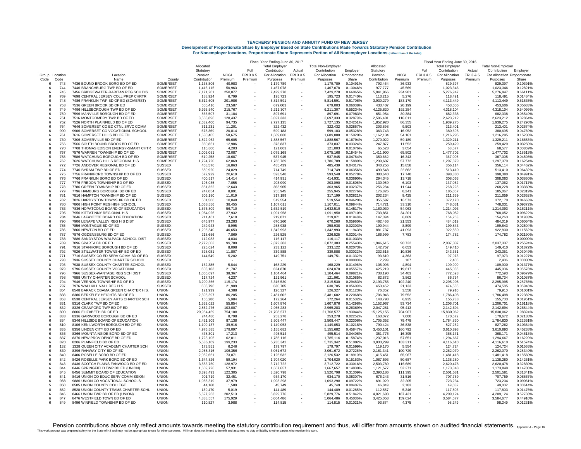|                           |                                                                           |                                | Fiscal Year Ending June 30, 2017 |                    |                          |                        |           |                           |                      |                         | Fiscal Year Ending June 30, 2016 |           |                        |         |                              |                      |  |  |
|---------------------------|---------------------------------------------------------------------------|--------------------------------|----------------------------------|--------------------|--------------------------|------------------------|-----------|---------------------------|----------------------|-------------------------|----------------------------------|-----------|------------------------|---------|------------------------------|----------------------|--|--|
|                           |                                                                           |                                | Allocated                        |                    |                          | Total Emplover         |           | <b>Total Non-Emplover</b> |                      | Allocated               |                                  |           | Total Emplover         |         | Total Non-Employer           |                      |  |  |
|                           |                                                                           |                                | Statutory                        |                    | Full                     | Contribution           | Actual    | Contribution              | Employer             | Statutory               |                                  | Full      | Contribution           | Actual  | Contribution                 | Emplover             |  |  |
| Group Location            | Location                                                                  |                                | Pension                          | <b>NCGI</b>        | ERI3&5                   | For Allocation         | ERI 3 & 5 | For Allocation            | Proportionate        | Pension                 | <b>NCGI</b>                      | ERI 3 & 5 | For Allocation         | ERI3&5  | For Allocation Proportionate |                      |  |  |
| Code<br>Code<br>743<br>-6 | Name<br>7436 BOUND BROOK BORO BD OF ED                                    | County<br>SOMERSET             | Contribution<br>1.138.806        | Premium<br>40,983  | Premium                  | Purposes<br>1,179,789  | Premium   | Purposes<br>1.179.789     | Share<br>0.10491%    | Contribution<br>792.464 | Premium<br>36.933                | Premium   | Purposes<br>829.397    | Premium | Purposes<br>829.397          | Share<br>0.10391%    |  |  |
| 744<br>-6                 | 7446 BRANCHBURG TWP BD OF ED                                              | SOMERSET                       | 1,416,115                        | 50,963             |                          | 1,467,078              |           | 1,467,078                 | 0.13046%             | 977,777                 | 45,569                           |           | 1,023,346              |         | 1,023,346                    | 0.12821%             |  |  |
| 745                       | 7456 BRIDGEWATER-RARITAN REG SCH DIS                                      | SOMERSET                       | 7,171,201                        | 258,077            |                          | 7,429,278              |           | 7,429,278                 | 0.66065%             | 5,041,966               | 234,981                          |           | 5,276,947              |         | 5,276,947                    | 0.66111%             |  |  |
| 769                       | 7698 CENTRAL JERSEY COLL PREP CHRTR                                       | SOMERSET                       | 188.924                          | 6,799              |                          | 195,723                |           | 195,723                   | 0.01740%             | 113,215                 | 5,276                            |           | 118,491                |         | 118,491                      | 0.01484%             |  |  |
| 748                       | 7486 FRANKLIN TWP BD OF ED (SOMERST)                                      | <b>SOMERSET</b>                | 5,612,605                        | 201,986            |                          | 5.814.591              |           | 5.814.591                 | 0.51706%             | 3,930,279               | 183,170                          |           | 4.113.449              |         | 4.113.449                    | 0.51535%             |  |  |
| 753                       | 7536 GREEN BROOK BD OF ED                                                 | SOMERSE <sup>-</sup>           | 655,416                          | 23,587             |                          | 679,003                |           | 679,003                   | 0.06038%             | 433,407                 | 20,199                           |           | 453,606                |         | 453,606                      | 0.05683%             |  |  |
| 749<br>6                  | 7496 HILLSBOROUGH TWP BD OF ED                                            | <b>SOMERSET</b>                | 5,995,540                        | 215,767            |                          | 6,211,307              |           | 6,211,307                 | 0.55234%             | 4,125,820               | 192,284                          |           | 4,318,104              |         | 4,318,104                    | 0.54099%             |  |  |
| 759<br>-6                 | 7596 MANVILLE BOROUGH BD OF ED                                            | SOMERSET                       | 866,507                          | 31,184             | $\overline{\phantom{a}}$ | 897.691                |           | 897.691                   | 0.07983%             | 651.954                 | 30.384                           |           | 682.338                |         | 682.338                      | 0.08549%             |  |  |
| 751<br>-6<br>752          | 7516 MONTGOMERY TWP BD OF ED<br>7526 NORTH PLAINFIELD BD OF ED            | SOMERSET<br><b>SOMERSET</b>    | 3,568,896<br>2,632,400           | 128,437            |                          | 3,697,333              |           | 3,697,333                 | 0.32879%<br>0.24251% | 2,506,401<br>1.852.920  | 116,811                          |           | 2,623,212              |         | 2,623,212<br>1.939.275       | 0.32864%<br>0.24296% |  |  |
| 764                       | 7646 SOMERSET CO ED CTNL SRVC COMM                                        | SOMERSET                       | 311,231                          | 94,735<br>11,201   |                          | 2,727,135<br>322,432   |           | 2,727,135<br>322,432      | 0.02867%             | 203,898                 | 86,355<br>9,503                  |           | 1,939,275<br>213,401   |         | 213,401                      | 0.02674%             |  |  |
| 990<br>-6                 | 9906 SOMERSET CO VOCATIONAL SCHOOL                                        | SOMERSET                       | 578,369                          | 20,814             |                          | 599.183                |           | 599.183                   | 0.05328%             | 363,743                 | 16,952                           |           | 380.695                |         | 380.695                      | 0.04769%             |  |  |
| 761<br>-6                 | 7616 SOMERSET HILLS BD OF ED                                              | <b>SOMERSET</b>                | 1,630,405                        | 58,675             |                          | 1,689,080              |           | 1,689,080                 | 0.15020%             | 1,162,134               | 54,161                           |           | 1,216,295              |         | 1,216,295                    | 0.15238%             |  |  |
| 730                       | 7306 SOMERVILLE BD OF ED                                                  | <b>SOMERSET</b>                | 1,822,962                        | 65,605             |                          | 1.888.567              |           | 1.888.567                 | 0.16794%             | 1,270,022               | 59.189                           |           | 1,329,211              |         | 1,329,211                    | 0.16653%             |  |  |
| 756<br>ĥ                  | 7566 SOUTH BOUND BROOK BD OF ED                                           | SOMERSET                       | 360,851                          | 12,986             |                          | 373,837                |           | 373.837                   | 0.03324%             | 247,877                 | 11,552                           |           | 259,429                |         | 259,429                      | 0.03250%             |  |  |
| 770<br>$\mathbf{R}$       | 7708 THOMAS EDISON ENERGY-SMART CHTR                                      | SOMERSET                       | 116.800                          | 4.203              |                          | 121.003                |           | 121.003                   | 0.01076%             | 65.523                  | 3.054                            |           | 68,577                 |         | 68.577                       | 0.00859%             |  |  |
| 757                       | 7576 WARREN TOWNSHIP BD OF ED                                             | SOMERSE <sup>-</sup>           | 2,003,081                        | 72,087             |                          | 2,075,168              |           | 2,075,168                 | 0.18454%             | 1,411,900               | 65,802                           |           | 1,477,702              |         | 1,477,702                    | 0.18513%             |  |  |
| 758                       | 7586 WATCHUNG BOROUGH BD OF ED                                            | <b>SOMERSET</b>                | 519,258                          | 18,687             |                          | 537,945                |           | 537,945                   | 0.04784%             | 350,662                 | 16,343                           |           | 367,005                |         | 367,005                      | 0.04598%             |  |  |
| 762<br>772                | 7626 WATCHUNG HILLS REGIONAL H S<br>7726 ANDOVER REGIONAL BD OF ED        | SOMERSET<br><b>SUSSEX</b>      | 1,724,720<br>468.576             | 62,069<br>16.863   |                          | 1,786,789<br>485.439   |           | 1,786,789<br>485.439      | 0.15889%<br>0.04317% | 1,239,607<br>340.256    | 57,772<br>15.858                 |           | 1,297,379<br>356.114   |         | 1,297,379<br>356.114         | 0.16254%<br>0.04462% |  |  |
| -6<br>774                 | 7746 BYRAM TWP BD OF ED                                                   | <b>SUSSE</b> <sup>x</sup>      | 689,920                          | 24,829             |                          | 714,749                |           | 714.749                   | 0.06356%             | 490,548                 | 22,862                           |           | 513,410                |         | 513,410                      | 0.06432%             |  |  |
| 775<br>$\epsilon$         | 7756 FRANKFORD TOWNSHIP BD OF ED                                          | <b>SUSSEX</b>                  | 572.929                          | 20,619             |                          | 593,548                |           | 593,548                   | 0.05278%             | 380,640                 | 17,740                           |           | 398,380                |         | 398.380                      | 0.04991%             |  |  |
| 776<br>-6                 | 7766 FRANKLIN BORO BD OF FD                                               | <b>SUSSEX</b>                  | 400,517                          | 14.414             |                          | 414.931                |           | 414.931                   | 0.03690%             | 294.345                 | 13,718                           |           | 308.063                |         | 308.063                      | 0.03860%             |  |  |
| 777                       | 7776 FREDON TOWNSHIP BD OF ED                                             | <b>SUSSEX</b>                  | 196.035                          | 7.055              |                          | 203,090                |           | 203.090                   | 0.01806%             | 130.959                 | 6.103                            |           | 137,062                |         | 137.062                      | 0.01717%             |  |  |
| 778<br>-6                 | 7786 GREEN TOWNSHIP BD OF ED                                              | <b>SUSSEX</b>                  | 351,322                          | 12,643             |                          | 363,965                |           | 363,965                   | 0.03237%             | 256,284                 | 11,944                           |           | 268,228                |         | 268,228                      | 0.03360%             |  |  |
| 779                       | 7796 HAMBURG BOROUGH BD OF ED                                             | <b>SUSSEX</b>                  | 247,054                          | 8,891              |                          | 255.945                |           | 255,945                   | 0.02276%             | 176,826                 | 8,241                            |           | 185,067                |         | 185,067                      | 0.02319%             |  |  |
| 781                       | 7816 HAMPTON TOWNSHIP BD OF ED                                            | <b>SUSSEX</b>                  | 306,180                          | 11,019             |                          | 317,199                |           | 317,199                   | 0.02821%             | 202,234                 | 9,425                            |           | 211,659                |         | 211,659                      | 0.02652%             |  |  |
| 782                       | 7826 HARDYSTON TOWNSHIP BD OF ED                                          | <b>SUSSEX</b>                  | 501.506                          | 18,048             |                          | 519,554                |           | 519,554                   | 0.04620%             | 355.597                 | 16,573                           |           | 372,170                |         | 372.170                      | 0.04663%             |  |  |
| 780<br>6                  | 7806 HIGH POINT REG HIGH SCHOOL                                           | <b>SUSSEX</b>                  | 1,068,556                        | 38,455             |                          | 1,107,011              |           | 1,107,011                 | 0.09844%             | 714,721                 | 33,310                           |           | 748,031                |         | 748,031                      | 0.09372%             |  |  |
| 783<br>ĥ<br>795           | 7836 HOPATCONG BOARD OF EDUCATION<br>7956 KITTATINNY REGIONAL H S         | <b>SUSSEX</b><br><b>SUSSEX</b> | 1,575,809<br>1,054,026           | 56,710<br>37,932   |                          | 1,632,519<br>1,091,958 |           | 1.632.519<br>1,091,958    | 0.14517%<br>0.09710% | 1,160,030<br>733,851    | 54.063<br>34,201                 |           | 1.214.093<br>768,052   |         | 1,214,093<br>768,052         | 0.15211%<br>0.09622% |  |  |
| 784                       | 7846 LAFAYETTE BOARD OF EDUCATION                                         | <b>SUSSEX</b>                  | 211.461                          | 7,610              |                          | 219.071                |           | 219,071                   | 0.01948%             | 147.394                 | 6.869                            |           | 154.263                |         | 154.263                      | 0.01933%             |  |  |
| 790                       | 7906 LENAPE VALLEY REG H S DIST                                           | <b>SUSSEX</b>                  | 646,977                          | 23,283             |                          | 670,260                |           | 670,260                   | 0.05960%             | 462,466                 | 21,553                           |           | 484,019                |         | 484,019                      | 0.06064%             |  |  |
| 785<br>-6                 | 7856 MONTAGUE BD OF ED                                                    | <b>SUSSEX</b>                  | 249.943                          | 8.995              |                          | 258.938                |           | 258.938                   | 0.02303%             | 190.944                 | 8.899                            |           | 199.843                |         | 199.843                      | 0.02504%             |  |  |
| 786                       | 7866 NEWTON BD OF ED                                                      | <b>SUSSEX</b>                  | 1,296,340                        | 46,653             |                          | 1,342,993              |           | 1,342,993                 | 0.11943%             | 881,737                 | 41,093                           |           | 922,830                |         | 922,830                      | 0.11562%             |  |  |
| 787                       | 7876 OGDENSBURG BD OF ED                                                  | <b>SUSSEX</b>                  | 218,656                          | 7,869              |                          | 226.525                |           | 226,525                   | 0.02014%             | 166,999                 | 7,783                            |           | 174,782                |         | 174,782                      | 0.02190%             |  |  |
| 788<br>-6                 | 7886 SANDYSTON WALPACK SCHOOL DIST                                        | <b>SUSSEX</b>                  | 112,083                          | 4,034              |                          | 116,117                |           | 116.117                   | 0.01033%             |                         |                                  |           |                        |         |                              | 0.00000%             |  |  |
| 789<br>-6                 | 7896 SPARTA BD OF ED                                                      | <b>SUSSEX</b>                  | 2.772.603                        | 99.780             |                          | 2.872.383              |           | 2.872.383                 | 0.25543%             | 1.946.615               | 90.722                           |           | 2.037.337              |         | 2.037.337                    | 0.25524%             |  |  |
| 791                       | 7916 STANHOPE BOROUGH BD OF ED                                            | <b>SUSSE</b>                   | 225,024                          | 8,098              |                          | 233,122                |           | 233,122                   | 0.02073%             | 142.757                 | 6,653                            |           | 149,410                |         | 149.410                      | 0.01872%             |  |  |
| 792<br>771                | 7926 STILLWATER TOWNSHIP BD OF ED                                         | <b>SUSSEX</b>                  | 328.081                          | 11,807             |                          | 339,888                |           | 339,888                   | 0.03022%             | 232,515                 | 10,836                           |           | 243,351                |         | 243,351                      | 0.03049%             |  |  |
| -6<br>793<br>-6           | 7716 SUSSEX CO ED SERV COMM BD OF ED<br>7936 SUSSEX COUNTY CHARTER SCHOOL | <b>SUSSEX</b><br><b>SUSSEX</b> | 144,549                          | 5,202              |                          | 149,751                |           | 149,751                   | 0.01332%<br>0.00000% | 93,610<br>2,299         | 4,363<br>107                     |           | 97.973<br>2.406        |         | 97,973<br>2,406              | 0.01227%<br>0.00030% |  |  |
| 793                       | 7938 SUSSEX COUNTY CHARTER SCHOOL                                         | <b>SUSSEX</b>                  | 162,385                          | 5,844              |                          | 168,229                |           | 168,229                   | 0.01496%             | 105,006                 | 4,894                            |           | 109,900                |         | 109,900                      | 0.01377%             |  |  |
| 979<br>-6                 | 9796 SUSSEX COUNTY VOCATIONAL                                             | <b>SUSSEX</b>                  | 603,163                          | 21,707             |                          | 624,870                |           | 624.870                   | 0.05557%             | 425,219                 | 19,817                           |           | 445.036                |         | 445.036                      | 0.05576%             |  |  |
| 796<br>$\epsilon$         | 7966 SUSSEX-WANTAGE REG SCH DIST                                          | <b>SUSSEX</b>                  | 1.066.097                        | 38,367             |                          | 1.104.464              |           | 1.104.464                 | 0.09821%             | 738,190                 | 34.403                           |           | 772,593                |         | 772.593                      | 0.09679%             |  |  |
| 798                       | 7988 UNITY CHARTER SCHOOL                                                 | <b>SUSSEX</b>                  | 117,724                          | 4,237              |                          | 121.961                |           | 121.961                   | 0.01085%             | 82.872                  | 3.862                            |           | 86.734                 |         | 86,734                       | 0.01087%             |  |  |
| 794                       | 7946 VERNON TOWNSHIP BD OF ED                                             | <b>SUSSEX</b>                  | 3,200,356                        | 115,174            |                          | 3,315,530              |           | 3,315,530                 | 0.29483%             | 2,193,755               | 102,240                          |           | 2,295,995              |         | 2,295,995                    | 0.28765%             |  |  |
| 797                       | 7976 WALLKILL VALL REG H S                                                | <b>SUSSEX</b>                  | 608.796                          | 21,909             |                          | 630.705                |           | 630.705                   | 0.05609%             | 453,452                 | 21,133                           |           | 474.585                |         | 474.585                      | 0.05946%             |  |  |
| 854                       | 8548 BARACK OBAMA GREEN CHARTER H.S.                                      | <b>UNION</b>                   | 121,939                          | 4,388              |                          | 126,327                |           | 126,327                   | 0.01123%             | 76,352                  | 3,558                            |           | 79,910                 |         | 79,910                       | 0.01001%             |  |  |
| 838                       | 8386 BERKELEY HEIGHTS BD OF ED                                            | <b>UNION</b>                   | 2,395,397                        | 86,205             |                          | 2,481,602              |           | 2,481,602                 | 0.22068%             | 1,706,946               | 79,552                           |           | 1,786,498              |         | 1.786.498                    | 0.22382%             |  |  |
| 853<br>831                | 8538 CENTRAL JERSEY ARTS CHARTER SCH<br>8316 CLARK TWP BD OF ED           | <b>UNION</b><br><b>UNION</b>   | 166,280<br>1.552.022             | 5,984<br>55.854    |                          | 172,264<br>1.607.876   |           | 172,264                   | 0.01532%<br>0.14298% | 148,798<br>1.152.967    | 6,935<br>53.734                  |           | 155,733                |         | 155,733<br>1.206.701         | 0.01951%<br>0.15118% |  |  |
| -6<br>832<br>6            | 8326 CRANFORD TWP BD OF ED                                                | <b>UNION</b>                   | 2,862,276                        | 103,007            |                          | 2,965,283              |           | 1,607,876<br>2,965,283    | 0.26369%             | 2,047,281               | 95,413                           |           | 1,206,701<br>2,142,694 |         | 2,142,694                    | 0.26844%             |  |  |
| 800                       | 8006 ELIZABETH BD OF ED                                                   | <b>UNION</b>                   | 20,954,469                       | 754,108            |                          | 21,708,577             |           | 21,708,577                | 1.93044%             | 15, 125, 155            | 704,907                          |           | 15,830,062             |         | 15,830,062                   | 1.98324%             |  |  |
| 833<br>6                  | 8336 GARWOOD BOROUGH BD OF ED                                             | <b>UNION</b>                   | 244,480                          | 8,798              |                          | 253,278                |           | 253,278                   | 0.02252%             | 163,072                 | 7,600                            |           | 170,672                |         | 170,672                      | 0.02138%             |  |  |
| 834<br>-6                 | 8346 HILLSIDE BOARD OF EDUCATION                                          | <b>UNION</b>                   | 2.421.309                        | 87.138             |                          | 2.508.447              |           | 2.508.447                 | 0.22306%             | 1.705.352               | 79.478                           |           | 1.784.830              |         | 1.784.830                    | 0.22361%             |  |  |
| 810                       | 8106 KENILWORTH BOROUGH BD OF ED                                          | <b>UNION</b>                   | 1,109,137                        | 39,916             |                          | 1,149,053              |           | 1,149,053                 | 0.10218%             | 790,424                 | 36,838                           |           | 827,262                |         | 827,262                      | 0.10364%             |  |  |
| 835                       | 8356 LINDEN CITY BD OF ED                                                 | <b>UNION</b>                   | 4,976,585                        | 179,097            |                          | 5,155,682              |           | 5,155,682                 | 0.45847%             | 3,450,101               | 160,792                          |           | 3,610,893              |         | 3,610,893                    | 0.45238%             |  |  |
| 836<br>$\epsilon$         | 8366 MOUNTAINSIDE BORO BD OF ED                                           | <b>UNION</b>                   | 478,301                          | 17,213             |                          | 495.514                |           | 495.514                   | 0.04406%             | 351.776                 | 16,395                           |           | 368.171                |         | 368,171                      | 0.04613%             |  |  |
| 837<br>6                  | 8376 NEW PROVIDENCE BD OF ED                                              | <b>UNION</b>                   | 1,723,105                        | 62,011             |                          | 1,785,116              |           | 1,785,116                 | 0.15874%             | 1,237,016               | 57,651                           |           | 1,294,667              |         | 1,294,667                    | 0.16220%             |  |  |
| 820                       | 8206 PLAINFIELD BD OF ED                                                  | <b>UNION</b>                   | 5,536,109                        | 199,233            |                          | 5,735,342              |           | 5,735,342                 | 0.51002%             | 3.933.299               | 183,311                          |           | 4,116,610              |         | 4.116.610                    | 0.51574%             |  |  |
| 132                       | 1328 QUEEN CITY ACADEMY CHARTER SCH                                       | UNION                          | 173,551                          | 6,246              |                          | 179,797                |           | 179,797                   | 0.01599%             | 119,170                 | 5.554                            |           | 124,724                |         | 124,724                      | 0.01563%             |  |  |
| 839<br>ĥ<br>840           | 8396 RAHWAY CITY BD OF ED<br>8406 ROSELLE BORO BD OF ED                   | <b>UNION</b><br><b>UNION</b>   | 2,955,316<br>2,052,661           | 106,356<br>73,871  |                          | 3,061,672<br>2,126,532 |           | 3,061,672<br>2,126,532    | 0.27226%<br>0.18910% | 2,161,341<br>1,415,451  | 100,729<br>65,967                |           | 2,262,070<br>1,481,418 |         | 2,262,070<br>1,481,418       | 0.28340%<br>0.18560% |  |  |
| 842                       | 8426 ROSELLE PARK BORO BD OF ED                                           | <b>UNION</b>                   | 1,644,826                        | 59,194             |                          | 1,704,020              |           | 1,704,020                 | 0.15153%             | 1,087,593               | 50,687                           |           | 1,138,280              |         | 1,138,280                    | 0.14261%             |  |  |
| 843<br>-6                 | 8436 SCOTCH PLAINS FANWOOD BD OF ED                                       | <b>UNION</b>                   | 3,583,750                        | 128,972            | $\sim$                   | 3.712.722              |           | 3.712.722                 | 0.33016%             | 2,503,789               | 116,689                          |           | 2,620,478              |         | 2,620,478                    | 0.32830%             |  |  |
| 844<br>-6                 | 8446 SPRINGFIELD TWP BD ED (UNION)                                        | <b>UNION</b>                   | 1.609.726                        | 57.931             |                          | 1.667.657              |           | 1.667.657                 | 0.14830%             | 1.121.577               | 52.271                           |           | 1.173.848              |         | 1.173.848                    | 0.14706%             |  |  |
| 845                       | 8456 SUMMIT BOARD OF EDUCATION                                            | <b>UNION</b>                   | 3,398,493                        | 122,305            |                          | 3,520,798              |           | 3,520,798                 | 0.31309%             | 2,390,186               | 111,395                          |           | 2,501,581              |         | 2,501,581                    | 0.31341%             |  |  |
| 841<br>6                  | 8416 UNION CO EDUC SERV COMMISSION                                        | <b>UNION</b>                   | 901.719                          | 32,451             |                          | 934.170                |           | 934,170                   | 0.08307%             | 676,243                 | 31,516                           |           | 707,759                |         | 707,759                      | 0.08867%             |  |  |
| 988<br>ĥ                  | 9886 UNION CO VOCATIONAL SCHOOLS                                          | <b>LINION</b>                  | 1,055,319                        | 37,979             |                          | 1,093,298              |           | 1,093,298                 | 0.09722%             | 691,029                 | 32.205                           |           | 723,234                |         | 723.234                      | 0.09061%             |  |  |
| 850                       | 8505 UNION COUNTY COLLEGE                                                 | <b>UNION</b>                   | 44,160                           | 1,589              |                          | 45,749                 |           | 45,749                    | 0.00407%             | 46,849                  | 2,183                            |           | 49,032                 |         | 49,032                       | 0.00614%             |  |  |
| 852                       | 8528 UNION COUNTY TEAMS CHARTER SCHL                                      | <b>UNION</b>                   | 139,470                          | 5,019              |                          | 144,489                |           | 144.489                   | 0.01285%             | 112,557                 | 5,246                            |           | 117,803                |         | 117,803                      | 0.01476%             |  |  |
| 846<br>847                | 8466 UNION TWP BD OF ED (UNION)<br>8476 WESTFIELD TOWN BD OF ED           | <b>UNION</b><br><b>UNION</b>   | 5,627,263<br>4,888,557           | 202,513<br>175,929 |                          | 5,829,776<br>5.064.486 |           | 5,829,776<br>5,064,486    | 0.51842%<br>0.45036% | 4,021,693<br>3,425,053  | 187,431<br>159,624               |           | 4,209,124<br>3.584.677 |         | 4,209,124<br>3,584,677       | 0.52733%<br>0.44910% |  |  |
| 849                       | 8496 WINFIELD TOWNSHIP BD OF ED                                           | <b>UNION</b>                   | 110,827                          | 3.988              |                          | 114.815                |           | 114,815                   | 0.01021%             | 93.874                  | 4.375                            |           | 98,249                 |         | 98.249                       | 0.01231%             |  |  |
|                           |                                                                           |                                |                                  |                    |                          |                        |           |                           |                      |                         |                                  |           |                        |         |                              |                      |  |  |

Pension contributions above only reflect amounts towards meeting the statutory contribution requirement and thus, will differ from amounts shown a mounts shown on audited financial statements. <sub>Appendix A</sub> - Page 16 مسماته